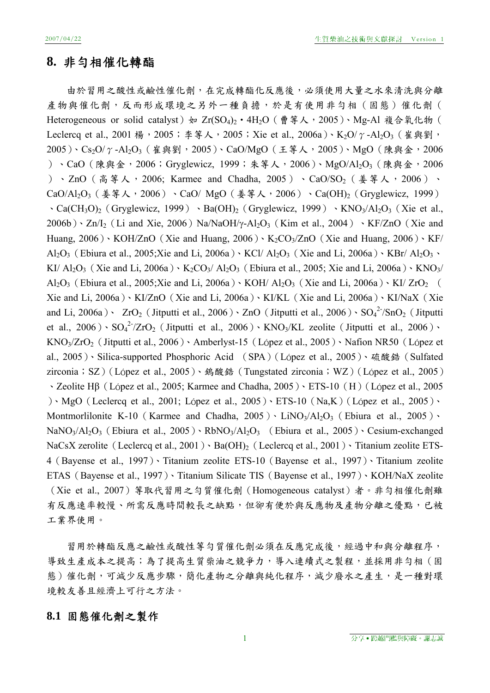# **8.** 非勻相催化轉酯

由於習用之酸性或鹼性催化劑,在完成轉酯化反應後,必須使用大量之水來清洗與分離 產物與催化劑,反而形成環境之另外一種負擔,於是有使用非勻相(固態)催化劑( Heterogeneous or solid catalyst) 如 Zr(SO<sub>4</sub>)<sub>2</sub> · 4H<sub>2</sub>O (曹等人, 2005)、Mg-Al 複合氧化物 ( Leclercq et al., 2001 楊, 2005; 李等人, 2005; Xie et al., 2006a)、K2O/γ-Al2O3 (崔與劉, 2005)、Cs<sub>2</sub>O/γ-Al<sub>2</sub>O<sub>3</sub> (崔與劉, 2005)、CaO/MgO (王等人, 2005)、MgO (陳與金, 2006 )、CaO (陳與金, 2006; Gryglewicz, 1999; 朱等人, 2006)、MgO/Al2O3 (陳與金, 2006 )、ZnO (高等人, 2006; Karmee and Chadha, 2005)、CaO/SO<sub>2</sub> (姜等人, 2006)、 CaO/Al<sub>2</sub>O<sub>3</sub>(姜等人,2006)、CaO/ MgO(姜等人,2006)、Ca(OH)<sub>2</sub>(Gryglewicz, 1999)  $\cdot$  Ca(CH<sub>3</sub>O)<sub>2</sub> (Gryglewicz, 1999)  $\cdot$  Ba(OH)<sub>2</sub> (Gryglewicz, 1999)  $\cdot$  KNO<sub>3</sub>/Al<sub>2</sub>O<sub>3</sub> (Xie et al.,  $2006b)$   $\cdot$  Zn/I<sub>2</sub> (Li and Xie, 2006) Na/NaOH/y-Al<sub>2</sub>O<sub>3</sub> (Kim et al., 2004)  $\cdot$  KF/ZnO (Xie and Huang,  $2006$ )  $\cdot$  KOH/ZnO (Xie and Huang,  $2006$ )  $\cdot$  K<sub>2</sub>CO<sub>3</sub>/ZnO (Xie and Huang, 2006)  $\cdot$  KF/ Al<sub>2</sub>O<sub>3</sub> (Ebiura et al., 2005;Xie and Li, 2006a)  $\cdot$  KCl/ Al<sub>2</sub>O<sub>3</sub> (Xie and Li, 2006a)  $\cdot$  KBr/ Al<sub>2</sub>O<sub>3</sub>  $\cdot$ KI/ Al<sub>2</sub>O<sub>3</sub> (Xie and Li, 2006a)  $\cdot$  K<sub>2</sub>CO<sub>3</sub>/ Al<sub>2</sub>O<sub>3</sub> (Ebiura et al., 2005; Xie and Li, 2006a)  $\cdot$  KNO<sub>3</sub>/ Al<sub>2</sub>O<sub>3</sub> (Ebiura et al., 2005;Xie and Li, 2006a) NOH/ Al<sub>2</sub>O<sub>3</sub> (Xie and Li, 2006a) N KI/ ZrO<sub>2</sub> ( Xie and Li, 2006a)、KI/ZnO(Xie and Li, 2006a)、KI/KL(Xie and Li, 2006a)、KI/NaX(Xie and Li, 2006a)  $\cdot$  ZrO<sub>2</sub> (Jitputti et al., 2006)  $\cdot$  ZnO (Jitputti et al., 2006)  $\cdot$  SO<sub>4</sub><sup>2-</sup>/SnO<sub>2</sub> (Jitputti et al., 2006)  $\cdot$  SO<sub>4</sub><sup>2-</sup>/ZrO<sub>2</sub> (Jitputti et al., 2006)  $\cdot$  KNO<sub>3</sub>/KL zeolite (Jitputti et al., 2006)  $\cdot$ KNO<sub>3</sub>/ZrO<sub>2</sub> (Jitputti et al., 2006) MAmberlyst-15 (López et al., 2005) Mafion NR50 (López et al., 2005)、Silica-supported Phosphoric Acid (SPA)(López et al., 2005)、硫酸鋯(Sulfated zirconia; SZ)(López et al., 2005)、 鎢酸鋯(Tungstated zirconia; WZ)(López et al., 2005) 、Zeolite Hβ(López et al., 2005; Karmee and Chadha, 2005)、ETS-10(H)(López et al., 2005 )、MgO(Leclercq et al., 2001; López et al., 2005)、ETS-10(Na,K)(López et al., 2005)、 Montmorlilonite K-10 (Karmee and Chadha,  $2005$ ) · LiNO<sub>3</sub>/Al<sub>2</sub>O<sub>3</sub> (Ebiura et al., 2005) · NaNO3/Al2O3(Ebiura et al., 2005)、RbNO3/Al2O3 (Ebiura et al., 2005)、Cesium-exchanged NaCsX zerolite (Leclercq et al., 2001) · Ba(OH)<sub>2</sub> (Leclercq et al., 2001) · Titanium zeolite ETS-4(Bayense et al., 1997)、Titanium zeolite ETS-10(Bayense et al., 1997)、Titanium zeolite ETAS(Bayense et al., 1997)、Titanium Silicate TIS(Bayense et al., 1997)、KOH/NaX zeolite (Xie et al., 2007)等取代習用之勻質催化劑(Homogeneous catalyst)者。非勻相催化劑雖 有反應速率較慢、所需反應時間較長之缺點,但卻有便於與反應物及產物分離之優點,已被 工業界使用。

習用於轉酯反應之鹼性或酸性等勻質催化劑必須在反應完成後,經過中和與分離程序, 導致生產成本之提高;為了提高生質柴油之競爭力,導入連續式之製程,並採用非勻相(固 態)催化劑,可減少反應步驟,簡化產物之分離與純化程序,減少廢水之產生,是一種對環 境較友善且經濟上可行之方法。

# **8.1** 固態催化劑之製作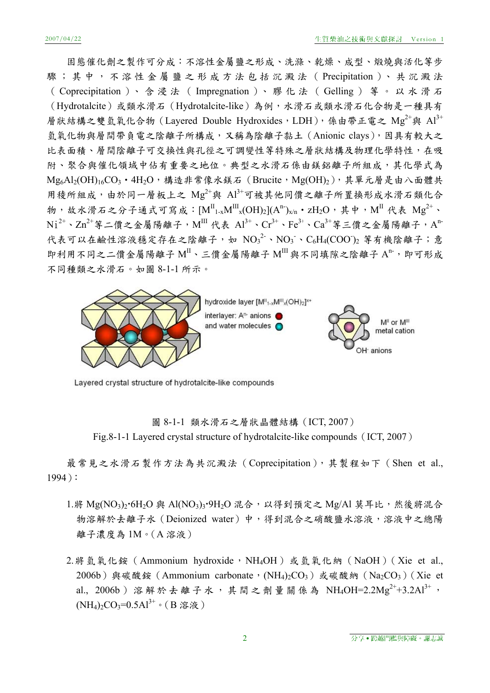固態催化劑之製作可分成:不溶性金屬鹽之形成、洗滌、乾燥、成型、煅燒與活化等步 驟;其中,不溶性金屬鹽之形成方法包括沉澱法( Precipitation )、 共 沉 澱 法 (Coprecipitation)、含浸法 (Impregnation)、膠化法 (Gelling) 等。以水滑石 (Hydrotalcite)或類水滑石(Hydrotalcite-like)為例,水滑石或類水滑石化合物是一種具有 層狀結構之雙氫氧化合物 (Layered Double Hydroxides, LDH), 係由帶正電之 Mg<sup>2+</sup>與 Al<sup>3+</sup> 氫氧化物與層間帶負電之陰離子所構成,又稱為陰離子黏土(Anionic clays),因具有較大之 比表面積、層間陰離子可交換性與孔徑之可調變性等特殊之層狀結構及物理化學特性,在吸 附、聚合與催化領域中佔有重要之地位。典型之水滑石係由鎂鋁離子所組成,其化學式為 Mg<sub>6</sub>Al<sub>2</sub>(OH)<sub>16</sub>CO<sub>3</sub> · 4H<sub>2</sub>O, 構造非常像水鎂石 (Brucite, Mg(OH)2), 其單元層是由八面體共 用稜所組成,由於同一層板上之 Mg<sup>2+</sup>與 Al<sup>3+</sup>可被其他同價之離子所置換形成水滑石類化合 物,故水滑石之分子通式可寫成:[ $M^{\text{II}}{}_{1-x}M^{\text{III}}{}_{x}(OH)_{2}](A^n)_{x/n}$ ・zH $_2O$ ,其中, $M^{\text{II}}$ 代表  $Mg^{2+}$ 、  $\text{Ni}^{2+}\cdot\text{Zn}^{2+}$ 等二價之金屬陽離子, $\text{M}^{\text{III}}$  代表  $\text{Al}^{3+}\cdot\text{Cr}^{3+}\cdot\text{Fe}^{3+}\cdot\text{Ca}^{3+}$ 等三價之金屬陽離子, $\text{A}^{\text{n-}}$ 代表可以在鹼性溶液穩定存在之陰離子,如 $NO_3^2 \cdot NO_3 \cdot C_6H_4(COO)_2$ 等有機陰離子;意 即利用不同之二價金屬陽離子  $M^{\text{II}}$ 、三價金屬陽離子  $M^{\text{II}}$ 與不同填隙之陰離子  $A^{\text{n}}$ , 即可形成 不同種類之水滑石。如圖 8-1-1 所示。



Layered crystal structure of hydrotalcite-like compounds

圖 8-1-1 類水滑石之層狀晶體結構(ICT, 2007) Fig.8-1-1 Layered crystal structure of hydrotalcite-like compounds (ICT, 2007)

最常見之水滑石製作方法為共沉澱法(Coprecipitation),其製程如下(Shen et al., 1994):

- 1.將 Mg(NO<sub>3</sub>)<sub>2</sub>·6H<sub>2</sub>O 與 Al(NO<sub>3</sub>)<sub>3</sub>·9H<sub>2</sub>O 混合,以得到預定之 Mg/Al 莫耳比,然後將混合 物溶解於去離子水(Deionized water)中,得到混合之硝酸鹽水溶液,溶液中之總陽 離子濃度為 1M。(A 溶液)
- 2. 將氫氧化銨 (Ammonium hydroxide, NH4OH)或氫氧化納 (NaOH) (Xie et al., 2006b) 與碳酸銨(Ammonium carbonate, (NH4)<sub>2</sub>CO<sub>3</sub>)或碳酸納(Na<sub>2</sub>CO<sub>3</sub>) (Xie et al., 2006b)溶解於去離子水,其間之劑量關係為 NH4OH=2.2Mg<sup>2+</sup>+3.2Al<sup>3+</sup>,  $(NH_4)$ <sub>2</sub>CO<sub>3</sub>=0.5Al<sup>3+</sup>。(B 溶液)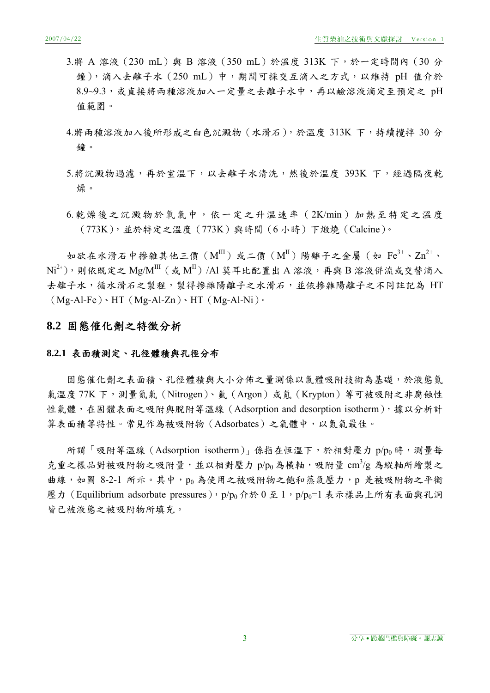- 3.將 A 溶液 (230 mL)與 B 溶液 (350 mL)於溫度 313K 下,於一定時間內 (30 分 鐘),滴入去離子水 (250 mL) 中,期間可採交互滴入之方式,以維持 pH 值介於 8.9~9.3,或直接將兩種溶液加入一定量之去離子水中,再以鹼溶液滴定至預定之 pH 值範圍。
- 4.將兩種溶液加入後所形成之白色沉澱物(水滑石),於溫度 313K 下,持續攪拌 30 分 鐘。
- 5.將沉澱物過濾,再於室溫下,以去離子水清洗,然後於溫度 393K 下,經過隔夜乾 燥。
- 6.乾燥後之沉澱物於氧氣中,依一定之升溫速率(2K/min)加熱至特定之溫度 (773K),並於特定之溫度(773K)與時間(6 小時)下煅燒(Calcine)。

如欲在水滑石中掺雜其他三價( $M^{\text{III}}$ )或二價( $M^{\text{II}}$ )陽離子之金屬(如 Fe<sup>3+</sup>、Zn<sup>2+</sup>、  $\mathrm{Ni^{2+}})$ ,則依既定之  $\mathrm{Mg/M^{III}}$  ( 或  $\mathrm{M^{II}})$  /Al 莫耳比配置出 A 溶液,再與 B 溶液併流或交替滴入 去離子水,循水滑石之製程,製得摻雜陽離子之水滑石,並依摻雜陽離子之不同註記為 HT  $(Mg-Al-Fe) \cdot HT(Mg-Al-Zn) \cdot HT(Mg-Al-Ni)$ 

## **8.2** 固態催化劑之特徵分析

## **8.2.1** 表面積測定、孔徑體積與孔徑分布

固態催化劑之表面積、孔徑體積與大小分佈之量測係以氣體吸附技術為基礎,於液態氮 氣溫度 77K 下,測量氮氣 (Nitrogen)、氩 (Argon)或 氪 (Krypton) 等可被吸附之非腐蝕性 性氣體,在固體表面之吸附與脫附等溫線 (Adsorption and desorption isotherm),據以分析計 算表面積等特性。常見作為被吸附物(Adsorbates)之氣體中,以氮氣最佳。

所謂「吸附等溫線(Adsorption isotherm)」係指在恆溫下,於相對壓力 p/po時,測量每 克重之樣品對被吸附物之吸附量,並以相對壓力 p/po為橫軸,吸附量 cm<sup>3</sup>/g 為縱軸所繪製之 曲線,如圖 8-2-1 所示。其中,po為使用之被吸附物之飽和蒸氣壓力,p 是被吸附物之平衡 壓力 (Equilibrium adsorbate pressures), p/p<sub>0</sub> 介於 0 至 1, p/p<sub>0</sub>=1 表示樣品上所有表面與孔洞 皆已被液態之被吸附物所填充。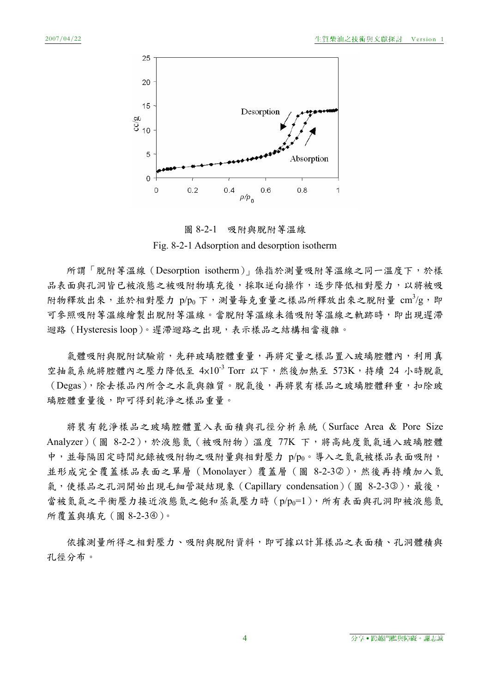

圖 8-2-1 吸附與脫附等溫線 Fig. 8-2-1 Adsorption and desorption isotherm

所謂「脫附等溫線(Desorption isotherm)」係指於測量吸附等溫線之同一溫度下,於樣 品表面與孔洞皆已被液態之被吸附物填充後,採取逆向操作,逐步降低相對壓力,以將被吸 附物釋放出來,並於相對壓力  $p/p_0$ 下,測量每克重量之樣品所釋放出來之脫附量 cm<sup>3</sup>/g,即 可參照吸附等溫線繪製出脫附等溫線。當脫附等溫線未循吸附等溫線之軌跡時,即出現遲滯 迴路(Hysteresis loop)。遲滯迴路之出現,表示樣品之結構相當複雜。

氣體吸附與脫附試驗前,先秤玻璃腔體重量,再將定量之樣品置入玻璃腔體內,利用直 空抽氣系統將腔體內之壓力降低至 4×10<sup>-3</sup> Torr 以下,然後加熱至 573K,持續 24 小時脫氣 (Degas),除去樣品內所含之水氣與雜質。脫氣後,再將裝有樣品之玻璃腔體秤重,扣除玻 璃腔體重量後,即可得到乾淨之樣品重量。

將裝有乾淨樣品之玻璃腔體置入表面積與孔徑分析系統(Surface Area & Pore Size Analyzer)(圖 8-2-2),於液態氮(被吸附物)溫度 77K 下,將高純度氮氣通入玻璃腔體 中,並每隔固定時間紀錄被吸附物之吸附量與相對壓力 p/po。導入之氮氣被樣品表面吸附, 並形成完全覆蓋樣品表面之單層(Monolayer)覆蓋層(圖 8-2-32),然後再持續加入氮 氣,使樣品之孔洞開始出現毛細管凝結現象 (Capillary condensation) (圖 8-2-33),最後, 當被氮氯之平衡壓力接近液態氮之飽和蒸氣壓力時 (p/po=1), 所有表面與孔洞即被液態氮 所覆蓋與填充(圖 8-2-34)。

依據測量所得之相對壓力、吸附與脫附資料,即可據以計算樣品之表面積、孔洞體積與 孔徑分布。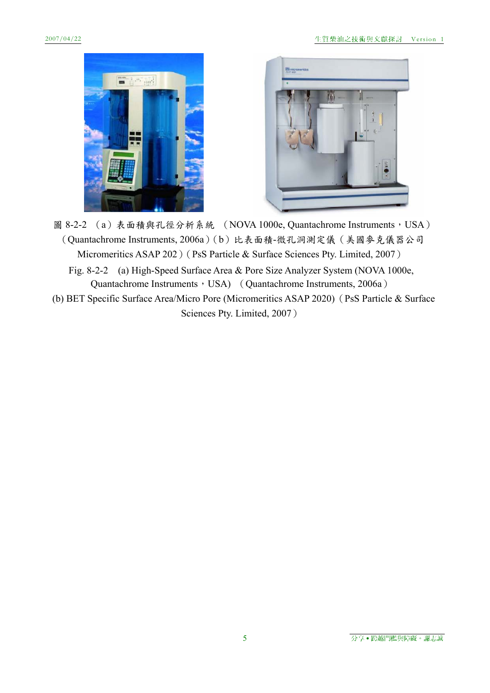



- 圖 8-2-2 (a) 表面積與孔徑分析系統 (NOVA 1000e, Quantachrome Instruments, USA) (Quantachrome Instruments, 2006a)(b)比表面積-微孔洞測定儀(美國麥克儀器公司 Micromeritics ASAP 202) (PsS Particle & Surface Sciences Pty. Limited, 2007)
	- Fig. 8-2-2 (a) High-Speed Surface Area & Pore Size Analyzer System (NOVA 1000e, Quantachrome Instruments, USA) (Quantachrome Instruments, 2006a)
- (b) BET Specific Surface Area/Micro Pore (Micromeritics ASAP 2020)(PsS Particle & Surface Sciences Pty. Limited, 2007)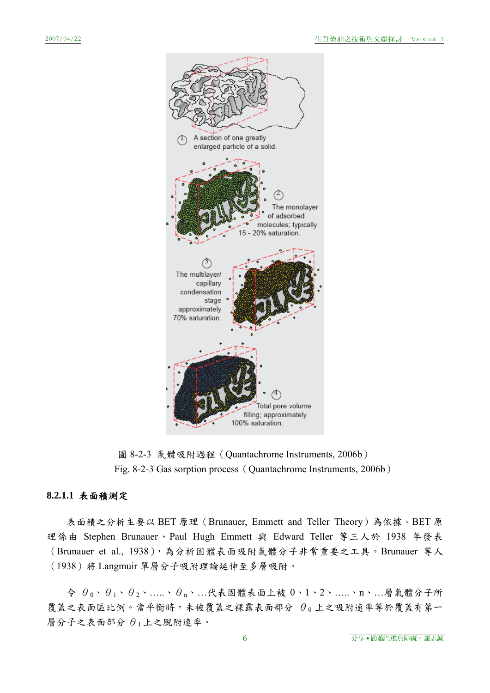

圖 8-2-3 氣體吸附過程(Quantachrome Instruments, 2006b) Fig. 8-2-3 Gas sorption process (Quantachrome Instruments, 2006b)

# **8.2.1.1** 表面積測定

表面積之分析主要以 BET 原理(Brunauer, Emmett and Teller Theory)為依據。BET 原 理係由 Stephen Brunauer、Paul Hugh Emmett 與 Edward Teller 等三人於 1938 年發表 (Brunauer et al., 1938),為分析固體表面吸附氣體分子非常重要之工具。Brunauer 等人 (1938)將 Langmuir 單層分子吸附理論延伸至多層吸附。

 $\hat{\varphi}$   $\theta_0$ 、 $\theta_1$ 、 $\theta_2$ 、……、 $\theta_n$ 、…代表固體表面上被  $0$ 、 $1$ 、 $2$ 、……、n、…層氣體分子所 覆蓋之表面區比例。當平衡時,未被覆蓋之裸露表面部分 θo上之吸附速率等於覆蓋有第一  $\not$ 層分子之表面部分 $\theta_1$ 上之脫附速率。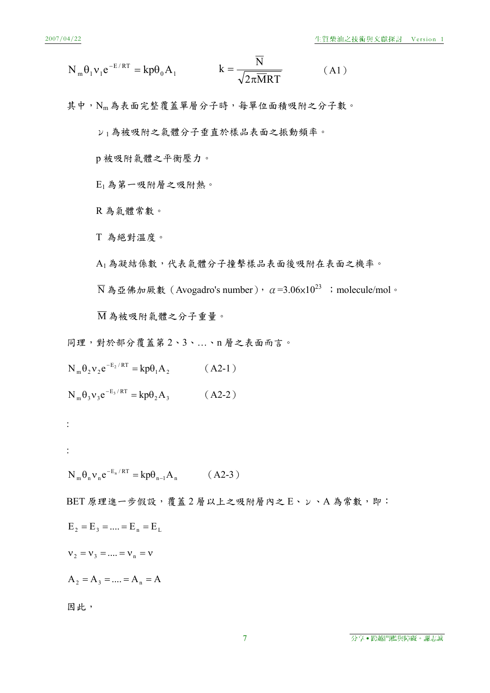$$
N_{m} \theta_{1} v_{1} e^{-E/RT} = k p \theta_{0} A_{1} \qquad k = \frac{\overline{N}}{\sqrt{2 \pi \overline{M} RT}}
$$
 (A1)

其中,Nm為表面完整覆蓋單層分子時,每單位面積吸附之分子數。

ν<sup>1</sup> 為被吸附之氣體分子垂直於樣品表面之振動頻率。

p 被吸附氣體之平衡壓力。

E1 為第一吸附層之吸附熱。

R 為氣體常數。

T 為絕對溫度。

A1為凝結係數,代表氣體分子撞擊樣品表面後吸附在表面之機率。

 $\overline{N}$ 為亞佛加厥數(Avogadro's number),  $\alpha = 3.06 \times 10^{23}$ ; molecule/mol。

M 為被吸附氣體之分子重量。

同理,對於部分覆蓋第 2、3、…、n 層之表面而言。

 $N_m \theta_2 v_2 e^{-E_2/RT} = k p \theta_1 A_2$  (A2-1)

 $N_m \theta_3 v_3 e^{-E_3/RT} = k p \theta_2 A_3$  (A2-2)

 $N_m \theta_n v_n e^{-E_n/RT} = k p \theta_{n-1} A_n$  (A2-3)

BET 原理進一步假設,覆蓋2層以上之吸附層內之 E、 v、A 為常數,即:

$$
\mathbf{E}_\mathbf{2} = \mathbf{E}_\mathbf{3} = .... = \mathbf{E}_\mathbf{n} = \mathbf{E}_\mathbf{L}
$$

 $v_2 = v_3 = ... = v_n = v$ 

 $A_2 = A_3 = ... = A_n = A$ 

因此,

:

: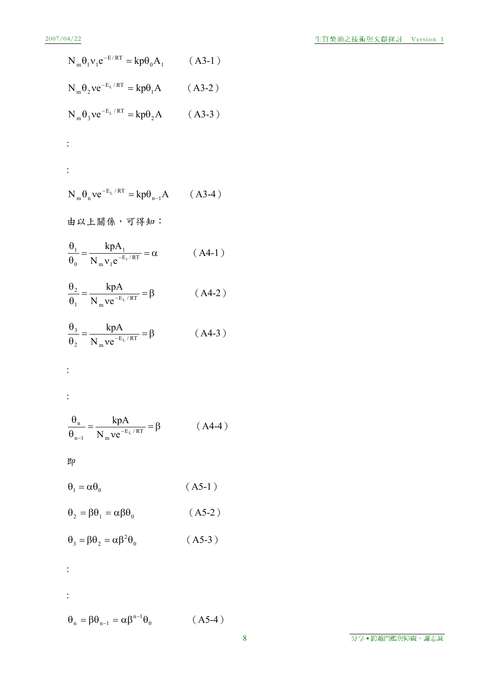$$
N_m \theta_1 v_1 e^{-E/RT} = k p \theta_0 A_1 \qquad (A3-1)
$$

$$
N_m \theta_2 v e^{-E_L/RT} = k p \theta_1 A \qquad (A3-2)
$$

$$
N_m \theta_3 v e^{-E_L/RT} = k p \theta_2 A \qquad (A3-3)
$$

$$
\vdots
$$

$$
\mathcal{A}^{\mathcal{A}}_{\mathcal{A}}(t)
$$

$$
N_m \theta_n v e^{-E_L/RT} = k p \theta_{n-1} A \qquad (A3-4)
$$

由以上關係,可得知:

$$
\frac{\theta_1}{\theta_0} = \frac{k p A_1}{N_m v_1 e^{-E_1/RT}} = \alpha \quad (A4-1)
$$

$$
\frac{\theta_2}{\theta_1} = \frac{kpA}{N_m v e^{-E_L/RT}} = \beta \tag{A4-2}
$$

$$
\frac{\theta_3}{\theta_2} = \frac{k p A}{N_m v e^{-E_L/RT}} = \beta \tag{A4-3}
$$

$$
\{1, \ldots, n\}
$$

$$
\frac{1}{2}
$$

$$
\frac{\theta_{n}}{\theta_{n-1}} = \frac{kpA}{N_{m}ve^{-E_{L}/RT}} = \beta \qquad (A4-4)
$$

$$
\mathbb{R} \mathbb{P}
$$

$$
\theta_1 = \alpha \theta_0 \tag{A5-1}
$$

$$
\theta_2 = \beta \theta_1 = \alpha \beta \theta_0 \qquad (A5-2)
$$

$$
\theta_3 = \beta \theta_2 = \alpha \beta^2 \theta_0 \qquad (A5-3)
$$

$$
\overset{\bullet}{\cdot}
$$

:

 $\theta_n = \beta \theta_{n-1} = \alpha \beta^{n-1} \theta_0$  (A5-4)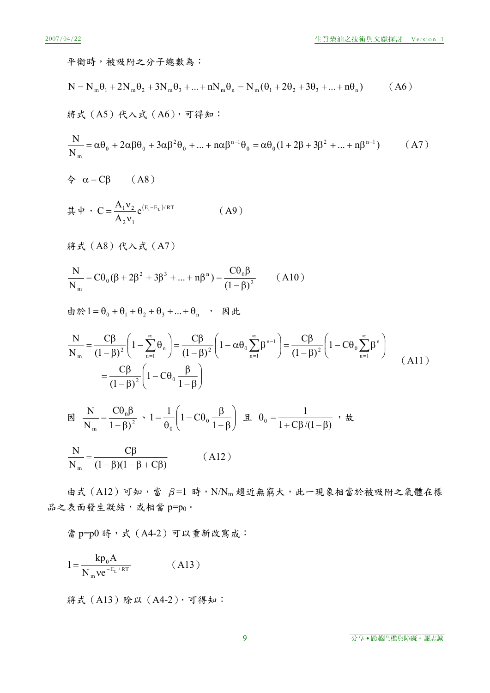$$
A^2 \nabla \psi + B^2 \nabla \psi + B^2 \nabla \psi + C^2 \nabla \psi + C^2 \nabla \psi + C^2 \nabla \psi + C^2 \nabla \psi + C^2 \nabla \psi + C^2 \nabla \psi + C^2 \nabla \psi + C^2 \nabla \psi + C^2 \nabla \psi + C^2 \nabla \psi + C^2 \nabla \psi + C^2 \nabla \psi + C^2 \nabla \psi + C^2 \nabla \psi + C^2 \nabla \psi + C^2 \nabla \psi + C^2 \nabla \psi + C^2 \nabla \psi + C^2 \nabla \psi + C^2 \nabla \psi + C^2 \nabla \psi + C^2 \nabla \psi + C^2 \nabla \psi + C^2 \nabla \psi + C^2 \nabla \psi + C^2 \nabla \psi + C^2 \nabla \psi + C^2 \nabla \psi + C^2 \nabla \psi + C^2 \nabla \psi + C^2 \nabla \psi + C^2 \nabla \psi + C^2 \nabla \psi + C^2 \nabla \psi + C^2 \nabla \psi + C^2 \nabla \psi + C^2 \nabla \psi + C^2 \nabla \psi + C^2 \nabla \psi + C^2 \nabla \psi + C^2 \nabla \psi + C^2 \nabla \psi + C^2 \nabla \psi + C^2 \nabla \psi + C^2 \nabla \psi + C^2 \nabla \psi + C^2 \nabla \psi + C^2 \nabla \psi + C^2 \nabla \psi + C^2 \nabla \psi + C^2 \nabla \psi + C^2 \nabla \psi + C^2 \nabla \psi + C^2 \nabla \psi + C^2 \nabla \psi + C^2 \nabla \psi + C^2 \nabla \psi + C^2 \nabla \psi + C^2 \nabla \psi + C^2 \nabla \psi + C^2 \nabla \psi + C^2 \nabla \psi + C^2 \nabla \psi + C^2 \nabla \psi + C^2 \nabla \psi + C^2 \nabla \psi + C^2 \nabla \psi + C^2 \nabla \psi + C^2 \nabla \psi + C^2 \nabla \psi + C^2 \nabla \psi + C^2 \nabla \psi + C^2 \nabla
$$

由式  $(A12)$  可知,當  $β=1$  時, N/Nm 趨近無窮大, 此一現象相當於被吸附之氣體在樣 品之表面發生凝結,或相當 p=po。

當 p=p0 時,式(A4-2)可以重新改寫成:

$$
1 = \frac{\mathbf{k} \mathbf{p}_0 \mathbf{A}}{N_{\mathrm{m}} \mathbf{v} \mathbf{e}^{-E_L / RT}} \tag{A13}
$$

將式(A13)除以(A4-2),可得知:

9 分享․跨越門檻與障礙。謝志誠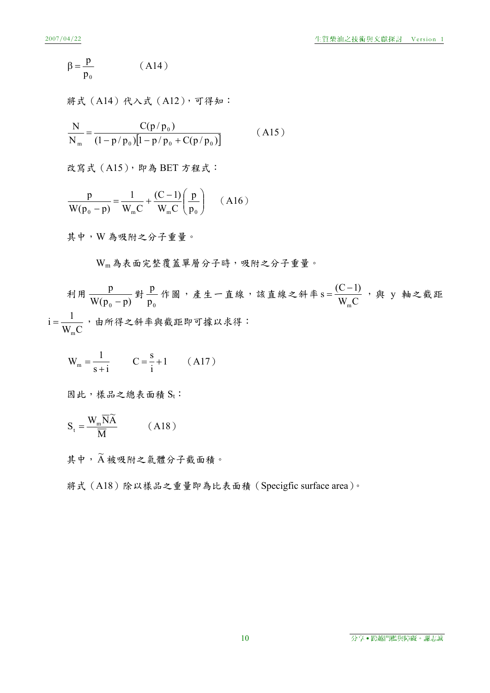$$
\beta = \frac{p}{p_0} \tag{A14}
$$

將式 (A14)代入式 (A12), 可得知:

$$
\frac{N}{N_m} = \frac{C(p/p_0)}{(1 - p/p_0)[1 - p/p_0 + C(p/p_0)]}
$$
(A15)

改寫式 (A15), 即為 BET 方程式:

$$
\frac{p}{W(p_0 - p)} = \frac{1}{W_m C} + \frac{(C - 1)}{W_m C} \left(\frac{p}{p_0}\right) \quad (A16)
$$

其中,W 為吸附之分子重量。

Wm為表面完整覆蓋單層分子時,吸附之分子重量。

利用  $\frac{\text{p}}{\text{W}(\text{p}_\text{0}-\text{p})}$  對  $\frac{\text{p}}{\text{p}_\text{0}}$  作圖,產生一直線,該直線之斜率 s =  $\frac{(\text{C}-1)}{\text{W}_{\text{m}}\text{C}}$ m  $=\frac{(C-1)}{N}$ , 與 y 軸之截距  $W$ <sub>m</sub> $C$  $i = \frac{1}{\cdots}$ m  $=\frac{1}{\sqrt{2}}$ , 由所得之斜率與截距即可據以求得:

$$
W_m = \frac{1}{s+i}
$$
  $C = \frac{s}{i} + 1$  (A17)

因此,樣品之總表面積 St:

$$
S_t = \frac{W_m \overline{N}\widetilde{A}}{\overline{M}} \qquad (A18)
$$

其中, A 被吸附之氣體分子截面積。

將式(A18)除以樣品之重量即為比表面積(Specigfic surface area)。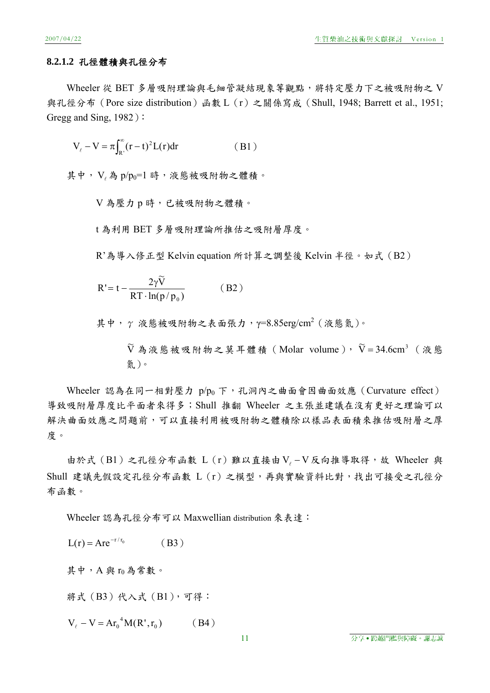# **8.2.1.2** 孔徑體積與孔徑分布

Wheeler 從 BET 多層吸附理論與毛細管凝結現象等觀點,將特定壓力下之被吸附物之 V 與孔徑分布(Pore size distribution)函數 L(r)之關係寫成(Shull, 1948; Barrett et al., 1951; Gregg and Sing, 1982):

$$
V_{\ell} - V = \pi \int_{R'}^{\infty} (r - t)^2 L(r) dr
$$
 (B1)

其中,  $V_a$ 為  $p/p_0=1$ 時, 液態被吸附物之體積。

V 為壓力 p 時,已被吸附物之體積。

t 為利用 BET 多層吸附理論所推估之吸附層厚度。

R'為導入修正型 Kelvin equation 所計算之調整後 Kelvin 半徑。如式(B2)

$$
R' = t - \frac{2\gamma \tilde{V}}{RT \cdot ln(p/p_0)}
$$
 (B2)

其中, γ 液態被吸附物之表面張力, γ=8.85erg/cm<sup>2</sup> (液態氮)。

 $\widetilde{V}$  為液態被吸附物之莫耳體積(Molar volume), $\widetilde{V} =$ 34.6cm<sup>3</sup> (液態 氮)。

Wheeler 認為在同一相對壓力  $p/p_0 \, \mathsf{F} \cdot \mathsf{I} \cdot \mathsf{R} \cdot \mathsf{R}$  ,  $\mathsf{d} \in \mathsf{R}$  and  $\mathsf{d} \in \mathsf{C}$  urvature effect) 導致吸附層厚度比平面者來得多;Shull 推翻 Wheeler 之主張並建議在沒有更好之理論可以 解決曲面效應之問題前,可以直接利用被吸附物之體積除以樣品表面積來推估吸附層之厚 度。

由於式(B1)之孔徑分布函數 L(r)難以直接由V 。– V反向推導取得,故 Wheeler 與 Shull 建議先假設定孔徑分布函數 L(r)之模型,再與實驗資料比對,找出可接受之孔徑分 布函數。

Wheeler 認為孔徑分布可以 Maxwellian distribution 來表達:

$$
L(r) = Are^{-r/r_0}
$$
 (B3)  
其中,A 與 r<sub>0</sub>為常數。  
將式 (B3) 代入式 (B1),可得:

 $V_{\ell} - V = Ar_0^4 M(R', r_0)$  (B4)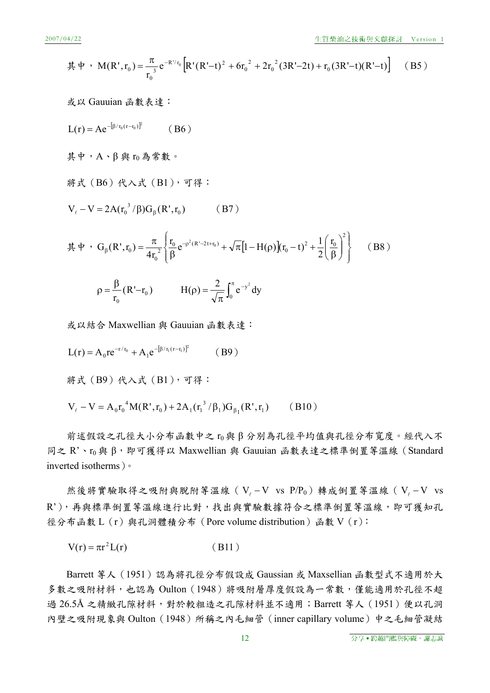$$
\nexists \vec{r} \cdot M(R', r_0) = \frac{\pi}{r_0^3} e^{-R'/r_0} \left[ R'(R'-t)^2 + 6r_0^2 + 2r_0^2 (3R'-2t) + r_0 (3R'-t)(R'-t) \right] \quad (B5)
$$

或以 Gauuian 函數表達: <sup>2</sup> <sup>0</sup> <sup>0</sup> / <sup>r</sup> (r <sup>r</sup> ) L(r) Ae (B6) 其中,A、β 與 r0 為常數。 將式(B6)代入式(B1),可得: V V 2A(r / )G (R',r ) <sup>0</sup> 3 <sup>0</sup> (B7) 其中, 2 2 0 0 0 (R' 2t r ) 2 0 0 r 2 1 <sup>e</sup> <sup>1</sup> H( ) (r t) <sup>r</sup> 4r G (R',r ) <sup>0</sup> <sup>2</sup> (B8) (R' r ) r 0 0 <sup>0</sup> <sup>y</sup> <sup>e</sup> dy <sup>2</sup> H( ) <sup>2</sup>

或以結合 Maxwellian 與 Gauuian 函數表達:

$$
L(r) = A_0 r e^{-r/r_0} + A_1 e^{-[\beta/r_1(r-r_1)]^2}
$$
 (B9)

將式(B9)代入式(B1),可得:

$$
V_{\ell} - V = A_0 r_0^4 M(R', r_0) + 2A_1 (r_1^3 / \beta_1) G_{\beta_1}(R', r_1)
$$
 (B10)

前述假設之孔徑大小分布函數中之 r0 與 β 分別為孔徑平均值與孔徑分布寬度。經代入不 同之 R'、ro與 β, 即可獲得以 Maxwellian 與 Gauuian 函數表達之標準倒置等溫線 (Standard inverted isotherms)。

然後將實驗取得之吸附與脫附等溫線(V  $-V$  vs  $P/P_0$ )轉成倒置等溫線(V  $-V$  vs R'),再與標準倒置等溫線進行比對,找出與實驗數據符合之標準倒置等溫線,即可獲知孔 徑分布函數 L(r)與孔洞體積分布(Pore volume distribution)函數 V(r):

$$
V(r) = \pi r^2 L(r)
$$
 (B11)

Barrett 等人 (1951)認為將孔徑分布假設成 Gaussian 或 Maxsellian 函數型式不適用於大 多數之吸附材料,也認為 Oulton (1948)將吸附層厚度假設為一常數,僅能適用於孔徑不超 過 26.5Å 之精緻孔隙材料, 對於較粗造之孔隙材料並不適用; Barrett 等人 (1951) 便以孔洞 內壁之吸附現象與 Oulton(1948)所稱之內毛細管(inner capillary volume)中之毛細管凝結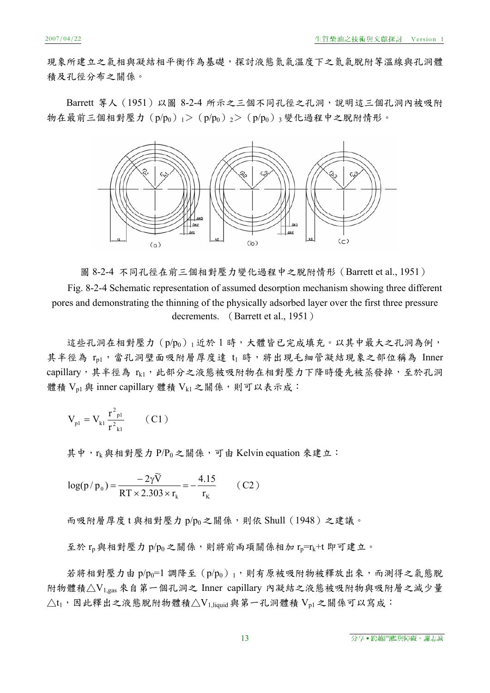現象所建立之氣相與凝結相平衡作為基礎,探討液態氣氣溫度下之氣氣脫附等溫線與孔洞體 積及孔徑分布之關係。

Barrett 等人 (1951) 以圖 8-2-4 所示之三個不同孔徑之孔洞, 說明這三個孔洞內被吸附 物在最前三個相對壓力  $(p/p_0)$   $_1$  >  $(p/p_0)$   $_2$  >  $(p/p_0)$   $_3$  變化過程中之脫附情形。



圖 8-2-4 不同孔徑在前三個相對壓力變化過程中之脫附情形(Barrett et al., 1951) Fig. 8-2-4 Schematic representation of assumed desorption mechanism showing three different pores and demonstrating the thinning of the physically adsorbed layer over the first three pressure decrements. (Barrett et al., 1951)

這些孔洞在相對壓力 (p/po) 」近於 1 時,大體皆已完成填充。以其中最大之孔洞為例, 其半徑為 rp1,當孔洞壁面吸附層厚度達 t1 時,將出現毛細管凝結現象之部位稱為 Inner capillary, 其半徑為 rk1, 此部分之液態被吸附物在相對壓力下降時優先被蒸發掉, 至於孔洞 體積  $V_{p1}$  與 inner capillary 體積  $V_{k1}$  之關係,則可以表示成:

$$
V_{\rm pl} = V_{\rm kl} \frac{r^2_{\rm pl}}{r^2_{\rm kl}} \qquad (C1)
$$

其中, rk 與相對壓力 P/Po之關係,可由 Kelvin equation 來建立:

$$
\log(p/p_0) = \frac{-2\gamma \tilde{V}}{RT \times 2.303 \times r_k} = -\frac{4.15}{r_k}
$$
 (C2)

而吸附層厚度 t 與相對壓力 p/po之關係,則依 Shull (1948) 之建議。

至於 $r_n$ 與相對壓力 $p/p_0$ 之關係,則將前兩項關係相加 $r_n$ = $r_k$ +t 即可建立。

若將相對壓力由 p/po=1 調降至 (p/po) 」, 則有原被吸附物被釋放出來, 而測得之氣態脫 附物體積△V1,gas 來自第一個孔洞之 Inner capillary 內凝結之液態被吸附物與吸附層之減少量  $\triangle$ t<sub>1</sub>,因此釋出之液態脫附物體積 $\triangle$ V<sub>1,liquid</sub>與第一孔洞體積 V<sub>p1</sub> 之關係可以寫成: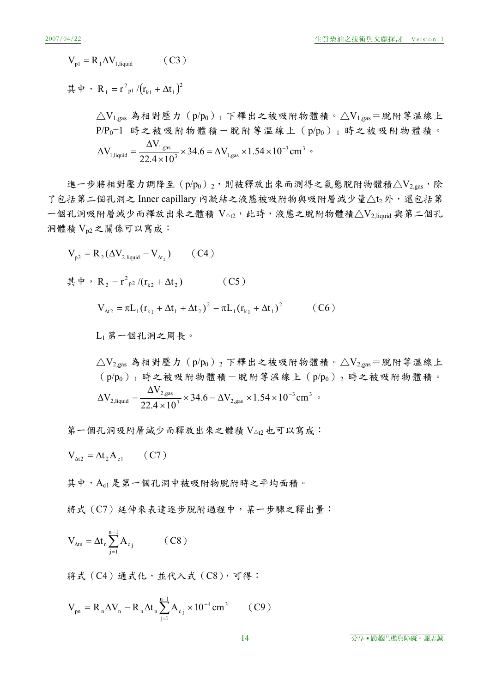$$
V_{\text{pl}} = R_1 \Delta V_{1,\text{liquid}} \qquad (C3)
$$

其中,R<sub>1</sub> = r<sup>2</sup><sub>p1</sub> /(r<sub>k1</sub> +  $\Delta t_1$ )<sup>2</sup>

$$
\triangle V_{1,gas} \triangleq \text{相對座力} (p/p_0) {}_1 \text{下稱出之被r) \text{物體積。}\n\triangle V_{1,gas} = \text{就所等溫線上}
$$
\n
$$
P/P_0 = 1 \quad \text{時 之被limits \text{ 矃 1}\n\text{) # } \text{2} \text{ 1}\n\text{) #} \text{ 1}\n\text{) #} \text{ 1}\n\text{) #} \text{ 1}\n\text{) #} \text{ 1}\n\text{) #} \text{ 1}\n\text{) #} \text{ 1}\n\text{) #} \text{ 1}\n\text{) #} \text{ 1}\n\text{) #} \text{ 1}\n\text{) #} \text{ 1}\n\text{) #} \text{ 1}\n\text{) #} \text{ 1}\n\text{) #} \text{ 1}\n\text{) #} \text{ 1}\n\text{) #} \text{ 1}\n\text{) #} \text{ 1}\n\text{) #} \text{ 1}\n\text{) #} \text{ 1}\n\text{) #} \text{ 1}\n\text{) #} \text{ 1}\n\text{) #} \text{ 1}\n\text{) #} \text{ 1}\n\text{) #} \text{ 1}\n\text{) #} \text{ 1}\n\text{) #} \text{ 1}\n\text{) #} \text{ 1}\n\text{) #} \text{ 1}\n\text{) #} \text{ 1}\n\text{) #} \text{ 1}\n\text{) #} \text{ 1}\n\text{) #} \text{ 1}\n\text{) #} \text{ 1}\n\text{) #} \text{ 1}\n\text{) #} \text{ 1}\n\text{) #} \text{ 1}\n\text{) #} \text{ 1}\n\text{) #} \text{ 1}\n\text{) #} \text{ 1}\n\text{) #} \text{ 1}\n\text{) #} \text{ 1}\n\text{) #} \text{ 1}\n\text{) #} \text{ 1}\n\text{) #} \text{ 1}\n\text{) #} \text{ 1}\n\text{) #} \text{ 1}\n\text{) #} \text{ 1}\n\text{) #} \text{ 1}\n\text{) #} \text{ 1}\n\text{) #} \text{ 1}\
$$

進一步將相對壓力調降至 $(p/p_0)_2$ ,則被釋放出來而測得之氣態脫附物體積 $\triangle V_{2,gas}$ ,除 了包括第二個孔洞之 Inner capillary 內凝結之液態被吸附物與吸附層減少量△t2 外,還包括第 一個孔洞吸附層減少而釋放出來之體積  $V_{\Delta t2}$ ,此時,液態之脫附物體積 $\triangle V_2$ liquid 與第二個孔 洞體積 Vp2 之關係可以寫成:

$$
V_{p2} = R_{2}(\Delta V_{2, liquid} - V_{At_{2}}) \t(C4)
$$
\n
$$
\n\ddot{\mathbf{H}} + \n\ddot{\mathbf{H}} + \n\begin{pmatrix}\nR_{2} = r^{2}P_{p2}/(r_{k2} + \Delta t_{2}) & (C5) \\
V_{At_{2}} = \pi L_{1}(r_{k1} + \Delta t_{1} + \Delta t_{2})^{2} - \pi L_{1}(r_{k1} + \Delta t_{1})^{2} & (C6)\n\end{pmatrix}
$$
\n
$$
L_{1} \dot{\mathbf{H}} - \mathbf{H} \mathbf{H} \mathbf{H} \mathbf{H} \mathbf{H} \mathbf{H} \mathbf{H} \mathbf{H} \mathbf{H} \mathbf{H}
$$
\n
$$
\Delta V_{2, gas} \mathbf{H} \mathbf{H} \mathbf{H} \mathbf{H} \mathbf{H} \mathbf{H} \mathbf{H} \mathbf{H} \mathbf{H} \mathbf{H} \mathbf{H} \mathbf{H} \mathbf{H} \mathbf{H} \mathbf{H} \mathbf{H} \mathbf{H} \mathbf{H} \mathbf{H} \mathbf{H} \mathbf{H} \mathbf{H} \mathbf{H} \mathbf{H} \mathbf{H} \mathbf{H} \mathbf{H} \mathbf{H} \mathbf{H} \mathbf{H} \mathbf{H} \mathbf{H} \mathbf{H} \mathbf{H} \mathbf{H} \mathbf{H} \mathbf{H} \mathbf{H} \mathbf{H} \mathbf{H} \mathbf{H} \mathbf{H} \mathbf{H} \mathbf{H} \mathbf{H} \mathbf{H} \mathbf{H} \mathbf{H} \mathbf{H} \mathbf{H} \mathbf{H} \mathbf{H} \mathbf{H} \mathbf{H} \mathbf{H} \mathbf{H} \mathbf{H} \mathbf{H} \mathbf{H} \mathbf{H} \mathbf{H} \mathbf{H} \mathbf{H} \mathbf{H} \mathbf{H} \mathbf{H} \mathbf{H} \mathbf{H} \mathbf{H} \mathbf{H} \mathbf{H} \mathbf{H} \mathbf{H} \mathbf{H} \mathbf{H} \mathbf{H} \mathbf{H} \mathbf{H} \mathbf{H} \mathbf{H} \
$$

第一個孔洞吸附層減少而釋放出來之體積 V△t2 也可以寫成:

$$
V_{\Delta t2} = \Delta t_2 A_{c1} \qquad (C7)
$$

其中,Ac1是第一個孔洞中被吸附物脫附時之平均面積。

將式(C7)延伸來表達逐步脫附過程中,某一步驟之釋出量:

$$
V_{\Delta t n} = \Delta t_n \sum_{j=1}^{n-1} A_{c_j} \qquad (C8)
$$

將式(C4)通式化,並代入式(C8),可得:

$$
V_{pn} = R_n \Delta V_n - R_n \Delta t_n \sum_{j=1}^{n-1} A_{c_j} \times 10^{-4} \text{ cm}^3 \qquad (C9)
$$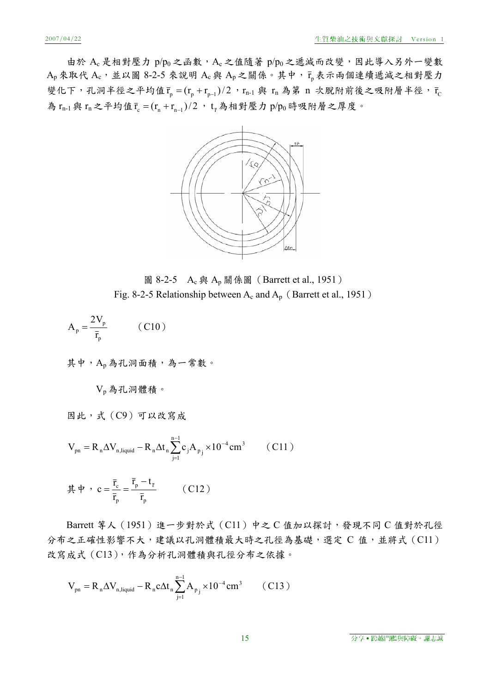由於 Ac 是相對壓力 p/po 之函數, Ac 之值隨著 p/po 之遞減而改變, 因此導入另外一變數  $A_p$ 來取代 $A_c$ ,並以圖 8-2-5 來說明  $A_c$ 與  $A_p$ 之關係。其中,  $\bar{r}_p$ 表示兩個連續遞減之相對壓力 變化下,孔洞半徑之平均值 $\bar{r}_p = (r_p + r_{p-1})/2$ , $r_{n-1}$ 與  $r_n$ 為第 n 次脫附前後之吸附層半徑, $\bar{r}_C$ 為  $r_{n-1}$ 與  $r_n$ 之平均值 $\bar{r}_c = (r_n + r_{n-1})/2$ ,  $t_{\bar{r}}$ 為相對壓力  $p/p_0$ 時吸附層之厚度。



圖 8-2-5 A<sub>c</sub> 與 A<sub>p</sub> 關係圖 (Barrett et al., 1951) Fig. 8-2-5 Relationship between  $A_c$  and  $A_p$  (Barrett et al., 1951)

$$
A_p = \frac{2V_p}{\bar{r}_p} \qquad (C10)
$$

其中,Ap 為孔洞面積,為一常數。

$$
V_p
$$
為托河體積。

因此,式(C9)可以改寫成

$$
V_{pn} = R_n \Delta V_{n, liquid} - R_n \Delta t_n \sum_{j=1}^{n-1} c_j A_{p_j} \times 10^{-4} \text{ cm}^3 \qquad (C11)
$$

$$
\stackrel{\cdot}{\mathbf{\mathcal{F}}} \stackrel{\cdot}{\mathbf{\mathcal{F}}} \cdot \mathbf{c} = \frac{\overline{\mathbf{r}}_{\rm c}}{\overline{\mathbf{r}}_{\rm p}} = \frac{\overline{\mathbf{r}}_{\rm p} - \mathbf{t}_{\rm \bar{r}}}{\overline{\mathbf{r}}_{\rm p}} \qquad (C12)
$$

Barrett 等人 (1951)進一步對於式 (C11)中之 C 值加以探討,發現不同 C 值對於孔徑 分布之正確性影響不大,建議以孔洞體積最大時之孔徑為基礎,選定 C 值,並將式 (Cl1) 改寫成式 (C13), 作為分析孔洞體積與孔徑分布之依據。

$$
V_{pn} = R_n \Delta V_{n, liquid} - R_n c \Delta t_n \sum_{j=1}^{n-1} A_{p_j} \times 10^{-4} \text{ cm}^3 \qquad (C13)
$$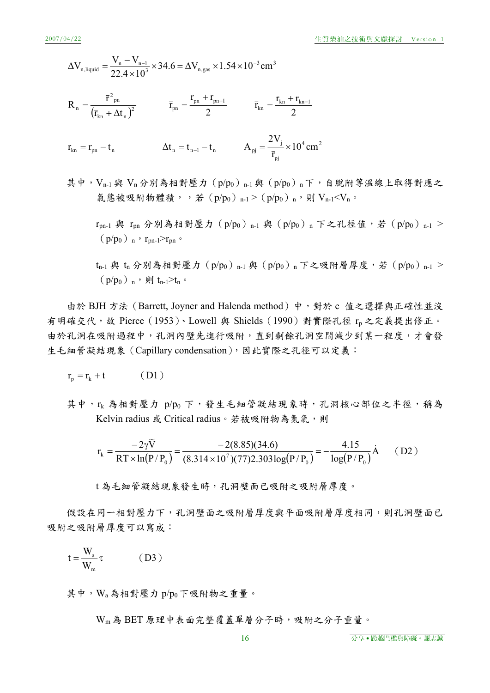等溫線上取得對應之

$$
\Delta V_{n, liquid} = \frac{V_n - V_{n-1}}{22.4 \times 10^3} \times 34.6 = \Delta V_{n, gas} \times 1.54 \times 10^{-3} \text{ cm}^3
$$
\n
$$
R_n = \frac{\bar{r}^2_{pn}}{(\bar{r}_{kn} + \Delta t_n)^2} \qquad \bar{r}_{pn} = \frac{r_{pn} + r_{pn-1}}{2} \qquad \bar{r}_{kn} = \frac{r_{kn} + r_{kn-1}}{2}
$$
\n
$$
r_{kn} = r_{pn} - t_n \qquad \Delta t_n = t_{n-1} - t_n \qquad A_{pj} = \frac{2V_j}{\bar{r}_{pj}} \times 10^4 \text{ cm}^2
$$
\n
$$
\n\ddot{\text{H}} + V_{n-1} \n\ddot{\text{H}} = V_n \n\dot{\text{H}} + V_{n-1} \n\ddot{\text{H}} = V_n \n\dot{\text{H}} = V_n \qquad \text{for } \bar{r}_{pj} \qquad \text{for } \bar{r}_{pj} \qquad \text{for } \bar{r}_{pj} \qquad \text{for } \bar{r}_{pj} \qquad \text{for } \bar{r}_{pj} \qquad \text{for } \bar{r}_{pj} \qquad \text{for } \bar{r}_{pj} \qquad \text{for } \bar{r}_{pj} \qquad \text{for } \bar{r}_{pj} \qquad \text{for } \bar{r}_{pj} \qquad \text{for } \bar{r}_{pj} \qquad \text{for } \bar{r}_{pj} \qquad \text{for } \bar{r}_{pj} \qquad \text{for } \bar{r}_{pj} \qquad \text{for } \bar{r}_{pj} \qquad \text{for } \bar{r}_{pj} \qquad \text{for } \bar{r}_{pj} \qquad \text{for } \bar{r}_{pj} \qquad \text{for } \bar{r}_{pj} \qquad \text{for } \bar{r}_{pj} \qquad \text{for } \bar{r}_{pj} \qquad \text{for } \bar{r}_{pj} \qquad \text{for } \bar{r}_{pj} \qquad \text{for } \bar{r}_{pj} \qquad \text{for } \bar{r}_{pj} \qquad \text{for } \bar{r}_{pj} \qquad \text{for } \bar{r}_{pj} \qquad \text{for } \bar{r}_{pj} \qquad \text{for } \bar{r}_{pj} \q
$$

 $r_{pn-1}$  與  $r_{pn}$  分別為相對壓力 (p/p<sub>0</sub>)<sub>n-1</sub> 與 (p/p<sub>0</sub>)<sub>n</sub> 下之孔徑值,若 (p/p<sub>0</sub>)<sub>n-1</sub> >  $(p/p_0)$ <sub>n</sub>,  $r_{pn-1}>r_{pn}$ 

 $t_{n-1}$ 與 $t_n$ 分別為相對壓力 $(p/p_0)_{n-1}$ 與 $(p/p_0)_{n}$ 下之吸附層厚度,若 $(p/p_0)_{n-1}$  >  $(p/p_0)$  n, 則 t<sub>n-1</sub>>t<sub>n</sub>。

由於 BJH 方法 (Barrett, Joyner and Halenda method) 中,對於 c 值之選擇與正確性並沒 有明確交代,故 Pierce (1953)、Lowell 與 Shields (1990) 對實際孔徑 rp 之定義提出修正。 由於孔洞在吸附過程中,孔洞內壁先進行吸附,直到剩餘孔洞空間減少到某一程度,才會發 生毛細管凝結現象 (Capillary condensation), 因此實際之孔徑可以定義:

$$
\mathbf{r}_{\mathbf{p}} = \mathbf{r}_{\mathbf{k}} + \mathbf{t} \tag{D1}
$$

其中, rk 為相對壓力 p/po 下,發生毛細管凝結現象時,孔洞核心部位之半徑,稱為 Kelvin radius 或 Critical radius。若被吸附物為氮氯,則

$$
r_{k} = \frac{-2\gamma \tilde{V}}{RT \times ln(P/P_{0})} = \frac{-2(8.85)(34.6)}{(8.314 \times 10^{7})(77)2.303 log(P/P_{0})} = -\frac{4.15}{log(P/P_{0})} \dot{A}
$$
 (D2)

t 為毛細管凝結現象發生時,孔洞壁面已吸附之吸附層厚度。

假設在同一相對壓力下,孔洞壁面之吸附層厚度與平面吸附層厚度相同,則孔洞壁面已 吸附之吸附層厚度可以寫成:

$$
t = \frac{W_a}{W_m} \tau \qquad (D3)
$$

其中, Wa為相對壓力 p/po下吸附物之重量。

Wm為 BET 原理中表面完整覆蓋單層分子時,吸附之分子重量。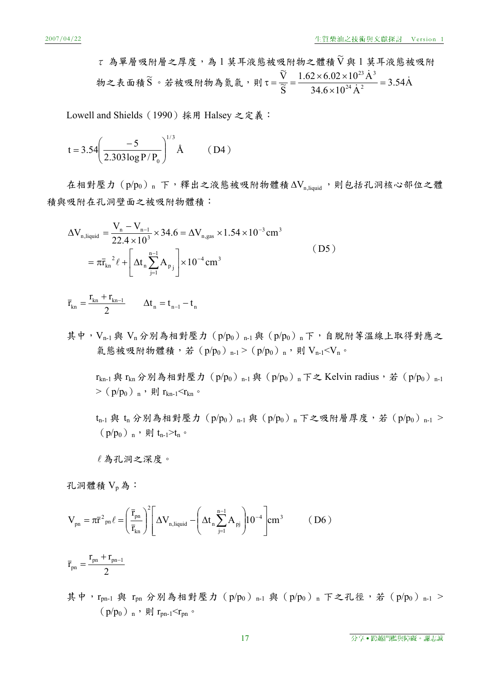$\tau$  為單層吸附層之厚度,為1莫耳液態被吸附物之體積 $\widetilde{V}$ 與1莫耳液態被吸附 物之表面積 $\widetilde{S}$ 。若被吸附物為氮氣,則τ= $\frac{V}{\widetilde{S}} = \frac{1.62 \times 6.02 \times 10^{23} A^3}{2.544 \times 10^{24} A^3} = 3.54 A$  $34.6 \times 10^{24}$  A  $1.62 \times 6.02 \times 10^{23}$  A  $\overline{\widetilde{S}}$  $\widetilde{\nabla}$ 24  $\lambda$  2  $\tau = \frac{\widetilde{V}}{\widetilde{S}} = \frac{1.62 \times 6.02 \times 10^{23} \text{ Å}^3}{34.6 \times 10^{24} \text{ Å}^2} = 3.54 \text{ Å}$ 

Lowell and Shields(1990)採用 Halsey 之定義:

$$
t = 3.54 \left( \frac{-5}{2.303 \log P/P_0} \right)^{1/3} \text{Å} \qquad (D4)
$$

在相對壓力 $(p/p_0)$  n 下, 釋出之液態被吸附物體積 $\Delta V_{n \text{ liquid}}$ , 則包括孔洞核心部位之體 積與吸附在孔洞壁面之被吸附物體積:

$$
\Delta V_{n, liquid} = \frac{V_n - V_{n-1}}{22.4 \times 10^3} \times 34.6 = \Delta V_{n, gas} \times 1.54 \times 10^{-3} \text{ cm}^3
$$
  
=  $\pi \bar{r}_{kn}^2 \ell + \left[ \Delta t_n \sum_{j=1}^{n-1} A_{p_j} \right] \times 10^{-4} \text{ cm}^3$  (D5)

$$
\overline{r}_{kn}=\frac{r_{kn}+r_{kn-1}}{2}\qquad \Delta t_n=t_{n-1}-t_n
$$

其中,  $V_{n-1}$ 與  $V_n$ 分別為相對壓力 (p/po)  $n-1$ 與 (p/po)  $n \in \mathcal{F}$ , 自脫附等溫線上取得對應之 氣態被吸附物體積,若(p/po)n-1 >(p/po)n,則 Vn-1 < Vn。

 $r_{kn-1}$ 與  $r_{kn}$ 分別為相對壓力(p/p<sub>0</sub>)<sub>n-1</sub> 與(p/p<sub>0</sub>)<sub>n</sub> 下之 Kelvin radius,若(p/p<sub>0</sub>)<sub>n-1</sub> > (p/p<sub>0</sub>) n, 則 r<sub>kn-1</sub><rkn。

 $t_{n-1}$ 與 $t_n$ 分別為相對壓力 $(p/p_0)_{n-1}$ 與 $(p/p_0)_{n}$ 下之吸附層厚度,若 $(p/p_0)_{n-1}$  >  $(p/p_0)$ <sub>n</sub>,則t<sub>n-1</sub>>t<sub>n</sub>。

為孔洞之深度。

孔洞體積 VB為:

$$
V_{pn} = \pi \bar{r}^{2}{}_{pn} \ell = \left(\frac{\bar{r}_{pn}}{\bar{r}_{kn}}\right)^{2} \left[\Delta V_{n, liquid} - \left(\Delta t_{n} \sum_{j=1}^{n-1} A_{pj}\right) 10^{-4}\right] cm^{3} \tag{D6}
$$

$$
\overline{r}_{\textrm{pn}}=\frac{r_{\textrm{pn}}+r_{\textrm{pn}-1}}{2}
$$

其中, rpn-1 與 rpn 分別為相對壓力 (p/po) n-1 與 (p/po) n 下之孔徑, 若 (p/po) n-1 >  $(p/p_0)$  n, 則  $r_{pn-1}$  <  $r_{pn}$  。

17 またり 17 および 19 分享 ● 跨越門檻與障礙。謝志誠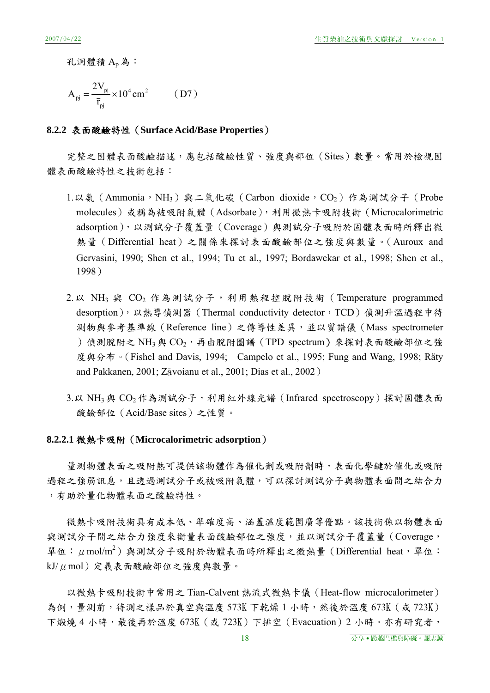孔洞體積 A<sub>n</sub>為:

$$
A_{pj} = \frac{2V_{pj}}{\bar{r}_{pj}} \times 10^4 \text{ cm}^2 \qquad (D7)
$$

#### **8.2.2** 表面酸鹼特性(**Surface Acid/Base Properties**)

完整之固體表面酸鹼描述,應包括酸鹼性質、強度與部位(Sites)數量。常用於檢視固 體表面酸鹼特性之技術包括:

- 1.以氨 (Ammonia,NH<sub>3</sub>) 與二氧化碳 (Carbon dioxide,CO<sub>2</sub>) 作為測試分子 (Probe molecules)或稱為被吸附氣體(Adsorbate),利用微熱卡吸附技術(Microcalorimetric adsorption),以測試分子覆蓋量(Coverage)與測試分子吸附於固體表面時所釋出微 熱量(Differential heat)之關係來探討表面酸鹼部位之強度與數量。(Auroux and Gervasini, 1990; Shen et al., 1994; Tu et al., 1997; Bordawekar et al., 1998; Shen et al., 1998)
- $2. \,$  W NH<sub>3</sub> 與 CO<sub>2</sub> 作為測試分子,利用熱程控脫附技術 (Temperature programmed desorption),以熱導偵測器 (Thermal conductivity detector,TCD) 偵測升溫過程中待 測物與參考基準線(Reference line)之傳導性差異,並以質譜儀(Mass spectrometer )偵測脫附之 NH3與  $CO<sub>2</sub>$ , 再由脫附圖譜 (TPD spectrum) 來探討表面酸鹼部位之強 度與分布。(Fishel and Davis, 1994; Campelo et al., 1995; Fung and Wang, 1998; Räty and Pakkanen, 2001; Zãvoianu et al., 2001; Dias et al., 2002)
- 3.以 NH<sub>3</sub> 與 CO<sub>2</sub> 作為測試分子,利用紅外線光譜 (Infrared spectroscopy) 探討固體表面 酸鹼部位(Acid/Base sites)之性質。

#### **8.2.2.1** 微熱卡吸附(**Microcalorimetric adsorption**)

量測物體表面之吸附熱可提供該物體作為催化劑或吸附劑時,表面化學鍵於催化或吸附 過程之強弱訊息,且透過測試分子或被吸附氣體,可以探討測試分子與物體表面間之結合力 ,有助於量化物體表面之酸鹼特性。

微熱卡吸附技術具有成本低、準確度高、涵蓋溫度範圍廣等優點。該技術係以物體表面 與測試分子間之結合力強度來衡量表面酸鹼部位之強度,並以測試分子覆蓋量(Coverage, 單位: μmol/m<sup>2</sup>)與測試分子吸附於物體表面時所釋出之微熱量 (Differential heat, 單位: kJ/ $\mu$ mol)定義表面酸鹼部位之強度與數量。

以微熱卡吸附技術中常用之 Tian-Calvent 熱流式微熱卡儀(Heat-flow microcalorimeter) 為例,量測前,待測之樣品於真空與溫度 573K 下乾燥 1 小時,然後於溫度 673K (或 723K) 下煅燒4小時,最後再於溫度 673K(或 723K)下排空(Evacuation)2 小時。亦有研究者,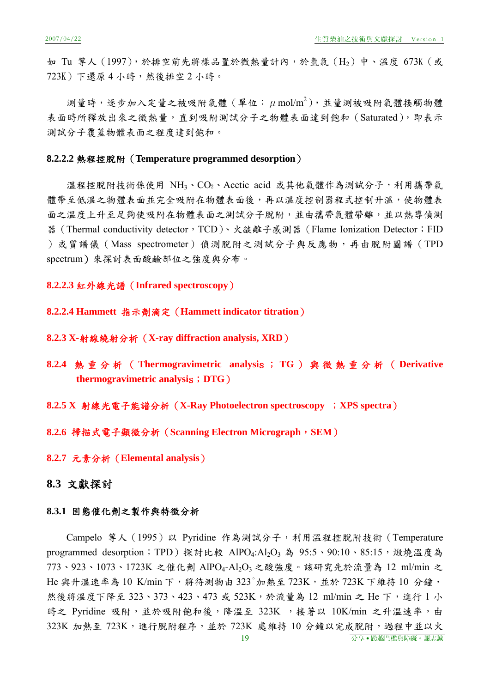如 Tu 等人 (1997),於排空前先將樣品置於微熱量計內,於氫氣 (H2)中、溫度 673K (或 723K)下還原 4 小時,然後排空 2 小時。

測量時,逐步加入定量之被吸附氣體(單位:  $\mu$ mol/m<sup>2</sup>),並量測被吸附氣體接觸物體 表面時所釋放出來之微熱量,直到吸附測試分子之物體表面達到飽和(Saturated),即表示 測試分子覆蓋物體表面之程度達到飽和。

#### **8.2.2.2** 熱程控脫附(**Temperature programmed desorption**)

溫程控脫附技術係使用 NH3、CO2、Acetic acid 或其他氣體作為測試分子,利用攜帶氣 體帶至低溫之物體表面並完全吸附在物體表面後,再以溫度控制器程式控制升溫,使物體表 面之溫度上升至足夠使吸附在物體表面之測試分子脫附,並由攜帶氣體帶離,並以熱導偵測 器 (Thermal conductivity detector, TCD)、火燄離子感測器 (Flame Ionization Detector; FID )或質譜儀(Mass spectrometer)偵測脫附之測試分子與反應物,再由脫附圖譜(TPD spectrum)來探討表面酸鹼部位之強度與分布。

## **8.2.2.3** 紅外線光譜(**Infrared spectroscopy**)

### **8.2.2.4 Hammett** 指示劑滴定(**Hammett indicator titration**)

#### **8.2.3 X-**射線繞射分析(**X-ray diffraction analysis, XRD**)

- **8.2.4** 熱重分析( **Thermogravimetric analysi**s ; **TG** )與微熱重分析( **Derivative thermogravimetric analysi**s;**DTG**)
- **8.2.5 X** 射線光電子能譜分析(**X-Ray Photoelectron spectroscopy** ;**XPS spectra**)

#### **8.2.6** 掃描式電子顯微分析(**Scanning Electron Micrograph**,**SEM**)

**8.2.7** 元素分析(**Elemental analysis**)

# **8.3** 文獻探討

## **8.3.1** 固態催化劑之製作與特徵分析

Campelo 等人(1995)以 Pyridine 作為測試分子,利用溫程控脫附技術(Temperature programmed desorption; TPD) 探討比較 AlPO<sub>4</sub>:Al<sub>2</sub>O<sub>3</sub> 為 95:5、90:10、85:15,煅燒溫度為 773、923、1073、1723K 之催化劑 AlPO4-Al2O3 之酸強度。該研究先於流量為 12 ml/min 之 He 與升溫速率為 10 K/min 下,將待測物由 323°加熱至 723K,並於 723K 下維持 10 分鐘, 然後將溫度下降至 323、373、423、473 或 523K,於流量為 12 ml/min 之 He 下,進行 1 小 時之 Pyridine 吸附,並於吸附飽和後,降溫至 323K, 接著以 10K/min 之升溫速率,由 323K 加熱至 723K,進行脫附程序,並於 723K 處維持 10 分鐘以完成脫附,過程中並以火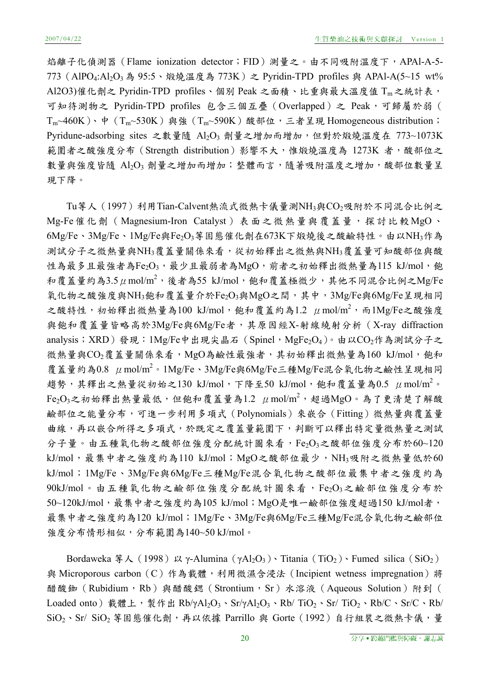焰離子化偵測器 (Flame ionization detector;FID)測量之。由不同吸附溫度下,APAl-A-5-773 (AlPO<sub>4</sub>:Al<sub>2</sub>O<sub>3</sub> 為 95:5、煅燒溫度為 773K) 之 Pyridin-TPD profiles 與 APAl-A(5~15 wt% Al2O3)催化劑之 Pyridin-TPD profiles、個別 Peak 之面積、比重與最大溫度值 Tm之統計表, 可知待測物之 Pyridin-TPD profiles 包含三個互疊 (Overlapped) 之 Peak,可歸屬於弱 (  $T_{m}$ ~460K)、中( $T_{m}$ ~530K)與強( $T_{m}$ ~590K)酸部位,三者呈現 Homogeneous distribution; Pyridune-adsorbing sites 之數量隨 Al2O3 劑量之增加而增加,但對於煅燒溫度在 773~1073K 範圍者之酸強度分布 (Strength distribution)影響不大,惟煅燒溫度為 1273K 者,酸部位之 數量與強度皆隨 Al2O3 劑量之增加而增加;整體而言,隨著吸附溫度之增加,酸部位數量呈 現下降。

Tu等人(1997)利用Tian-Calvent熱流式微熱卡儀量測NH3與CO2吸附於不同混合比例之 Mg-Fe催化劑(Magnesium-Iron Catalyst)表面之微熱量與覆蓋量,探討比較MgO、 6Mg/Fe、3Mg/Fe、1Mg/Fe與Fe2O3等固態催化劑在673K下煅燒後之酸鹼特性。由以NH3作為 測試分子之微熱量與NH3覆蓋量關係來看,從初始釋出之微熱與NH3覆蓋量可知酸部位與酸 性為最多且最強者為Fe2O3,最少且最弱者為MgO,前者之初始釋出微熱量為115 kJ/mol,飽 和覆蓋量約為3.5  $\mu$  mol/m<sup>2</sup>,後者為55 kJ/mol,飽和覆蓋極微少,其他不同混合比例之Mg/Fe 氧化物之酸強度與NH3飽和覆蓋量介於Fe2O3與MgO之間,其中,3Mg/Fe與6Mg/Fe呈現相同 之酸特性,初始釋出微熱量為100 kJ/mol,飽和覆蓋約為1.2 μmol/m<sup>2</sup>,而1Mg/Fe之酸強度 與飽和覆蓋量皆略高於3Mg/Fe與6Mg/Fe者,其原因經X-射線繞射分析 (X-ray diffraction analysis;XRD)發現:1Mg/Fe中出現尖晶石 (Spinel,MgFe<sub>2</sub>O<sub>4</sub>)。由以CO<sub>2</sub>作為測試分子之 微熱量與CO<sub>2</sub>覆蓋量關係來看,MgO為鹼性最強者,其初始釋出微熱量為160 kJ/mol,飽和 覆蓋量約為0.8 μmol/m<sup>2</sup>。1Mg/Fe、3Mg/Fe與6Mg/Fe三種Mg/Fe混合氧化物之鹼性呈現相同 趨勢,其釋出之熱量從初始之130 kJ/mol,下降至50 kJ/mol,飽和覆蓋量為0.5  $\,\mu\,{\rm mol/m}^2$ 。  $\mathrm{Fe_{2}O_{3}}$ 之初始釋出熱量最低,但飽和覆蓋量為1.2  $\,\mu$ mol/m $^{2}$ ,超過 $\mathrm{MgO}$ 。為了更清楚了解酸 鹼部位之能量分布,可進一步利用多項式(Polynomials)來嵌合(Fitting)微熱量與覆蓋量 曲線,再以嵌合所得之多項式,於既定之覆蓋量範圍下,判斷可以釋出特定量微熱量之測試 分子量。由五種氧化物之酸部位強度分配統計圖來看,Fe2O3之酸部位強度分布於60~120 kJ/mol,最集中者之強度約為110 kJ/mol; MgO之酸部位最少, NH3吸附之微熱量低於60 kJ/mol;1Mg/Fe、3Mg/Fe與6Mg/Fe三種Mg/Fe混合氧化物之酸部位最集中者之強度約為  $90$ kJ/mol。由五種氧化物之鹼部位強度分配統計圖來看,Fe2O3之鹼部位強度分布於 50~120kJ/mol, 最集中者之強度約為105 kJ/mol; MgO是唯一鹼部位強度超過150 kJ/mol者, 最集中者之強度約為120 kJ/mol;1Mg/Fe、3Mg/Fe與6Mg/Fe三種Mg/Fe混合氧化物之鹼部位 強度分布情形相似,分布範圍為140~50 kJ/mol。

Bordaweka  $\frac{4}{3}$  A (1998)  $\frac{1}{2}$  γ-Alumina (γAl<sub>2</sub>O<sub>3</sub>) Titania (TiO<sub>2</sub>) Fumed silica (SiO<sub>2</sub>) 與 Microporous carbon (C)作為載體,利用微濕含浸法 (Incipient wetness impregnation)將 醋酸銣(Rubidium,Rb)與醋酸鍶(Strontium,Sr)水溶液(Aqueous Solution)附到( Loaded onto) 載體上,製作出 Rb/γAl2O3、Sr/γAl2O3、Rb/ TiO2、Sr/ TiO2、Rb/C、Sr/C、Rb/  $\text{SiO}_2 \cdot \text{Sr/ SiO}_2$  等固態催化劑, 再以依據 Parrillo 與 Gorte (1992) 自行組裝之微熱卡儀, 量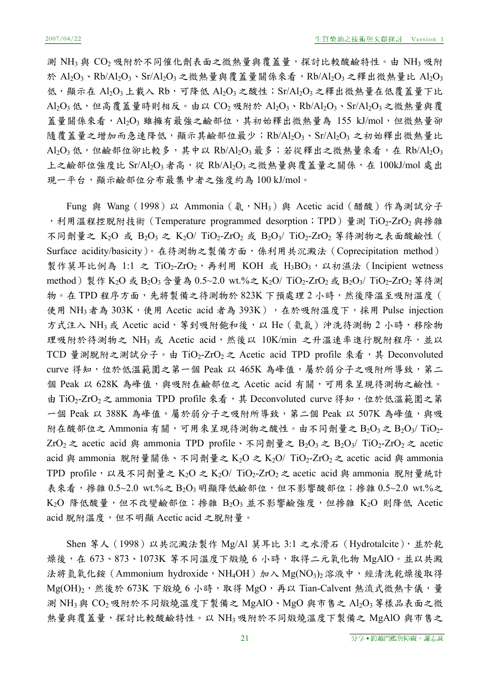測 NH3 與 CO2 吸附於不同催化劑表面之微熱量與覆蓋量,探討比較酸鹼特性。由 NH3 吸附 於 Al<sub>2</sub>O<sub>3</sub>、Rb/Al<sub>2</sub>O<sub>3</sub>、Sr/Al<sub>2</sub>O<sub>3</sub>之微熱量與覆蓋量關係來看,Rb/Al<sub>2</sub>O<sub>3</sub>之釋出微熱量比 Al<sub>2</sub>O<sub>3</sub> 低,顯示在  $Al_2O_3$ 上載入  $Rb$ ,可降低  $Al_2O_3$ 之酸性; Sr/ $Al_2O_3$ 之釋出微熱量在低覆蓋量下比 Al<sub>2</sub>O<sub>3</sub> 低,但高覆蓋量時則相反。由以 CO<sub>2</sub> 吸附於 Al<sub>2</sub>O<sub>3</sub>、Rb/Al<sub>2</sub>O<sub>3</sub>、Sr/Al<sub>2</sub>O<sub>3</sub> 之微熱量與覆 蓋量關係來看, Al2O3 雖擁有最強之鹼部位,其初始釋出微熱量為 155 kJ/mol, 但微熱量卻 隨覆蓋量之增加而急速降低,顯示其鹼部位最少;Rb/Al2O3、Sr/Al2O3 之初始釋出微熱量比  $\mathrm{Al}_2\mathrm{O}_3$ 低,但鹼部位卻比較多,其中以  $\mathrm{Rb/Al}_2\mathrm{O}_3$ 最多;若從釋出之微熱量來看,在  $\mathrm{Rb/Al}_2\mathrm{O}_3$ 上之鹼部位強度比 Sr/Al<sub>2</sub>O<sub>3</sub>者高,從 Rb/Al<sub>2</sub>O<sub>3</sub>之微熱量與覆蓋量之關係,在 100kJ/mol 處出 現一平台,顯示鹼部位分布最集中者之強度約為 100 kJ/mol。

Fung 與 Wang (1998) 以 Ammonia (氨, NH<sub>3</sub>) 與 Acetic acid (醋酸) 作為測試分子 ,利用溫程控脫附技術 (Temperature programmed desorption; TPD)量測 TiO2-ZrO2 與摻雜 不同劑量之 K<sub>2</sub>O 或 B<sub>2</sub>O<sub>3</sub> 之 K<sub>2</sub>O/ TiO<sub>2</sub>-ZrO<sub>2</sub> 或 B<sub>2</sub>O<sub>3</sub>/ TiO<sub>2</sub>-ZrO<sub>2</sub> 等待測物之表面酸鹼性 ( Surface acidity/basicity)。在待測物之製備方面,係利用共沉澱法(Coprecipitation method) 製作莫耳比例為 1:1 之 TiO<sub>2</sub>-ZrO<sub>2</sub>, 再利用 KOH 或 H<sub>3</sub>BO<sub>3</sub>, 以初濕法 (Incipient wetness method)製作 K<sub>2</sub>O 或 B<sub>2</sub>O<sub>3</sub> 含量為 0.5~2.0 wt.%之 K<sub>2</sub>O/ TiO<sub>2</sub>-ZrO<sub>2</sub> 或 B<sub>2</sub>O<sub>3</sub>/ TiO<sub>2</sub>-ZrO<sub>2</sub> 等待測 物。在 TPD 程序方面,先將製備之待測物於 823K 下預處理 2 小時,然後降溫至吸附溫度 ( 使用 NH3者為 303K,使用 Acetic acid 者為 393K),在於吸附溫度下,採用 Pulse injection 方式注入 NH3 或 Acetic acid, 等到吸附飽和後, 以 He (氦氣)沖洗待測物 2 小時, 移除物 理吸附於待測物之 NH3 或 Acetic acid,然後以 10K/min 之升溫速率進行脫附程序,並以 TCD 量測脫附之測試分子。由 TiO<sub>2</sub>-ZrO<sub>2</sub> 之 Acetic acid TPD profile 來看, 其 Deconvoluted curve 得知,位於低溫範圍之第一個 Peak 以 465K 為峰值,屬於弱分子之吸附所導致,第二 個 Peak 以 628K 為峰值,與吸附在鹼部位之 Acetic acid 有關,可用來呈現待測物之鹼性。 由 TiO<sub>2</sub>-ZrO<sub>2</sub>之 ammonia TPD profile 來看,其 Deconvoluted curve 得知,位於低溫範圍之第 一個 Peak 以 388K 為峰值,屬於弱分子之吸附所導致,第二個 Peak 以 507K 為峰值,與吸 附在酸部位之 Ammonia 有關,可用來呈現待測物之酸性。由不同劑量之  $B_2O_3 \geq B_2O_3/\text{TiO}_2$ -ZrO<sub>2</sub> 之 acetic acid 與 ammonia TPD profile、不同劑量之 B<sub>2</sub>O<sub>3</sub> 之 B<sub>2</sub>O<sub>3</sub>/ TiO<sub>2</sub>-ZrO<sub>2</sub> 之 acetic acid 與 ammonia 脫附量關係、不同劑量之 K<sub>2</sub>O 之 K<sub>2</sub>O/ TiO<sub>2</sub>-ZrO<sub>2</sub> 之 acetic acid 與 ammonia TPD profile,以及不同劑量之 K<sub>2</sub>O 之 K<sub>2</sub>O/ TiO<sub>2</sub>-ZrO<sub>2</sub> 之 acetic acid 與 ammonia 脫附量統計 表來看,摻雜  $0.5$ ~2.0 wt.%之  $B_2O_3$ 明顯降低鹼部位,但不影響酸部位;摻雜  $0.5$ ~2.0 wt.%之  $K_2O$  降低酸量,但不改變鹼部位;摻雜  $B_2O_3$ 並不影響鹼強度,但摻雜  $K_2O$  則降低 Acetic acid 脫附溫度,但不明顯 Acetic acid 之脫附量。

Shen 等人 (1998) 以共沉澱法製作 Mg/Al 莫耳比 3:1 之水滑石 (Hydrotalcite), 並於乾 燥後,在 673、873、1073K 等不同溫度下煅燒 6 小時,取得二元氧化物 MgAlO。並以共澱 法將氫氧化銨 (Ammonium hydroxide,NH<sub>4</sub>OH) 加入 Mg(NO<sub>3</sub>)<sub>2</sub> 溶液中, 經清洗乾燥後取得  $Mg(OH)_2$ ,然後於 673K 下煅燒 6 小時,取得 MgO,再以 Tian-Calvent 熱流式微熱卡儀,量 測 NH<sub>3</sub> 與 CO<sub>2</sub> 吸附於不同煅燒溫度下製備之 MgAlO、MgO 與市售之 Al<sub>2</sub>O<sub>3</sub> 等樣品表面之微 熱量與覆蓋量,探討比較酸鹼特性。以 NH3 吸附於不同煅燒溫度下製備之 MgAlO 與市售之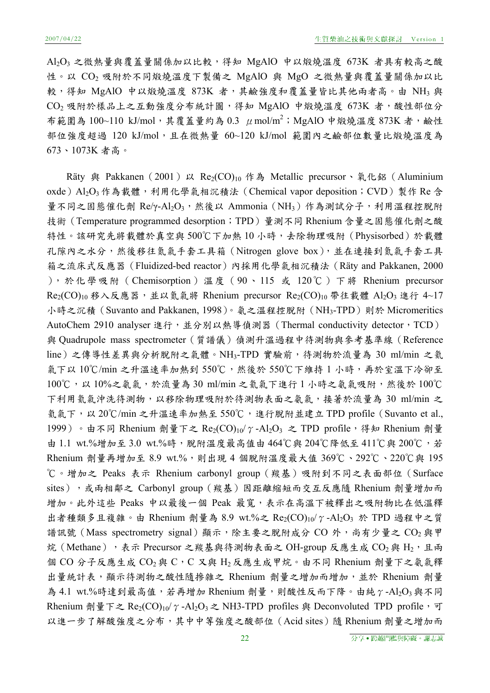Al2O3 之微熱量與覆蓋量關係加以比較,得知 MgAlO 中以煅燒溫度 673K 者具有較高之酸 性。以 CO2 吸附於不同煅燒溫度下製備之 MgAlO 與 MgO 之微熱量與覆蓋量關係加以比 較,得知 MgAlO 中以煅燒溫度 873K 者,其鹼強度和覆蓋量皆比其他兩者高。由 NH3 與  $CO<sub>2</sub>$  吸附於樣品上之互動強度分布統計圖,得知 MgAlO 中煅燒溫度 673K 者,酸性部位分 布範圍為 100~110 kJ/mol,其覆蓋量約為 0.3 μmol/m<sup>2</sup>;MgAlO 中煅燒溫度 873K 者,鹼性 部位強度超過 120 kJ/mol,且在微熱量 60~120 kJ/mol 範圍內之鹼部位數量比煅燒溫度為 673、1073K 者高。

Räty 與 Pakkanen (2001) 以 Re<sub>2</sub>(CO)<sub>10</sub> 作為 Metallic precursor、氧化鋁(Aluminium oxde) Al<sub>2</sub>O<sub>3</sub> 作為載體,利用化學氣相沉積法 (Chemical vapor deposition; CVD) 製作 Re 含 量不同之固態催化劑 Re/γ-Al2O3,然後以 Ammonia (NH3)作為測試分子,利用溫程控脫附 技術 (Temperature programmed desorption;TPD)量測不同 Rhenium 含量之固態催化劑之酸 特性。該研究先將載體於真空與 500℃下加熱 10 小時,去除物理吸附 (Physisorbed)於載體 孔隙內之水分,然後移往氮氣手套工具箱(Nitrogen glove box),並在連接到氮氣手套工具 箱之流床式反應器(Fluidized-bed reactor)內採用化學氣相沉積法(Räty and Pakkanen, 2000 ),於化學吸附(Chemisorption)溫度(90、115 或 120℃)下將 Rhenium precursor  $Re<sub>2</sub>(CO)<sub>10</sub>$  移入反應器,並以氮氣將 Rhenium precursor  $Re<sub>2</sub>(CO)<sub>10</sub>$  帶往載體 Al2O<sub>3</sub> 進行 4~17 小時之沉積(Suvanto and Pakkanen, 1998)。氨之溫程控脫附(NH3-TPD)則於 Micromeritics AutoChem 2910 analyser 進行,並分別以熱導偵測器 (Thermal conductivity detector, TCD) 與 Quadrupole mass spectrometer (質譜儀)偵測升溫過程中待測物與參考基準線 (Reference line)之傳導性差異與分析脫附之氣體。NH3-TPD 實驗前,待測物於流量為 30 ml/min 之氦 氣下以 10℃/min 之升溫速率加熱到 550℃,然後於 550℃下維持 1 小時,再於室溫下冷卻至 100℃,以 10%之氨氣,於流量為 30 ml/min 之氦氣下進行 1 小時之氨氣吸附,然後於 100℃ 下利用氦氣沖洗待測物,以移除物理吸附於待測物表面之氨氣,接著於流量為 30 ml/min 之 氦氣下,以 20℃/min 之升溫速率加熱至 550℃,進行脫附並建立 TPD profile(Suvanto et al., 1999)。由不同 Rhenium 劑量下之 Re2(CO)10/γ-Al2O3 之 TPD profile, 得知 Rhenium 劑量 由 1.1 wt.%增加至 3.0 wt.%時,脫附溫度最高值由 464℃與 204℃降低至 411℃與 200℃,若 Rhenium 劑量再增加至 8.9 wt.%,則出現 4 個脫附溫度最大值 369℃、292℃、220℃與 195 ℃。增加之 Peaks 表示 Rhenium carbonyl group(羰基)吸附到不同之表面部位(Surface sites), 或兩相鄰之 Carbonyl group (羰基)因距離縮短而交互反應隨 Rhenium 劑量增加而 增加。此外這些 Peaks 中以最後一個 Peak 最寬,表示在高溫下被釋出之吸附物比在低溫釋 出者種類多且複雜。由 Rhenium 劑量為 8.9 wt.%之 Re2(CO)10/  $\gamma$  -Al2O3 於 TPD 過程中之質 譜訊號 (Mass spectrometry signal) 顯示,除主要之脫附成分 CO 外,尚有少量之 CO<sub>2</sub> 與甲 烷(Methane),表示 Precursor 之羰基與待測物表面之 OH-group 反應生成  $CO_2$ 與 H<sub>2</sub>,且兩 個 CO 分子反應生成 CO<sub>2</sub>與 C, C 又與 H<sub>2</sub>反應生成甲烷。由不同 Rhenium 劑量下之氨氣釋 出量統計表,顯示待測物之酸性隨摻雜之 Rhenium 劑量之增加而增加,並於 Rhenium 劑量 為 4.1 wt.%時達到最高值,若再增加 Rhenium 劑量,則酸性反而下降。由純  $\gamma$ -Al2O3與不同 Rhenium 劑量下之 Re<sub>2</sub>(CO)<sub>10</sub>/ $\gamma$ -Al<sub>2</sub>O<sub>3</sub> 之 NH3-TPD profiles 與 Deconvoluted TPD profile, 可 以進一步了解酸強度之分布,其中中等強度之酸部位 (Acid sites)隨 Rhenium 劑量之增加而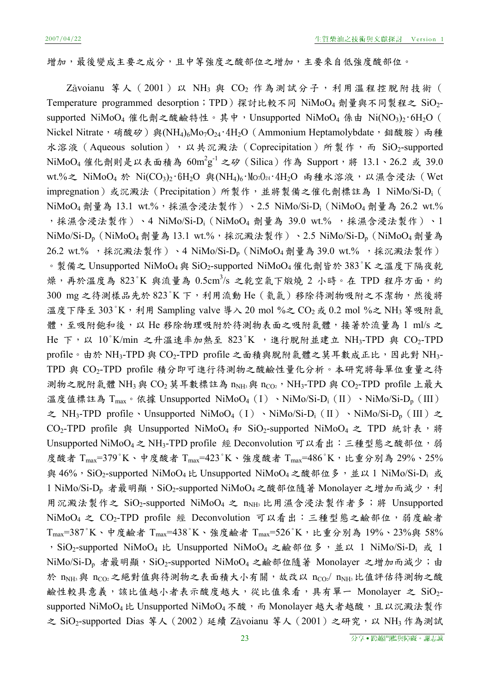增加,最後變成主要之成分,且中等強度之酸部位之增加,主要來自低強度酸部位。

Zavoianu 等人 (2001) 以 NH3 與 CO<sub>2</sub> 作為測試分子,利用溫程控脫附技術 ( Temperature programmed desorption;TPD)探討比較不同 NiMoO4 劑量與不同製程之 SiO2supported NiMoO<sub>4</sub> 催化劑之酸鹼特性。其中, Unsupported NiMoO<sub>4</sub> 係由 Ni(NO<sub>3</sub>)<sub>2</sub>·6H<sub>2</sub>O ( Nickel Nitrate, 硝酸矽)與(NH<sub>4)6</sub>Mo<sub>7</sub>O<sub>24</sub>·4H<sub>2</sub>O (Ammonium Heptamolybdate, 鉬酸胺)兩種 水溶液(Aqueous solution),以共沉澱法(Coprecipitation)所製作,而 SiO<sub>2</sub>-supported  $\mathrm{NiMoO}_4$  催化劑則是以表面積為  $60\mathrm{m}^2\mathrm{g}^{-1}$  之矽 (Silica) 作為  $\mathrm{Support}$ ,將  $13.1$ 、26.2 或 39.0 wt.%之 NiMoO<sub>4</sub> 於 Ni(CO<sub>3</sub>)<sub>2</sub>·6H<sub>2</sub>O 與(NH<sub>4)6</sub>·Mo<sub>7</sub>O<sub>24</sub>·4H<sub>2</sub>O 兩種水溶液,以濕含浸法 (Wet impregnation) 或沉澱法 (Precipitation) 所製作,並將製備之催化劑標註為 1 NiMo/Si-D<sub>i</sub> ( NiMoO<sub>4</sub> 劑量為 13.1 wt.%,採濕含浸法製作)、2.5 NiMo/Si-D<sub>i</sub> (NiMoO<sub>4</sub> 劑量為 26.2 wt.% ,採濕含浸法製作)、4 NiMo/Si-D<sub>i</sub> (NiMoO<sub>4</sub> 劑量為 39.0 wt.% ,採濕含浸法製作)、1 NiMo/Si-D<sub>p</sub> (NiMoO<sub>4</sub> 劑量為 13.1 wt.%,採沉澱法製作)、2.5 NiMo/Si-D<sub>p</sub> (NiMoO<sub>4</sub> 劑量為 26.2 wt.%, 採沉澱法製作)、4 NiMo/Si-D<sub>p</sub> (NiMoO<sub>4</sub> 劑量為 39.0 wt.%, 採沉澱法製作) 。製備之 Unsupported NiMoO4 與 SiO2-supported NiMoO4 催化劑皆於 383°K 之溫度下隔夜乾 燥,再於溫度為 823°K 與流量為 0.5cm<sup>3</sup>/s 之乾空氣下煅燒 2 小時。在 TPD 程序方面,約 300 mg 之待測樣品先於 823°K下,利用流動 He(氦氣)移除待測物吸附之不潔物,然後將 溫度下降至 303°K,利用 Sampling valve 導入 20 mol %之  $CO_2 \le 0.2$  mol %之 NH3 等吸附氣 體,至吸附飽和後,以 He 移除物理吸附於待測物表面之吸附氣體,接著於流量為 1 ml/s 之 He 下, 以 10°K/min 之升溫速率加熱至 823°K, 進行脫附並建立 NH3-TPD 與 CO2-TPD profile。由於 NH<sub>3</sub>-TPD 與 CO<sub>2</sub>-TPD profile 之面積與脫附氣體之莫耳數成正比,因此對 NH<sub>3</sub>-TPD 與 CO2-TPD profile 積分即可進行待測物之酸鹼性量化分析。本研究將每單位重量之待 測物之脫附氣體 NH<sub>3</sub> 與 CO<sub>2</sub> 莫耳數標註為  $n_{NH}$ ; 與  $n_{CO}$ , NH<sub>3</sub>-TPD 與 CO<sub>2</sub>-TPD profile 上最大 溫度值標註為 T<sub>max</sub>。依據 Unsupported NiMoO<sub>4</sub> (I) 、NiMo/Si-D<sub>i</sub> (II) 、NiMo/Si-D<sub>p</sub> (III) 之 NH<sub>3</sub>-TPD profile、Unsupported NiMoO<sub>4</sub> (I)、NiMo/Si-D<sub>i</sub>(II)、NiMo/Si-D<sub>p</sub>(III)之 CO<sub>2</sub>-TPD profile 與 Unsupported NiMoO<sub>4</sub> 和 SiO<sub>2</sub>-supported NiMoO<sub>4</sub> 之 TPD 統計表,將 Unsupported NiMoO<sub>4</sub>之 NH<sub>3</sub>-TPD profile 經 Deconvolution 可以看出:三種型態之酸部位,弱 度酸者 Tmax=379°K、中度酸者 Tmax=423°K、強度酸者 Tmax=486°K, 比重分別為 29%、25% 與 46%, SiO<sub>2</sub>-supported NiMoO<sub>4</sub> 比 Unsupported NiMoO<sub>4</sub> 之酸部位多, 並以 1 NiMo/Si-D<sub>i</sub> 或 1 NiMo/Si-D<sub>p</sub> 者最明顯, SiO<sub>2</sub>-supported NiMoO<sub>4</sub>之酸部位隨著 Monolayer 之增加而減少, 利 用沉澱法製作之 SiO2-supported NiMoO4 之 nNH3 比用濕含浸法製作者多;將 Unsupported NiMoO4 之 CO2-TPD profile 經 Deconvolution 可以看出:三種型態之鹼部位,弱度鹼者 Tmax=387°K、中度鹼者 Tmax=438°K、強度鹼者 Tmax=526°K,比重分別為 19%、23%與 58% , SiO<sub>2</sub>-supported NiMoO<sub>4</sub> 比 Unsupported NiMoO<sub>4</sub> 之鹼部位多, 並以 1 NiMo/Si-D<sub>i</sub> 或 1 NiMo/Si-D<sub>p</sub> 者最明顯, SiO<sub>2</sub>-supported NiMoO<sub>4</sub> 之鹼部位隨著 Monolayer 之增加而減少;由 於 nNH3與 nCO2之絕對值與待測物之表面積大小有關,故改以 nCO2/ nNH3比值評估待測物之酸 鹼性較具意義,該比值越小者表示酸度越大,從比值來看,具有單一 Monolayer 之 SiO2supported NiMoO<sub>4</sub> 比 Unsupported NiMoO<sub>4</sub> 不酸,而 Monolayer 越大者越酸,且以沉澱法製作 之 SiO<sub>2</sub>-supported Dias 等人 (2002) 延續 Zavoianu 等人 (2001) 之研究, 以 NH3 作為測試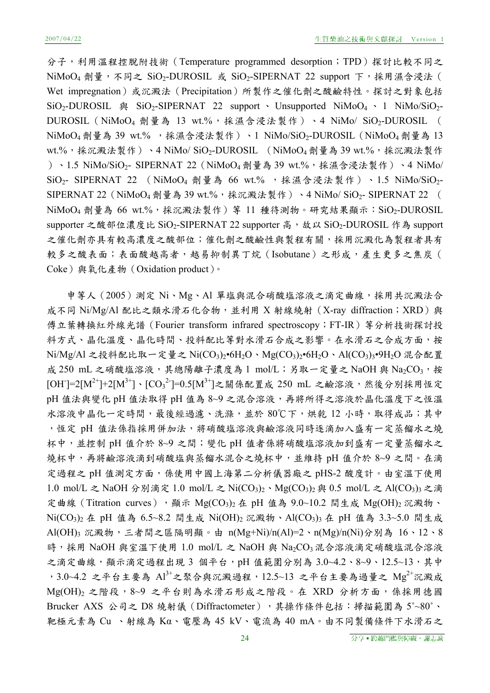分子,利用溫程控脫附技術 (Temperature programmed desorption;TPD)探討比較不同之 NiMoO<sub>4</sub> 劑量,不同之 SiO<sub>2</sub>-DUROSIL 或 SiO<sub>2</sub>-SIPERNAT 22 support 下,採用濕含浸法( Wet impregnation)或沉澱法(Precipitation)所製作之催化劑之酸鹼特性。探討之對象包括  $SiO_2$ -DUROSIL  $\dot{\mathfrak{B}}$  SiO<sub>2</sub>-SIPERNAT 22 support · Unsupported NiMoO<sub>4</sub> · 1 NiMo/SiO<sub>2</sub>-DUROSIL (NiMoO<sub>4</sub> 劑量為 13 wt.%,採濕含浸法製作)、4 NiMo/ SiO<sub>2</sub>-DUROSIL ( NiMoO<sub>4</sub> 劑量為 39 wt.%, 採濕含浸法製作)、1 NiMo/SiO<sub>2</sub>-DUROSIL (NiMoO<sub>4</sub> 劑量為 13 wt.%,採沉澱法製作)、4 NiMo/ SiO<sub>2</sub>-DUROSIL (NiMoO<sub>4</sub> 劑量為 39 wt.%,採沉澱法製作 )、1.5 NiMo/SiO2- SIPERNAT 22 (NiMoO4 劑量為 39 wt.%,採濕含浸法製作)、4 NiMo/ SiO<sub>2</sub>- SIPERNAT 22 (NiMoO<sub>4</sub> 劑量為 66 wt.%, 採濕含浸法製作), 1.5 NiMo/SiO<sub>2</sub>-SIPERNAT 22 (NiMoO<sub>4</sub> 劑量為 39 wt.%,採沉澱法製作)、4 NiMo/ SiO<sub>2</sub>- SIPERNAT 22 (  $NiMoO<sub>4</sub>$ 劑量為 66 wt.%,採沉澱法製作)等 11 種待測物。研究結果顯示: $SiO<sub>2</sub>$ -DUROSIL supporter 之酸部位濃度比 SiO2-SIPERNAT 22 supporter 高, 故以 SiO2-DUROSIL 作為 support 之催化劑亦具有較高濃度之酸部位;催化劑之酸鹼性與製程有關,採用沉澱化為製程者具有 較多之酸表面;表面酸越高者,越易抑制異丁烷(Isobutane)之形成,產生更多之焦炭( Coke)與氧化產物(Oxidation product)。

申等人 (2005)測定 Ni、Mg、Al 單塩與混合硝酸塩溶液之滴定曲線,採用共沉澱法合 成不同 Ni/Mg/Al 配比之類水滑石化合物,並利用 X 射線繞射 (X-ray diffraction; XRD) 與 傅立葉轉換紅外線光譜(Fourier transform infrared spectroscopy;FT-IR)等分析技術探討投 料方式、晶化溫度、晶化時間、投料配比等對水滑石合成之影響。在水滑石之合成方面,按 Ni/Mg/Al 之投料配比取一定量之 Ni(CO<sub>3</sub>)<sub>2</sub>•6H<sub>2</sub>O、Mg(CO<sub>3</sub>)<sub>2</sub>•6H<sub>2</sub>O、Al(CO<sub>3</sub>)<sub>3</sub>•9H<sub>2</sub>O 混合配置 成 250 mL 之硝酸塩溶液,其總陽離子濃度為 1 mol/L;另取一定量之 NaOH 與 Na2CO3,按 [OH]=2[M<sup>2+</sup>]+2[M<sup>3+</sup>]、[CO<sub>3</sub><sup>2</sup>]=0.5[M<sup>3+</sup>]之關係配置成 250 mL 之鹼溶液,然後分別採用恆定 pH 值法與變化 pH 值法取得 pH 值為 8~9 之混合溶液,再將所得之溶液於晶化溫度下之恆溫 水溶液中晶化一定時間,最後經過濾、洗滌,並於 80℃下,烘乾 12 小時,取得成品;其中 ,恆定 pH 值法係指採用併加法,將硝酸塩溶液與鹼溶液同時逐滴加入盛有一定蒸餾水之燒 杯中,並控制 pH 值介於 8~9 之間;變化 pH 值者係將硝酸塩溶液加到盛有一定量蒸餾水之 燒杯中,再將鹼溶液滴到硝酸塩與蒸餾水混合之燒杯中,並維持 pH 值介於 8~9 之間。在滴 定過程之 pH 值測定方面,係使用中國上海第二分析儀器廠之 pHS-2 酸度計。由室溫下使用 1.0 mol/L 之 NaOH 分別滴定 1.0 mol/L 之 Ni(CO<sub>3</sub>)<sub>2</sub>、Mg(CO<sub>3</sub>)<sub>2</sub> 與 0.5 mol/L 之 Al(CO<sub>3</sub>)<sub>3</sub> 之滴 定曲線(Titration curves),顯示 Mg(CO<sub>3</sub>)<sub>2</sub> 在 pH 值為 9.0~10.2 間生成 Mg(OH)<sub>2</sub> 沉澱物、 Ni(CO3)2 在 pH 值為 6.5~8.2 間生成 Ni(OH)2 沉澱物、Al(CO3)3 在 pH 值為 3.3~5.0 間生成 Al(OH)3 沉澱物,三者間之區隔明顯。由 n(Mg+Ni)/n(Al)=2、n(Mg)/n(Ni)分別為 16、12、8 時,採用 NaOH 與室溫下使用 1.0 mol/L 之 NaOH 與 Na2CO3 混合溶液滴定硝酸塩混合溶液 之滴定曲線,顯示滴定過程出現 3 個平台,pH 值範圍分別為 3.0~4.2、8~9、12.5~13,其中 , 3.0~4.2 之平台主要為  $Al^{3+}$ 之聚合與沉澱過程, 12.5~13 之平台主要為過量之  $Mg^{2+}n$ 澱成 Mg(OH)<sub>2</sub> 之階段,8~9 之平台則為水滑石形成之階段。在 XRD 分析方面,係採用德國 Brucker AXS 公司之 D8 繞射儀 (Diffractometer), 其操作條件包括:掃描範圍為 5°~80°、 靶極元素為 Cu 、射線為 Kα、電壓為 45 kV、電流為 40 mA。由不同製備條件下水滑石之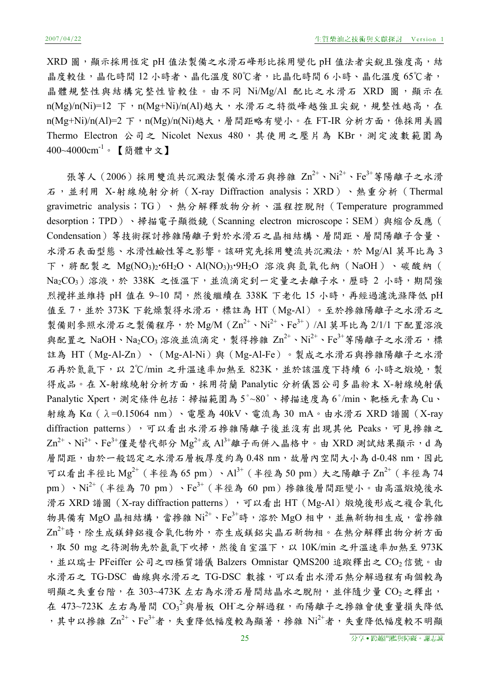XRD 圖,顯示採用恆定 pH 值法製備之水滑石峰形比採用變化 pH 值法者尖銳且強度高,結 晶度較佳,晶化時間 12 小時者、晶化溫度 80℃者,比晶化時間 6 小時、晶化溫度 65℃者, 晶體規整性與結構完整性皆較佳。由不同 Ni/Mg/Al 配比之水滑石 XRD 圖,顯示在 n(Mg)/n(Ni)=12 下,n(Mg+Ni)/n(Al)越大,水滑石之特徵峰越強且尖銳,規整性越高,在 n(Mg+Ni)/n(Al)=2 下,n(Mg)/n(Ni)越大,層間距略有變小。在 FT-IR 分析方面,係採用美國 Thermo Electron 公司之 Nicolet Nexus 480,其使用之壓片為 KBr,測定波數範圍為 400~4000cm<sup>-1</sup>。【簡體中文】

張等人(2006)採用雙流共沉澱法製備水滑石與摻雜  $\text{Zn}^{2+} \cdot \text{Ni}^{2+} \cdot \text{Fe}^{3+}$ 等陽離子之水滑 石,並利用 X-射線繞射分析(X-ray Diffraction analysis;XRD)、熱重分析(Thermal gravimetric analysis;TG)、熱分解釋放物分析、溫程控脫附(Temperature programmed desorption;TPD)、掃描電子顯微鏡 (Scanning electron microscope;SEM)與縮合反應( Condensation)等技術探討摻雜陽離子對於水滑石之晶相結構、層間距、層間陽離子含量、 水滑石表面型態、水滑性鹼性等之影響。該研究先採用雙流共沉澱法,於 Mg/Al 莫耳比為 3 下,將配製之 Mg(NO3)26H2O、Al(NO3)39H2O 溶液與氫氧化納(NaOH)、碳酸納( Na<sub>2</sub>CO<sub>3</sub>)溶液,於 338K 之恆溫下,並流滴定到一定量之去離子水,歷時 2 小時,期間強 烈攪拌並維持 pH 值在 9~10 間,然後繼續在 338K 下老化 15 小時,再經過濾洗滌降低 pH 值至 7,並於 373K 下乾燥製得水滑石,標註為 HT (Mg-Al)。至於摻雜陽離子之水滑石之 製備則參照水滑石之製備程序,於 Mg/M  $(Zn^{2+} \cdot Ni^{2+} \cdot Fe^{3+})$  /Al 莫耳比為 2/1/1 下配置溶液 與配置之 NaOH、Na<sub>2</sub>CO<sub>3</sub> 溶液並流滴定,製得掺雜 Zn<sup>2+</sup>、Ni<sup>2+</sup>、Fe<sup>3+</sup>等陽離子之水滑石,標 註為 HT (Mg-Al-Zn)、 (Mg-Al-Ni)與 (Mg-Al-Fe)。製成之水滑石與摻雜陽離子之水滑 石再於氮氣下,以 2℃/min 之升溫速率加熱至 823K, 並於該溫度下持續 6 小時之煅燒,製 得成品。在 X-射線繞射分析方面,採用荷蘭 Panalytic 分析儀器公司多晶粉末 X-射線繞射儀 Panalytic Xpert,測定條件包括:掃描範圍為 5°~80°、掃描速度為 6°/min、靶極元素為 Cu、 射線為 Kα(λ=0.15064 nm)、電壓為 40kV、電流為 30 mA。由水滑石 XRD 譜圖(X-ray diffraction patterns),可以看出水滑石掺雜陽離子後並沒有出現其他 Peaks,可見摻雜之  $\text{Zn}^{2+} \cdot \text{Ni}^{2+} \cdot \text{Fe}^{3+}$ 僅是替代部分  $\text{Mg}^{2+}$ 或  $\text{Al}^{3+}$ 離子而併入晶格中。由 XRD 測試結果顯示,d為 層間距,由於一般認定之水滑石層板厚度約為 0.48 nm,故層內空間大小為 d-0.48 nm,因此 可以看出半徑比  $Mg^{2+}$  (半徑為 65 pm)、 $Al^{3+}$  (半徑為 50 pm) 大之陽離子  $Zn^{2+}$  (半徑為 74 pm)、Ni<sup>2+</sup>(半徑為 70 pm)、Fe<sup>3+</sup>(半徑為 60 pm)掺雜後層間距變小。由高溫煅燒後水 滑石 XRD 譜圖 (X-ray diffraction patterns),可以看出 HT (Mg-Al) 煅燒後形成之複合氧化 物具備有 MgO 晶相結構,當掺雜  $Ni^{2+}$ 、Fe<sup>3+</sup>時,溶於 MgO 相中,並無新物相生成,當掺雜  $\text{Zn}^{2+}$ 時,除生成鎂鋅鋁複合氧化物外,亦生成鎂鋁尖晶石新物相。在熱分解釋出物分析方面 ,取 50 mg 之待測物先於氫氣下吹掃,然後自室溫下,以 10K/min 之升溫速率加熱至 973K ,並以瑞士 PFeiffer 公司之四極質譜儀 Balzers Omnistar QMS200 追蹤釋出之 CO2信號。由 水滑石之 TG-DSC 曲線與水滑石之 TG-DSC 數據,可以看出水滑石熱分解過程有兩個較為 明顯之失重台階,在 303~473K 左右為水滑石層間結晶水之脫附,並伴隨少量 CO<sub>2</sub>之釋出, 在 473~723K 左右為層間  $\mathrm{CO_3}^2$ 與層板 OH之分解過程,而陽離子之摻雜會使重量損失降低 ,其中以摻雜 $Zn^{2+}$ 、Fe $3+$ 者,失重降低幅度較為顯著,摻雜 $Ni^{2+}$ 者,失重降低幅度較不明顯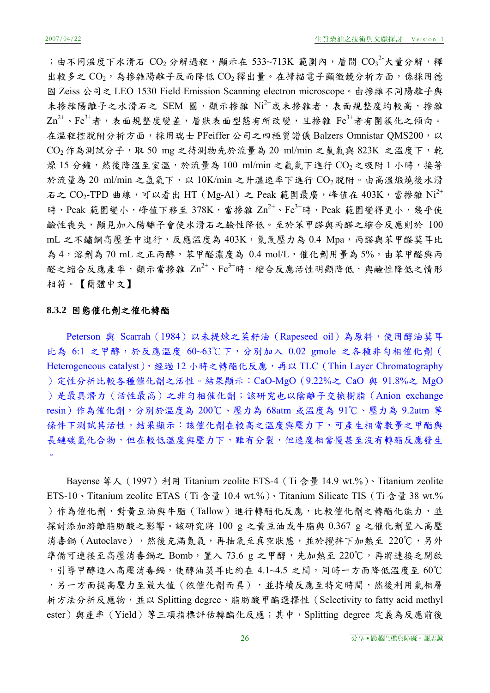;由不同溫度下水滑石 $CO_2$ 分解過程,顯示在 533~713K 範圍內,層間 ${CO_3}^2$ 大量分解,釋 出較多之 $CO_2$ ,為摻雜陽離子反而降低 $CO_2$ 釋出量。在掃描電子顯微鏡分析方面,係採用德 國 Zeiss 公司之 LEO 1530 Field Emission Scanning electron microscope。由摻雜不同陽離子與 未掺雜陽離子之水滑石之 SEM 圖,顯示掺雜 Ni<sup>2+</sup>或未掺雜者,表面規整度均較高,掺雜  $\text{Zn}^{2+}$ 、Fe $^{3+}$ 者,表面規整度變差,層狀表面型態有所改變,且摻雜 Fe $^{3+}$ 者有團簇化之傾向。 在溫程控脫附分析方面,採用瑞士 PFeiffer 公司之四極質譜儀 Balzers Omnistar QMS200,以  $CO$ <sub>2</sub> 作為測試分子,取 50 mg 之待測物先於流量為 20 ml/min 之氣氣與 823K 之溫度下,乾 燥 15 分鐘,然後降溫至室溫,於流量為 100 ml/min 之氩氣下進行 CO2之吸附 1 小時,接著 於流量為 20 ml/min 之氩氣下,以 10K/min 之升溫速率下進行 CO<sub>2</sub> 脫附。由高溫煅燒後水滑 石之  $CO_2$ -TPD 曲線,可以看出 HT (Mg-Al) 之 Peak 範圍最廣,峰值在 403K,當掺雜 Ni<sup>2+</sup> 時, Peak 範圍變小,峰值下移至 378K,當掺雜 Zn<sup>2+</sup>、Fe<sup>3+</sup>時, Peak 範圍變得更小,幾乎使 鹼性喪失,顯見加入陽離子會使水滑石之鹼性降低。至於苯甲醛與丙醛之縮合反應則於 100 mL 之不鏽鋼高壓釜中進行,反應溫度為 403K,氣氣壓力為 0.4 Mpa,丙醛與苯甲醛莫耳比 為4,溶劑為 70 mL 之正丙醇,苯甲醛濃度為 0.4 mol/L,催化劑用量為 5%。由苯甲醛與丙 醛之縮合反應產率,顯示當掺雜 Zn<sup>2+</sup>、Fe<sup>3+</sup>時,縮合反應活性明顯降低,與鹼性降低之情形 相符。【簡體中文】

#### **8.3.2** 固態催化劑之催化轉酯

Peterson 與 Scarrah (1984) 以未提煉之菜籽油 (Rapeseed oil) 為原料,使用醇油莫耳 比為 6:1 之甲醇,於反應溫度 60~63℃下,分別加入 0.02 gmole 之各種非勻相催化劑( Heterogeneous catalyst),經過 12 小時之轉酯化反應,再以 TLC (Thin Layer Chromatography )定性分析比較各種催化劑之活性。結果顯示:CaO-MgO(9.22%之 CaO 與 91.8%之 MgO )是最具潛力 (活性最高)之非勻相催化劑;該研究也以陰離子交換樹脂 (Anion exchange resin)作為催化劑,分別於溫度為 200℃、壓力為 68atm 或溫度為 91℃、壓力為 9.2atm 等 條件下測試其活性。結果顯示:該催化劑在較高之溫度與壓力下,可產生相當數量之甲酯與 長鏈碳氫化合物,但在較低溫度與壓力下,雖有分裂,但速度相當慢甚至沒有轉酯反應發生 。

Bayense 等人 (1997) 利用 Titanium zeolite ETS-4 (Ti 含量 14.9 wt.%)、Titanium zeolite ETS-10、Titanium zeolite ETAS (Ti 含量 10.4 wt.%)、Titanium Silicate TIS (Ti 含量 38 wt.%) )作為催化劑,對黃豆油與牛脂(Tallow)進行轉酯化反應,比較催化劑之轉酯化能力,並 探討添加游離脂肪酸之影響。該研究將 100 g 之黃豆油或牛脂與 0.367 g 之催化劑置入高壓 消毒鍋(Autoclave),然後充滿氣氣,再抽氣至真空狀態,並於攪拌下加熱至 220℃,另外 準備可連接至高壓消毒鍋之 Bomb, 置入 73.6 g 之甲醇, 先加熱至 220℃, 再將連接乏開啟 ,引導甲醇進入高壓消毒鍋,使醇油莫耳比約在 4.1~4.5 之間,同時一方面降低溫度至 60℃ ,另一方面提高壓力至最大值(依催化劑而異),並持續反應至特定時間,然後利用氣相層 析方法分析反應物,並以 Splitting degree、脂肪酸甲酯選擇性(Selectivity to fatty acid methyl ester)與產率(Yield)等三項指標評估轉酯化反應;其中,Splitting degree 定義為反應前後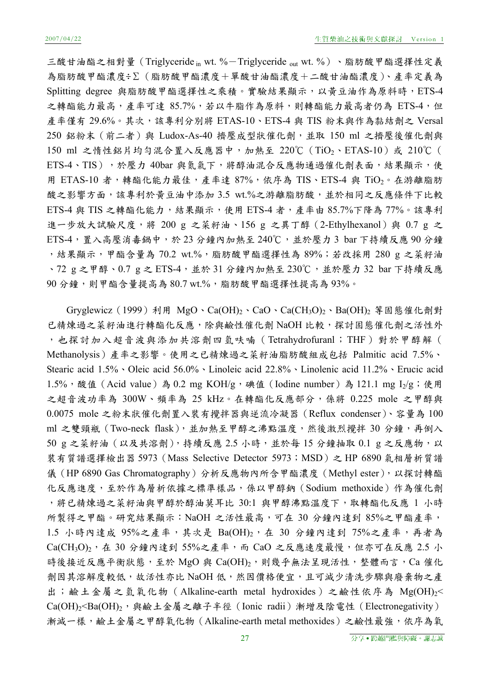三酸甘油酯之相對量 (Triglyceride in wt. %-Triglyceride out wt. %)、脂肪酸甲酯選擇性定義 為脂肪酸甲酯濃度÷Σ(脂肪酸甲酯濃度+單酸甘油酯濃度+二酸甘油酯濃度)、產率定義為 Splitting degree 與脂肪酸甲酯選擇性之乘積。實驗結果顯示,以黃豆油作為原料時, ETS-4 之轉酯能力最高,產率可達 85.7%,若以牛脂作為原料,則轉酯能力最高者仍為 ETS-4,但 產率僅有 29.6%。其次,該專利分別將 ETAS-10、ETS-4 與 TIS 粉末與作為黏結劑之 Versal 250 鋁粉末(前二者)與 Ludox-As-40 擠壓成型狀催化劑,並取 150 ml 之擠壓後催化劑與 150 ml 之惰性鋁片均勻混合置入反應器中,加熱至 220℃(TiO2、ETAS-10)或 210℃( ETS-4、TIS),於壓力 40bar 與氮氣下,將醇油混合反應物通過催化劑表面,結果顯示,使 用 ETAS-10 者,轉酯化能力最佳,產率達 87%,依序為 TIS、ETS-4 與 TiO2。在游離脂肪 酸之影響方面,該專利於黃豆油中添加 3.5 wt.%之游離脂肪酸,並於相同之反應條件下比較 ETS-4 與 TIS 之轉酯化能力,結果顯示,使用 ETS-4 者,產率由 85.7%下降為 77%。該專利 進一步放大試驗尺度,將 200 g 之菜籽油、156 g 之異丁醇 (2-Ethylhexanol) 與 0.7 g 之  $ETS-4$ , 置入高壓消毒鍋中,於 23 分鐘內加熱至 240℃, 並於壓力 3 bar 下持續反應 90 分鐘 ,結果顯示,甲酯含量為 70.2 wt.%,脂肪酸甲酯選擇性為 89%;若改採用 280 g 之菜籽油 、72 g 之甲醇、0.7 g 之 ETS-4,並於 31 分鐘內加熱至 230℃, 並於壓力 32 bar 下持續反應 90 分鐘,則甲酯含量提高為 80.7 wt.%,脂肪酸甲酯選擇性提高為 93%。

Gryglewicz (1999) 利用 MgO、Ca(OH)<sub>2</sub>、CaO、Ca(CH<sub>3</sub>O)<sub>2</sub>、Ba(OH)<sub>2</sub> 等固態催化劑對 已精煉過之菜籽油進行轉酯化反應,除與鹼性催化劑 NaOH 比較,探討固態催化劑之活性外 ,也探討加入超音波與添加共溶劑四氫呋喃(Tetrahydrofuranl;THF)對於甲醇解( Methanolysis)產率之影響。使用之已精煉過之菜籽油脂肪酸組成包括 Palmitic acid 7.5%、 Stearic acid 1.5%、Oleic acid 56.0%、Linoleic acid 22.8%、Linolenic acid 11.2%、Erucic acid 1.5%, 酸值(Acid value)為 0.2 mg KOH/g, 碘值(Iodine number)為 121.1 mg I<sub>2</sub>/g;使用 之超音波功率為 300W、頻率為 25 kHz。在轉酯化反應部分,係將 0.225 mole 之甲醇與 0.0075 mole 之粉末狀催化劑置入裝有攪拌器與逆流冷凝器(Reflux condenser)、容量為 100 ml 之雙頸瓶 (Two-neck flask),並加熱至甲醇之沸點溫度,然後激烈攪拌 30 分鐘,再倒入 50 g 之菜籽油 (以及共溶劑), 持續反應 2.5 小時, 並於每 15 分鐘抽取 0.1 g 之反應物, 以 裝有質譜選擇檢出器 5973(Mass Selective Detector 5973;MSD)之 HP 6890 氣相層析質譜 儀(HP 6890 Gas Chromatography)分析反應物內所含甲酯濃度(Methyl ester), 以探討轉酯 化反應進度,至於作為層析依據之標準樣品,係以甲醇鈉(Sodium methoxide)作為催化劑 ,將已精煉過之菜籽油與甲醇於醇油莫耳比 30:1 與甲醇沸點溫度下,取轉酯化反應 1 小時 所製得之甲酯。研究結果顯示:NaOH 之活性最高,可在 30 分鐘內達到 85%之甲酯產率, 1.5 小時內達成 95%之產率,其次是 Ba(OH)2, 在 30 分鐘內達到 75%之產率,再者為  $Ca(CH_3O)_2$ , 在 30 分鐘內達到 55%之產率,而 CaO 之反應速度最慢,但亦可在反應 2.5 小 時後接近反應平衡狀態,至於 MgO 與 Ca(OH)2,則幾乎無法呈現活性,整體而言,Ca 催化 劑因其溶解度較低,故活性亦比 NaOH 低,然因價格便宜,且可減少清洗步驟與廢棄物之產 出;鹼土金屬之氫氧化物 (Alkaline-earth metal hydroxides) 之鹼性依序為 Mg(OH)<sub>2</sub>< Ca(OH)<sub>2</sub><Ba(OH)<sub>2</sub>, 與鹼土金屬之離子半徑 (Ionic radii) 漸增及陰電性 (Electronegativity) 漸減一樣,鹼土金屬之甲醇氧化物 (Alkaline-earth metal methoxides) 之鹼性最強,依序為氧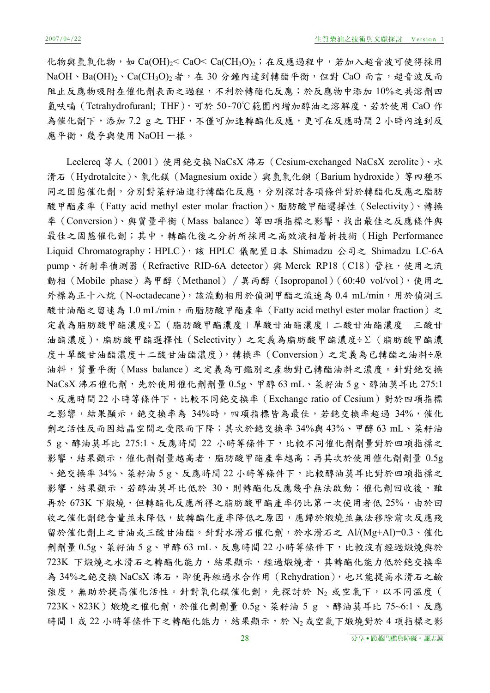化物與氫氧化物,如 Ca(OH)<sub>2</sub>< CaO< Ca(CH<sub>3</sub>O)<sub>2</sub>; 在反應過程中, 若加入超音波可使得採用  $NaOH \cdot Ba(OH)_2 \cdot Ca(CH_3O)_2$ 者, 在 30 分鐘內達到轉酯平衡, 但對 CaO 而言, 超音波反而 阻止反應物吸附在催化劑表面之過程,不利於轉酯化反應;於反應物中添加 10%之共溶劑四 氫呋喃 (Tetrahydrofuranl; THF),可於 50~70℃範圍內增加醇油之溶解度,若於使用 CaO作 為催化劑下,添加 7.2 g 之 THF,不僅可加速轉酯化反應,更可在反應時間 2 小時內達到反 應平衡,幾乎與使用 NaOH 一樣。

Leclercq 等人(2001)使用銫交換 NaCsX 沸石(Cesium-exchanged NaCsX zerolite)、水 滑石 (Hydrotalcite)、氧化鎂 (Magnesium oxide) 與氫氧化鋇 (Barium hydroxide) 等四種不 同之固態催化劑,分別對菜籽油進行轉酯化反應,分別探討各項條件對於轉酯化反應之脂肪 酸甲酯產率(Fatty acid methyl ester molar fraction)、脂肪酸甲酯選擇性(Selectivity)、轉換 率 (Conversion)、與質量平衡 (Mass balance) 等四項指標之影響,找出最佳之反應條件與 最佳之固態催化劑;其中,轉酯化後之分析所採用之高效液相層析技術 (High Performance Liquid Chromatography; HPLC), 該 HPLC 儀配置日本 Shimadzu 公司之 Shimadzu LC-6A pump、折射率偵測器 (Refractive RID-6A detector) 與 Merck RP18 (C18) 管柱,使用之流 動相(Mobile phase)為甲醇(Methanol)∕異丙醇(Isopropanol)(60:40 vol/vol),使用之 外標為正十八烷 (N-octadecane),該流動相用於偵測甲酯之流速為 0.4 mL/min,用於偵測三 酸甘油酯之留速為 1.0 mL/min,而脂肪酸甲酯產率 (Fatty acid methyl ester molar fraction) 之 定義為脂肪酸甲酯濃度÷Σ(脂肪酸甲酯濃度+單酸甘油酯濃度+二酸甘油酯濃度+三酸甘 油酯濃度),脂肪酸甲酯選擇性(Selectivity)之定義為脂肪酸甲酯濃度÷Σ(脂肪酸甲酯濃 度+單酸甘油酯濃度+二酸甘油酯濃度),轉換率(Conversion)之定義為已轉酯之油料÷原 油料,質量平衡(Mass balance)之定義為可鑑別之產物對已轉酯油料之濃度。針對銫交換 NaCsX 沸石催化劑,先於使用催化劑劑量 0.5g、甲醇 63 mL、菜籽油 5 g、醇油莫耳比 275:1 、反應時間 22 小時等條件下,比較不同銫交換率 (Exchange ratio of Cesium) 對於四項指標 之影響,結果顯示,絕交換率為 34%時,四項指標皆為最佳,若銫交換率超過 34%,催化 劑之活性反而因結晶空間之受限而下降;其次於銫交換率 34%與 43%、甲醇 63 mL、菜籽油 5 g、醇油莫耳比 275:1、反應時間 22 小時等條件下,比較不同催化劑劑量對於四項指標之 影響,結果顯示,催化劑劑量越高者,脂肪酸甲酯產率越高;再其次於使用催化劑劑量 0.5g 、銫交換率 34%、菜籽油 5 g、反應時間 22 小時等條件下, 比較醇油莫耳比對於四項指標之 影響,結果顯示,若醇油莫耳比低於 30,則轉酯化反應幾乎無法啟動;催化劑回收後,雖 再於 673K 下煅燒,但轉酯化反應所得之脂肪酸甲酯產率仍比第一次使用者低 25%,由於回 收之催化劑銫含量並未降低,故轉酯化產率降低之原因,應歸於煅燒並無法移除前次反應殘 留於催化劑上之甘油或三酸甘油酯。針對水滑石催化劑,於水滑石之 Al/(Mg+Al)=0.3、催化 劑劑量 0.5g、菜籽油 5 g、甲醇 63 mL、反應時間 22 小時等條件下,比較沒有經過煅燒與於 723K 下煅燒之水滑石之轉酯化能力,結果顯示,經過煅燒者,其轉酯化能力低於銫交換率 為 34%之銫交換 NaCsX 沸石,即便再經過水合作用 (Rehydration), 也只能提高水滑石之鹼 強度,無助於提高催化活性。針對氧化鎂催化劑,先探討於 N2 或空氣下,以不同溫度( 723K、823K)煅燒之催化劑,於催化劑劑量 0.5g、菜籽油 5 g 、醇油莫耳比 75~6:1、反應 時間 1 或 22 小時等條件下之轉酯化能力,結果顯示,於 N2或空氣下煅燒對於 4 項指標之影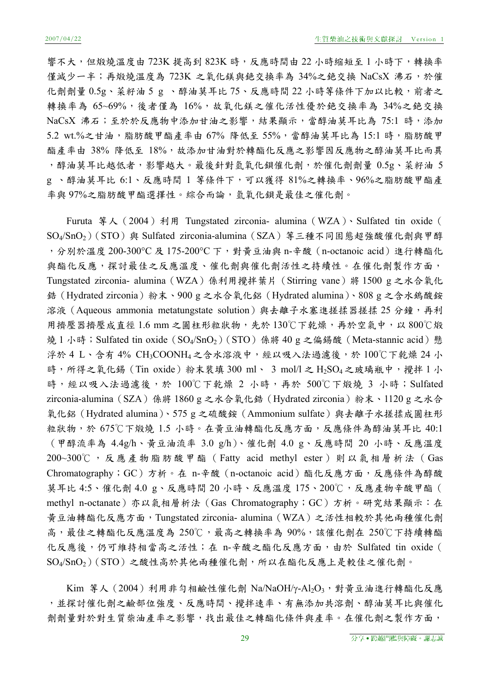響不大,但煅燒溫度由 723K 提高到 823K 時,反應時間由 22 小時縮短至1 小時下,轉換率 僅減少一半;再煅燒溫度為 723K 之氧化鎂與銫交換率為 34%之銫交換 NaCsX 沸石,於催 化劑劑量 0.5g、菜籽油 5 g 、醇油莫耳比 75、反應時間 22 小時等條件下加以比較, 前者之 轉換率為 65~69%,後者僅為 16%,故氧化鎂之催化活性優於銫交換率為 34%之銫交換 NaCsX 沸石;至於於反應物中添加甘油之影響,結果顯示,當醇油莫耳比為 75:1 時,添加 5.2 wt.%之甘油,脂肪酸甲酯產率由 67% 降低至 55%,當醇油莫耳比為 15:1 時,脂肪酸甲 酯產率由 38% 降低至 18%,故添加甘油對於轉酯化反應之影響因反應物之醇油莫耳比而異 ,醇油莫耳比越低者,影響越大。最後針對氫氧化鋇催化劑,於催化劑劑量 0.5g、菜籽油 5 g 、醇油莫耳比 6:1、反應時間 1 等條件下,可以獲得 81%之轉換率、96%之脂肪酸甲酯產 率與 97%之脂肪酸甲酯選擇性。綜合而論,氫氧化鋇是最佳之催化劑。

Furuta 等人 (2004) 利用 Tungstated zirconia- alumina (WZA)、Sulfated tin oxide ( SO4/SnO<sub>2</sub>)(STO)與 Sulfated zirconia-alumina(SZA)等三種不同固態超強酸催化劑與甲醇 , 分別於溫度 200-300℃ 及 175-200℃ 下, 對黃豆油與 n-辛酸 (n-octanoic acid) 進行轉酯化 與酯化反應,探討最佳之反應溫度、催化劑與催化劑活性之持續性。在催化劑製作方面, Tungstated zirconia- alumina(WZA)係利用攪拌葉片(Stirring vane)將 1500 g 之水合氧化 鋯(Hydrated zirconia)粉末、900 g 之水合氧化鋁(Hydrated alumina)、808 g 之含水鎢酸銨 溶液 (Aqueous ammonia metatungstate solution)與去離子水塞進搓揉器搓揉 25 分鐘,再利 用擠壓器擠壓成直徑 1.6 mm 之圓柱形粒狀物,先於 130℃下乾燥,再於空氣中, 以 800℃煅 燒 1 小時; Sulfated tin oxide (SO<sub>4</sub>/SnO<sub>2</sub>)(STO) 係將 40 g 之偏錫酸 (Meta-stannic acid)懸 浮於 4 L、含有 4% CH<sub>3</sub>COONH4之含水溶液中,經以吸入法過濾後,於 100℃下乾燥 24 小 時,所得之氧化錫 (Tin oxide) 粉末裝填 300 ml、 3 mol/l 之 H<sub>2</sub>SO<sub>4</sub> 之玻璃瓶中,攪拌 1 小 時,經以吸入法過濾後,於 100℃下乾燥 2 小時,再於 500℃下煅燒 3 小時; Sulfated zirconia-alumina(SZA)係將 1860 g 之水合氧化鋯(Hydrated zirconia)粉末、1120 g 之水合 氧化鋁(Hydrated alumina)、575 g 之硫酸銨(Ammonium sulfate)與去離子水搓揉成圓柱形 粒狀物,於 675℃下煅燒 1.5 小時。在黃豆油轉酯化反應方面,反應條件為醇油莫耳比 40:1 (甲醇流率為 4.4g/h、黃豆油流率 3.0 g/h)、催化劑 4.0 g、反應時間 20 小時、反應溫度 200~300℃ ,反應產物脂肪酸甲酯( Fatty acid methyl ester)則以氣相層析法(Gas Chromatography; GC)方析。在 n-辛酸 (n-octanoic acid) 酯化反應方面, 反應條件為醇酸 莫耳比 4:5、催化劑 4.0 g、反應時間 20 小時、反應溫度 175、200℃,反應產物辛酸甲酯( methyl n-octanate)亦以氣相層析法(Gas Chromatography;GC)方析。研究結果顯示:在 黃豆油轉酯化反應方面,Tungstated zirconia- alumina(WZA)之活性相較於其他兩種催化劑 高,最佳之轉酯化反應溫度為 250℃,最高之轉換率為 90%,該催化劑在 250℃下持續轉酯 化反應後,仍可維持相當高之活性;在 n-辛酸之酯化反應方面,由於 Sulfated tin oxide ( SO4/SnO2)(STO)之酸性高於其他兩種催化劑,所以在酯化反應上是較佳之催化劑。

Kim 等人 (2004) 利用非勻相鹼性催化劑 Na/NaOH/y-Al2O3,對黃豆油進行轉酯化反應 ,並探討催化劑之鹼部位強度、反應時間、攪拌速率、有無添加共溶劑、醇油莫耳比與催化 劑劑量對於對生質柴油產率之影響,找出最佳之轉酯化條件與產率。在催化劑之製作方面,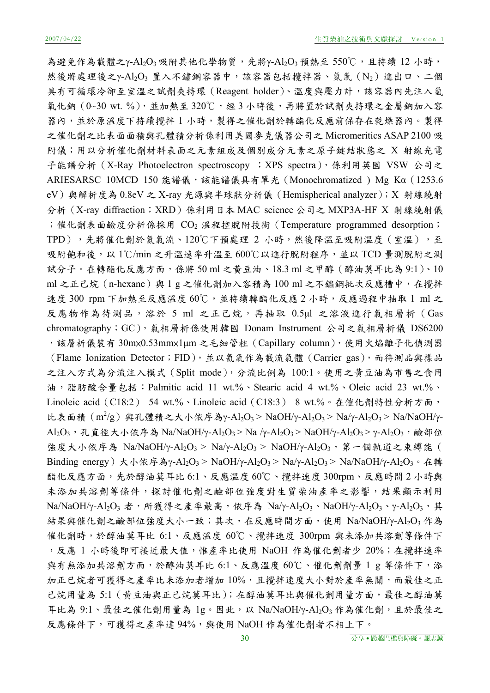為避免作為載體之γ-Al2O<sub>3</sub> 吸附其他化學物質,先將γ-Al2O<sub>3</sub> 預熱至 550℃,且持續 12 小時, 然後將處理後之γ-Al2O3 置入不鏽鋼容器中,該容器包括攪拌器、氮氣 (N2) 進出口、二個 具有可循環冷卻至室溫之試劑夾持環(Reagent holder)、溫度與壓力計,該容器內先注入氫 氧化鈉 (0~30 wt. %), 並加熱至 320℃, 經 3 小時後, 再將置於試劑夾持環之金屬鈉加入容 器內,並於原溫度下持續攪拌 1 小時,製得之催化劑於轉酯化反應前保存在乾燥器內。製得 之催化劑之比表面面積與孔體積分析係利用美國麥克儀器公司之 Micromeritics ASAP 2100 吸 附儀;用以分析催化劑材料表面之元素組成及個別成分元素之原子鍵結狀態之 X 射線光電 子能譜分析 (X-Ray Photoelectron spectroscopy ; XPS spectra), 係利用英國 VSW 公司之 ARIESARSC 10MCD 150 能譜儀, 該能譜儀具有單光 (Monochromatized) Mg Kα (1253.6 eV)與解析度為 0.8eV 之 X-ray 光源與半球狀分析儀(Hemispherical analyzer);X 射線繞射 分析(X-ray diffraction;XRD)係利用日本 MAC science 公司之 MXP3A-HF X 射線繞射儀 ;催化劑表面鹼度分析係採用 CO2 溫程控脫附技術 (Temperature programmed desorption; TPD),先將催化劑於氦氣流、120℃下預處理 2 小時,然後降溫至吸附溫度(室溫),至 吸附飽和後,以 1℃/min 之升溫速率升溫至 600℃以進行脫附程序,並以 TCD 量測脫附之測 試分子。在轉酯化反應方面,係將 50 ml 之黃豆油、18.3 ml 之甲醇 (醇油莫耳比為 9:1)、10 ml 之正己烷 (n-hexane) 與 1 g 之催化劑加入容積為 100 ml 之不鏽鋼批次反應槽中, 在攪拌 速度 300 rpm 下加熱至反應溫度 60℃,並持續轉酯化反應 2 小時,反應過程中抽取 1 ml 之 反應物作為待測品,溶於 5 ml 之正己烷,再抽取 0.5μl 之溶液進行氣相層析 (Gas chromatography;GC),氣相層析係使用韓國 Donam Instrument 公司之氣相層析儀 DS6200 ,該層析儀裝有 30m×0.53mm×1μm 之毛細管柱(Capillary column),使用火焰離子化偵測器 (Flame Ionization Detector;FID),並以氦氣作為載流氣體 (Carrier gas),而待測品與樣品 之注入方式為分流注入模式(Split mode),分流比例為 100:1。使用之黃豆油為市售之食用 油,脂肪酸含量包括:Palmitic acid 11 wt.%、Stearic acid 4 wt.%、Oleic acid 23 wt.%、 Linoleic acid (C18:2) 54 wt.%、Linoleic acid (C18:3) 8 wt.%。在催化劑特性分析方面, 比表面積  $(m^2/g)$  與孔體積之大小依序為γ-Al2O3 > NaOH/γ-Al2O3 > Na/γ-Al2O3 > Na/NaOH/γ-Al<sub>2</sub>O<sub>3</sub>,孔直徑大小依序為 Na/NaOH/γ-Al<sub>2</sub>O<sub>3</sub> > Na /γ-Al<sub>2</sub>O<sub>3</sub> > NaOH/γ-Al<sub>2</sub>O<sub>3</sub> > γ-Al<sub>2</sub>O<sub>3</sub>, 鹼部位 強度大小依序為 Na/NaOH/γ-Al2O3 > Na/γ-Al2O3 > NaOH/γ-Al2O3, 第一個軌道之束縛能( Binding energy) 大小依序為γ-Al<sub>2</sub>O<sub>3</sub> > NaOH/γ-Al<sub>2</sub>O<sub>3</sub> > Na/γ-Al<sub>2</sub>O<sub>3</sub> > Na/NaOH/γ-Al<sub>2</sub>O<sub>3</sub> · 在轉 酯化反應方面,先於醇油莫耳比 6:1、反應溫度 60℃、攪拌速度 300rpm、反應時間 2 小時與 未添加共溶劑等條件,探討催化劑之鹼部位強度對生質柴油產率之影響,結果顯示利用 Na/NaOH/γ-Al<sub>2</sub>O<sub>3</sub> 者,所獲得之產率最高,依序為 Na/γ-Al<sub>2</sub>O<sub>3</sub>、NaOH/γ-Al<sub>2</sub>O<sub>3</sub>、γ-Al<sub>2</sub>O<sub>3</sub>,其 結果與催化劑之鹼部位強度大小一致;其次,在反應時間方面,使用 Na/NaOH/γ-Al2O3 作為 催化劑時,於醇油莫耳比 6:1、反應溫度 60℃、攪拌速度 300rpm 與未添加共溶劑等條件下 , 反應 1 小時後即可接近最大值,惟產率比使用 NaOH 作為催化劑者少 20%; 在攪拌速率 與有無添加共溶劑方面,於醇油莫耳比 6:1、反應溫度 60℃、催化劑劑量 1 g 等條件下,添 加正已烷者可獲得之產率比未添加者增加10%,且攪拌速度大小對於產率無關,而最佳之正 己烷用量為 5:1 (黃豆油與正己烷莫耳比);在醇油莫耳比與催化劑用量方面,最佳之醇油莫 耳比為 9:1、最佳之催化劑用量為 1g。因此,以 Na/NaOH/γ-Al2O3 作為催化劑,且於最佳之 反應條件下,可獲得之產率達 94%,與使用 NaOH 作為催化劑者不相上下。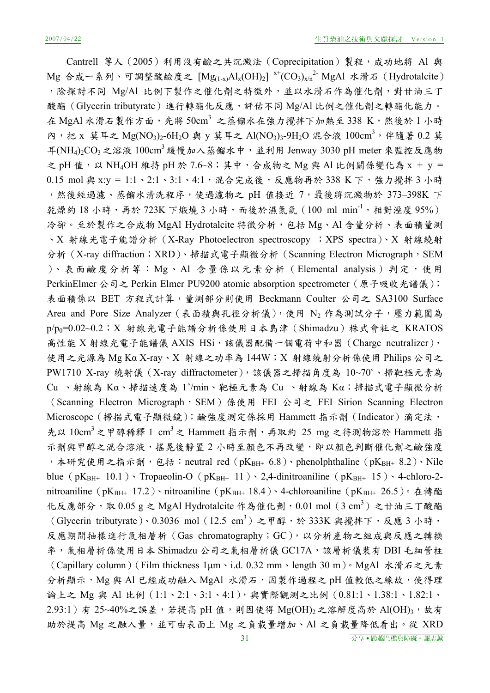Cantrell 等人(2005)利用沒有鹼之共沉澱法(Coprecipitation)製程,成功地將 Al 與  $M$ g 合成一系列、可調整酸鹼度之  $[Mg_{(1-x)}Al_x(OH)_2] \stackrel{x^{+}}{(CO_3)_{x/n}^2} MgAl \; \; x\sqrt[3]{a}$  (Hydrotalcite) ,除探討不同 Mg/Al 比例下製作之催化劑之特徵外,並以水滑石作為催化劑,對甘油三丁 酸酯(Glycerin tributyrate)進行轉酯化反應,評估不同 Mg/Al 比例之催化劑之轉酯化能力。 在 MgAl 水滑石製作方面,先將 50cm3 之蒸餾水在強力攪拌下加熱至 338 K,然後於1小時 內,把 x 莫耳之 Mg(NO<sub>3</sub>)<sub>2</sub>-6H<sub>2</sub>O 與 y 莫耳之 Al(NO<sub>3</sub>)<sub>3</sub>-9H<sub>2</sub>O 混合液 100cm<sup>3</sup>, 伴隨著 0.2 莫  $F(NH_4)_2CO_3$ 之溶液 100cm<sup>3</sup> 緩慢加入蒸餾水中,並利用 Jenway 3030 pH meter 來監控反應物 之 pH 值,以 NH<sub>4</sub>OH 維持 pH 於 7.6~8;其中,合成物之 Mg 與 Al 比例關係變化為 x + y = 0.15 mol 與 x:y = 1:1、2:1、3:1、4:1,混合完成後,反應物再於 338 K 下,強力攪拌 3 小時 ,然後經過濾、蒸餾水清洗程序,使過濾物之 pH 值接近 7,最後將沉澱物於 373-398K 下 乾燥約 18 小時,再於 723K 下煅燒 3 小時,而後於濕氮氣 (100 ml min-1,相對溼度 95%) 冷卻。至於製作之合成物 MgAl Hydrotalcite 特徵分析,包括 Mg、Al 含量分析、表面積量測 、X 射線光電子能譜分析(X-Ray Photoelectron spectroscopy ;XPS spectra)、X 射線繞射 分析 (X-ray diffraction; XRD)、掃描式電子顯微分析 (Scanning Electron Micrograph, SEM )、表面鹼度分析等:Mg、Al 含量係以元素分析(Elemental analysis)判定,使用 PerkinElmer 公司之 Perkin Elmer PU9200 atomic absorption spectrometer(原子吸收光譜儀); 表面積係以 BET 方程式計算,量測部分則使用 Beckmann Coulter 公司之 SA3100 Surface Area and Pore Size Analyzer (表面積與孔徑分析儀),使用 N2 作為測試分子,壓力範圍為 p/p<sub>0</sub>=0.02~0.2; X 射線光電子能譜分析係使用日本島津 (Shimadzu)株式會社之 KRATOS 高性能 X 射線光電子能譜儀 AXIS HSi,該儀器配備一個電荷中和器 (Charge neutralizer), 使用之光源為 Mg Kα X-ray、X 射線之功率為 144W;X 射線繞射分析係使用 Philips 公司之 PW1710 X-ray 繞射儀 (X-ray diffractometer),該儀器之掃描角度為 10~70°、掃靶極元素為  $Cu$ 、射線為 Kα、掃描速度為 1°/min、靶極元素為 Cu 、射線為 Kα;掃描式電子顯微分析 (Scanning Electron Micrograph, SEM)係使用 FEI 公司之 FEI Sirion Scanning Electron Microscope(掃描式電子顯微鏡);鹼強度測定係採用 Hammett 指示劑(Indicator)滴定法, 先以  $10 \text{cm}^3$ 之甲醇稀釋 1 cm<sup>3</sup>之 Hammett 指示劑,再取約 25 mg 之待測物溶於 Hammett 指 示劑與甲醇之混合溶液,搖晃後靜置 2 小時至顏色不再改變,即以顏色判斷催化劑之鹼強度 ,本研究使用之指示劑,包括: neutral red (pKBH+ 6.8)、phenolphthaline (pKBH+ 8.2)、Nile blue (p $K_{BH+}$  10.1) Tropaeolin-O (p $K_{BH+}$  11) 2,4-dinitroaniline (p $K_{BH+}$  15) 4-chloro-2nitroaniline (pK<sub>BH+</sub> 17.2)、nitroaniline (pK<sub>BH+</sub> 18.4)、4-chloroaniline (pK<sub>BH+</sub> 26.5)。在轉酯 化反應部分,取 0.05 g 之 MgAl Hydrotalcite 作為催化劑,0.01 mol  $(3 \text{ cm}^3)$  之甘油三丁酸酯 (Glycerin tributyrate)、0.3036 mol (12.5 cm3) 之甲醇,於 333K 與攪拌下,反應 3 小時, 反應期間抽樣進行氣相層析(Gas chromatography;GC),以分析產物之組成與反應之轉換 率,氣相層析係使用日本 Shimadzu 公司之氣相層析儀 GC17A,該層析儀裝有 DBI 毛細管柱 (Capillary column)(Film thickness 1μm、i.d. 0.32 mm、length 30 m)。MgAl 水滑石之元素 分析顯示, Mg 與 Al 已經成功融入 MgAl 水滑石, 因製作過程之 pH 值較低之緣故, 使得理 論上之 Mg 與 Al 比例 (1:1、2:1、3:1、4:1),與實際觀測之比例 (0.81:1、1.38:1、1.82:1、  $2.93:1$ ) 有  $25~40\%$ 之誤差,若提高 pH 值,則因使得 Mg(OH)2 之溶解度高於 Al(OH)3,故有 助於提高 Mg 之融入量,並可由表面上 Mg 之負載量增加、Al 之負載量降低看出。從 XRD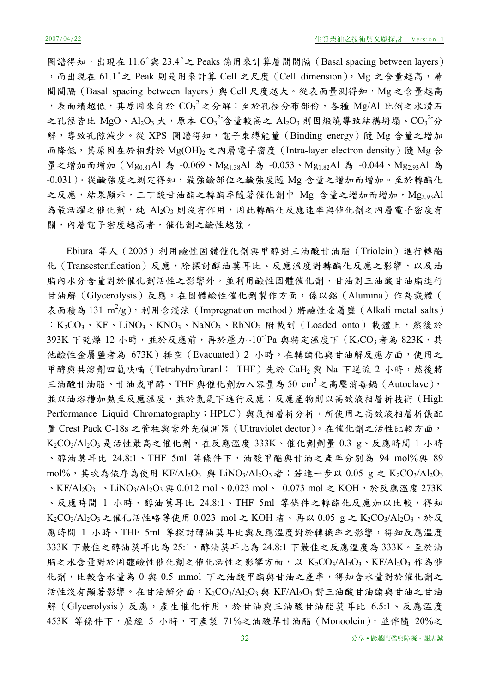圖譜得知,出現在 11.6°與 23.4°之 Peaks 係用來計算層間間隔 (Basal spacing between layers) ,而出現在 61.1°之 Peak 則是用來計算 Cell 之尺度 (Cell dimension), Mg 之含量越高,層 間間隔 (Basal spacing between layers) 與 Cell 尺度越大。從表面量測得知, Mg 之含量越高 ,表面積越低,其原因來自於 $CO_3^2$ 之分解;至於孔徑分布部份,各種 Mg/Al 比例之水滑石 之孔徑皆比 MgO、Al2O3 大,原本  $\text{CO}_3{}^2$ 含量較高之 Al2O3 則因煅燒導致結構坍塌、 $\text{CO}_3{}^2$ 分 解,導致孔隙減少。從 XPS 圖譜得知,電子束縛能量 (Binding energy) 隨 Mg 含量之增加 而降低,其原因在於相對於 Mg(OH)<sub>2</sub> 之內層電子密度 (Intra-layer electron density)隨 Mg 含 量之增加而增加 (Mg<sub>0.81</sub>Al 為 -0.069、Mg<sub>1.38</sub>Al 為 -0.053、Mg<sub>1.82</sub>Al 為 -0.044、Mg<sub>2.93</sub>Al 為 -0.031)。從鹼強度之測定得知,最強鹼部位之鹼強度隨 Mg 含量之增加而增加。至於轉酯化 之反應,結果顯示,三丁酸甘油酯之轉酯率隨著催化劑中 Mg 含量之增加而增加, Mg2.93Al 為最活躍之催化劑,純 Al2O3 則沒有作用,因此轉酯化反應速率與催化劑之內層電子密度有 關,內層電子密度越高者,催化劑之鹼性越強。

Ebiura 等人(2005)利用鹼性固體催化劑與甲醇對三油酸甘油脂(Triolein)進行轉酯 化(Transesterification)反應,除探討醇油莫耳比、反應溫度對轉酯化反應之影響,以及油 脂內水分含量對於催化劑活性之影響外,並利用鹼性固體催化劑、甘油對三油酸甘油脂進行 甘油解(Glycerolysis)反應。在固體鹼性催化劑製作方面,係以鋁(Alumina)作為載體( 表面積為 131 m<sup>2</sup>/g), 利用含浸法 (Impregnation method) 將鹼性金屬鹽 (Alkali metal salts) : K<sub>2</sub>CO<sub>3</sub>、KF、LiNO<sub>3</sub>、KNO<sub>3</sub>、NaNO<sub>3</sub>、RbNO<sub>3</sub> 附載到 (Loaded onto) 載體上, 然後於 393K 下乾燥 12 小時,並於反應前,再於壓力~10<sup>-3</sup>Pa 與特定溫度下 (K<sub>2</sub>CO<sub>3</sub> 者為 823K,其 他鹼性金屬鹽者為 673K)排空(Evacuated)2 小時。在轉酯化與甘油解反應方面,使用之 甲醇與共溶劑四氫呋喃 (Tetrahydrofuranl; THF) 先於 CaH<sub>2</sub> 與 Na 下逆流 2 小時,然後將 三油酸甘油脂、甘油或甲醇、THF 與催化劑加入容量為50 cm3之高壓消毒鍋 (Autoclave), 並以油浴槽加熱至反應溫度,並於氮氣下進行反應;反應產物則以高效液相層析技術(High Performance Liquid Chromatography;HPLC)與氣相層析分析,所使用之高效液相層析儀配 置 Crest Pack C-18s 之管柱與紫外光偵測器(Ultraviolet dector)。在催化劑之活性比較方面, K2CO3/Al2O3 是活性最高之催化劑,在反應溫度 333K、催化劑劑量 0.3 g、反應時間 1 小時 、醇油莫耳比 24.8:1、THF 5ml 等條件下,油酸甲酯與甘油之產率分別為 94 mol%與 89 mol%, 其次為依序為使用 KF/Al2O3 與 LiNO3/Al2O3者; 若進一步以 0.05 g 之 K2CO3/Al2O3 、KF/Al2O<sub>3</sub> 、LiNO<sub>3</sub>/Al2O<sub>3</sub> 與 0.012 mol、0.023 mol、 0.073 mol 之 KOH, 於反應溫度 273K 、反應時間 1 小時、醇油莫耳比 24.8:1、THF 5ml 等條件之轉酯化反應加以比較,得知 K<sub>2</sub>CO<sub>3</sub>/Al<sub>2</sub>O<sub>3</sub>之催化活性略等使用 0.023 mol 之 KOH 者。再以 0.05 g 之 K<sub>2</sub>CO<sub>3</sub>/Al<sub>2</sub>O<sub>3</sub>、於反 應時間 1 小時、THF 5ml 等探討醇油莫耳比與反應溫度對於轉換率之影響,得知反應溫度 333K 下最佳之醇油莫耳比為 25:1,醇油莫耳比為 24.8:1 下最佳之反應溫度為 333K。至於油 脂之水含量對於固體鹼性催化劑之催化活性之影響方面,以 K2CO3/Al2O3、KF/Al2O3 作為催 化劑,比較含水量為 0 與 0.5 mmol 下之油酸甲酯與甘油之產率,得知含水量對於催化劑之 活性沒有顯著影響。在甘油解分面,K2CO3/Al2O3與 KF/Al2O3 對三油酸甘油酯與甘油之甘油 解(Glycerolysis)反應,產生催化作用,於甘油與三油酸甘油酯莫耳比 6.5:1、反應溫度 453K 等條件下,歷經 5 小時,可產製 71%之油酸單甘油酯(Monoolein),並伴隨 20%之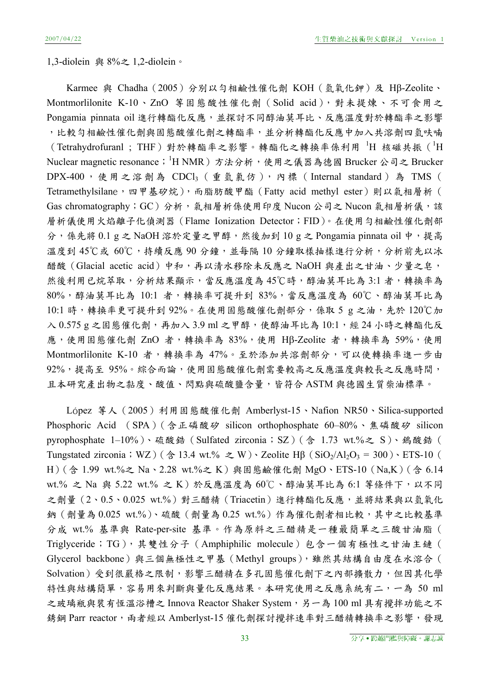1,3-diolein 與 8%之 1,2-diolein。

Karmee 與 Chadha (2005) 分別以勻相鹼性催化劑 KOH (氫氧化鉀)及 Hβ-Zeolite、 Montmorlilonite K-10、ZnO 等固態酸性催化劑(Solid acid),對未提煉、不可食用之 Pongamia pinnata oil 進行轉酯化反應,並探討不同醇油莫耳比、反應溫度對於轉酯率之影響 ,比較勻相鹼性催化劑與固態酸催化劑之轉酯率,並分析轉酯化反應中加入共溶劑四氫呋喃 (Tetrahydrofuranl; THF)對於轉酯率之影響。轉酯化之轉換率係利用 <sup>1</sup>H 核磁共振 (<sup>1</sup>H Nuclear magnetic resonance;<sup>1</sup>H NMR )方法分析,使用之儀器為德國 Brucker 公司之 Brucker DPX-400 ,使用之溶劑為 CDCl3 (重氫氯仿),內標( Internal standard ) 為 TMS ( Tetramethylsilane,四甲基矽烷),而脂肪酸甲酯 (Fatty acid methyl ester)則以氣相層析 ( Gas chromatography; GC)分析, 氣相層析係使用印度 Nucon 公司之 Nucon 氣相層析儀, 該 層析儀使用火焰離子化偵測器(Flame Ionization Detector;FID)。在使用勻相鹼性催化劑部 分,係先將  $0.1$  g 之 NaOH 溶於定量之甲醇,然後加到  $10$  g 之 Pongamia pinnata oil 中,提高 溫度到 45℃或 60℃,持續反應 90 分鐘,並每隔 10 分鐘取樣抽樣進行分析,分析前先以冰 醋酸(Glacial acetic acid)中和,再以清水移除未反應之 NaOH 與產出之甘油、少量之皂, 然後利用已烷萃取,分析結果顯示,當反應溫度為45℃時,醇油莫耳比為3:1者,轉換率為 80%,醇油莫耳比為 10:1 者,轉換率可提升到 83%,當反應溫度為 60℃、醇油莫耳比為 10:1 時,轉換率更可提升到 92%。在使用固態酸催化劑部分,係取 5 g 之油,先於 120℃加  $\lambda$  0.575 g 之固態催化劑,再加入 3.9 ml 之甲醇,使醇油耳比為 10:1,經 24 小時之轉酯化反 應,使用固態催化劑 ZnO 者,轉換率為 83%,使用 Hβ-Zeolite 者,轉換率為 59%,使用 Montmorlilonite K-10 者,轉換率為 47%。至於添加共溶劑部分,可以使轉換率進一步由 92%,提高至95%。綜合而論,使用固態酸催化劑需要較高之反應溫度與較長之反應時間, 且本研究產出物之黏度、酸值、閃點與硫酸鹽含量,皆符合 ASTM 與德國生質柴油標準。

López 等人 (2005) 利用固態酸催化劑 Amberlyst-15、Nafion NR50、Silica-supported Phosphoric Acid (SPA)(含正磷酸矽 silicon orthophosphate 60–80%、焦磷酸矽 silicon pyrophosphate 1-10%)、硫酸鋯 (Sulfated zirconia; SZ) (含 1.73 wt.%之 S)、鎢酸鋯 ( Tungstated zirconia; WZ)( $\hat{\otimes}$  13.4 wt.%  $\geq$  W)  $\cdot$  Zeolite H $\beta$  (SiO<sub>2</sub>/Al<sub>2</sub>O<sub>3</sub> = 300)  $\cdot$  ETS-10 ( H)(含 1.99 wt.%之 Na、2.28 wt.%之 K)與固態鹼催化劑 MgO、ETS-10 (Na,K)(含 6.14 wt.% 之 Na 與 5.22 wt.% 之 K)於反應溫度為 60℃、醇油莫耳比為 6:1 等條件下, 以不同 之劑量(2、0.5、0.025 wt.%)對三醋精 (Triacetin)進行轉酯化反應,並將結果與以氫氧化 鈉(劑量為 0.025 wt.%)、硫酸(劑量為 0.25 wt.%)作為催化劑者相比較,其中之比較基準 分成 wt.% 基準與 Rate-per-site 基準。作為原料之三醋精是一種最簡單之三酸甘油脂( Triglyceride;TG),其雙性分子(Amphiphilic molecule)包含一個有極性之甘油主鏈( Glycerol backbone)與三個無極性之甲基 (Methyl groups),雖然其結構自由度在水溶合 ( Solvation)受到很嚴格之限制,影響三醋精在多孔固態催化劑下之內部擴散力,但因其化學 特性與結構簡單,容易用來判斷與量化反應結果。本研究使用之反應系統有二,一為 50 ml 之玻璃瓶與裝有恆溫浴槽之 Innova Reactor Shaker System,另一為 100 ml 具有攪拌功能之不 銹鋼 Parr reactor, 兩者經以 Amberlyst-15 催化劑探討攪拌速率對三醋精轉換率之影響,發現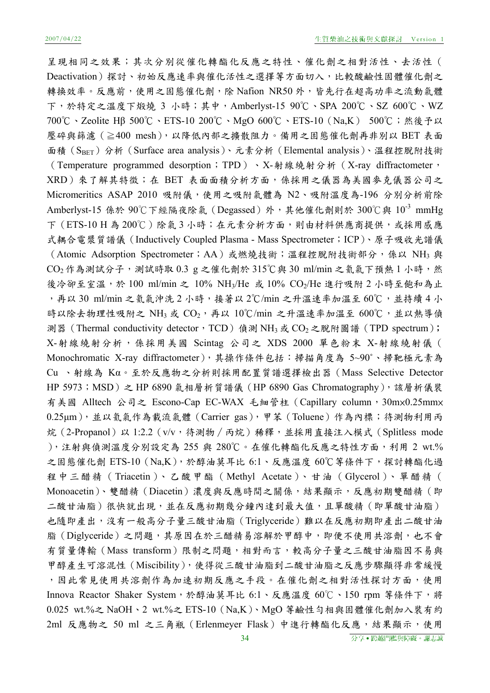呈現相同之效果;其次分別從催化轉酯化反應之特性、催化劑之相對活性、去活性( Deactivation)探討、初始反應速率與催化活性之選擇等方面切入,比較酸鹼性固體催化劑之 轉換效率。反應前,使用之固態催化劑,除 Nafion NR50 外,皆先行在超高功率之流動氣體 下,於特定之溫度下煅燒 3 小時;其中,Amberlyst-15 90℃、SPA 200℃、SZ 600℃、WZ 700℃、Zeolite Hβ 500℃、ETS-10 200℃、MgO 600℃、ETS-10(Na,K) 500℃;然後予以 壓碎與篩濾(≧400 mesh),以降低內部之擴散阻力。備用之固態催化劑再非別以 BET 表面 面積(SBET)分析(Surface area analysis)、元素分析(Elemental analysis)、溫程控脫附技術 (Temperature programmed desorption;TPD)、X-射線繞射分析(X-ray diffractometer, XRD)來了解其特徵;在 BET 表面面積分析方面,係採用之儀器為美國參克儀器公司之 Micromeritics ASAP 2010 吸附儀,使用之吸附氣體為 N2、吸附溫度為-196 分別分析前除 Amberlyst-15 係於 90℃下經隔夜除氣 (Degassed) 外, 其他催化劑則於 300℃與 10<sup>-3</sup> mmHg 下(ETS-10 H為200℃)除氣3小時;在元素分析方面,則由材料供應商提供,或採用感應 式耦合電漿質譜儀(Inductively Coupled Plasma - Mass Spectrometer;ICP)、原子吸收光譜儀 (Atomic Adsorption Spectrometer; AA)或燃燒技術;溫程控脫附技術部分,係以 NH3 與  $CO<sub>2</sub>$ 作為測試分子,測試時取  $0.3$  g 之催化劑於  $315^{\circ}$ C與  $30$  ml/min 之氦氣下預熱 1 小時,然 後冷卻至室溫,於 100 ml/min 之 10% NH<sub>3</sub>/He 或 10% CO<sub>2</sub>/He 進行吸附 2 小時至飽和為止 ,再以 30 ml/min 之氦氣沖洗 2 小時,接著以 2℃/min 之升溫速率加溫至 60℃,並持續 4 小 時以除去物理性吸附之 NH3 或  $CO_2$ , 再以  $10^{\circ}$ C/min 之升溫速率加溫至 600℃, 並以熱導偵 測器 (Thermal conductivity detector, TCD) 偵測 NH<sub>3</sub> 或 CO<sub>2</sub> 之脫附圖譜 (TPD spectrum); X-射線繞射分析,係採用美國 Scintag 公司之 XDS 2000 單色粉末 X-射線繞射儀( Monochromatic X-ray diffractometer),其操作條件包括:掃描角度為 5~90˚、掃靶極元素為 Cu 、射線為 Kα。至於反應物之分析則採用配置質譜選擇檢出器(Mass Selective Detector HP 5973; MSD) 之 HP 6890 氣相層析質譜儀 (HP 6890 Gas Chromatography), 該層析儀裝 有美國 Alltech 公司之 Escono-Cap EC-WAX 毛細管柱 (Capillary column, 30mx0.25mmx 0.25μm),並以氦氣作為載流氣體(Carrier gas),甲苯(Toluene)作為內標;待測物利用丙 烷(2-Propanol)以 1:2.2(v/v,待測物∕丙烷)稀釋,並採用直接注入模式(Splitless mode ),注射與偵測溫度分別設定為 255 與 280℃。在催化轉酯化反應之特性方面,利用 2 wt.% 之固態催化劑 ETS-10 (Na,K),於醇油莫耳比 6:1、反應溫度 60℃等條件下,探討轉酯化過 程中三醋精(Triacetin)、乙酸甲酯(Methyl Acetate)、甘油(Glycerol)、單醋精( Monoacetin)、雙醋精(Diacetin)濃度與反應時間之關係,結果顯示,反應初期雙醋精(即 二酸甘油脂)很快就出現,並在反應初期幾分鐘內達到最大值,且單酸精(即單酸甘油脂) 也隨即產出,沒有一般高分子量三酸甘油脂(Triglyceride)難以在反應初期即產出二酸甘油 脂(Diglyceride)之問題,其原因在於三醋精易溶解於甲醇中,即便不使用共溶劑,也不會 有質量傳輸(Mass transform)限制之問題,相對而言,較高分子量之三酸甘油脂因不易與 甲醇產生可溶混性(Miscibility),使得從三酸甘油脂到二酸甘油脂之反應步驟顯得非常緩慢 ,因此常見使用共溶劑作為加速初期反應之手段。在催化劑之相對活性探討方面,使用 Innova Reactor Shaker System, 於醇油莫耳比 6:1、反應溫度 60℃、150 rpm 等條件下,將 0.025 wt.%之 NaOH、2 wt.%之 ETS-10(Na,K)、MgO 等鹼性勻相與固體催化劑加入裝有約 2ml 反應物之 50 ml 之三角瓶(Erlenmeyer Flask)中進行轉酯化反應,結果顯示,使用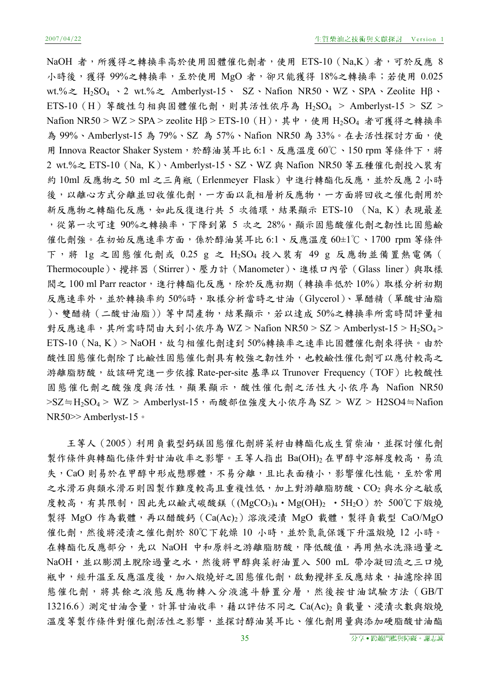NaOH 者,所獲得之轉換率高於使用固體催化劑者,使用 ETS-10 (Na,K)者,可於反應 8 小時後,獲得 99%之轉換率,至於使用 MgO 者,卻只能獲得 18%之轉換率;若使用 0.025 wt.%之 H2SO4 、2 wt.%之 Amberlyst-15、 SZ、Nafion NR50、WZ、SPA、Zeolite Hβ、 ETS-10 (H) 等酸性勻相與固體催化劑,則其活性依序為  $H_2SO_4$  > Amberlyst-15 > SZ > Nafion NR50 > WZ > SPA > zeolite Hβ > ETS-10 (H), 其中, 使用 H2SO4 者可獲得之轉換率 為 99%、Amberlyst-15 為 79%、SZ 為 57%、Nafion NR50 為 33%。在去活性探討方面,使 用 Innova Reactor Shaker System,於醇油莫耳比 6:1、反應溫度 60℃、150 rpm 等條件下,將 2 wt.%之 ETS-10(Na, K)、Amberlyst-15、SZ、WZ 與 Nafion NR50 等五種催化劑投入裝有 約 10ml 反應物之 50 ml 之三角瓶 (Erlenmeyer Flask) 中進行轉酯化反應, 並於反應 2 小時 後,以離心方式分離並回收催化劑,一方面以氣相層析反應物,一方面將回收之催化劑用於 新反應物之轉酯化反應,如此反復進行共 5 次循環,結果顯示 ETS-10 (Na, K)表現最差 ,從第一次可達 90%之轉換率,下降到第 5 次之 28%,顯示固態酸催化劑之韌性比固態鹼 催化劑強。在初始反應速率方面,係於醇油莫耳比 6:1、反應溫度 60±1℃、1700 rpm 等條件 下,將 1g 之固態催化劑或 0.25 g 之 H<sub>2</sub>SO<sub>4</sub> 投入裝有 49 g 反應物並備置熱電偶( Thermocouple)、攪拌器(Stirrer)、壓力計(Manometer)、進樣口內管(Glass liner)與取樣 閥之 100 ml Parr reactor, 進行轉酯化反應,除於反應初期 (轉換率低於 10%) 取樣分析初期 反應速率外,並於轉換率約 50%時,取樣分析當時之甘油(Glycerol)、單醋精(單酸甘油脂 )、雙醋精(二酸甘油脂))等中間產物,結果顯示,若以達成 50%之轉換率所需時間評量相 對反應速率,其所需時間由大到小依序為 WZ > Nafion NR50 > SZ > Amberlyst-15 > H<sub>2</sub>SO<sub>4</sub> >  $ETS-10$  (Na, K) > NaOH, 故勻相催化劑達到 50%轉換率之速率比固體催化劑來得快。由於 酸性固態催化劑性和氧的異有較強之韌性外,也較鹼性催化劑可以應付較高之 游離脂肪酸,故該研究進一步依據 Rate-per-site 基準以 Trunover Frequency (TOF) 比較酸性 固態催化劑之酸強度與活性,顯果顯示,酸性催化劑之活性大小依序為 Nafion NR50 >SZ≒H<sub>2</sub>SO<sub>4</sub> > WZ > Amberlyst-15, 而酸部位強度大小依序為 SZ > WZ > H2SO4≒Nafion NR50>> Amberlyst-15。

王等人(2005)利用負載型鈣鎂固態催化劑將菜籽由轉酯化成生質柴油,並探討催化劑 製作條件與轉酯化條件對甘油收率之影響。王等人指出 Ba(OH)2 在甲醇中溶解度較高,易流 失, CaO 則易於在甲醇中形成懸膠體,不易分離,且比表面積小,影響催化性能,至於常用 之水滑石與類水滑石則因製作難度較高且重複性低,加上對游離脂肪酸、CO2 與水分之敏感 度較高,有其限制,因此先以鹼式碳酸鎂( $(MgCO<sub>3</sub>)<sub>4</sub>$ ·Mg(OH)<sub>2</sub> · 5H<sub>2</sub>O)於 500℃下煅燒 製得 MgO 作為載體,再以醋酸鈣  $(Ca(Ac)_2)$ 溶液浸漬 MgO 載體,製得負載型  $CaO/MgO$ 催化劑,然後將浸漬之催化劑於 80℃下乾燥 10 小時,並於氮氣保護下升溫煅燒 12 小時。 在轉酯化反應部分,先以 NaOH 中和原料之游離脂肪酸,降低酸值,再用熱水洗滌過量之 NaOH,並以膨潤土脫除過量之水,然後將甲醇與菜籽油置入 500 mL 帶冷凝回流之三口燒 瓶中,經升溫至反應溫度後,加入煅燒好之固態催化劑,啟動攪拌至反應結束,抽濾除掉固 態催化劑,將其餘之液態反應物轉入分液濾斗靜置分層,然後按甘油試驗方法(GB/T 13216.6)測定甘油含量,計算甘油收率,藉以評估不同之 Ca(Ac)2 負載量、浸漬次數與煅燒 溫度等製作條件對催化劑活性之影響,並探討醇油莫耳比、催化劑用量與添加硬脂酸甘油酯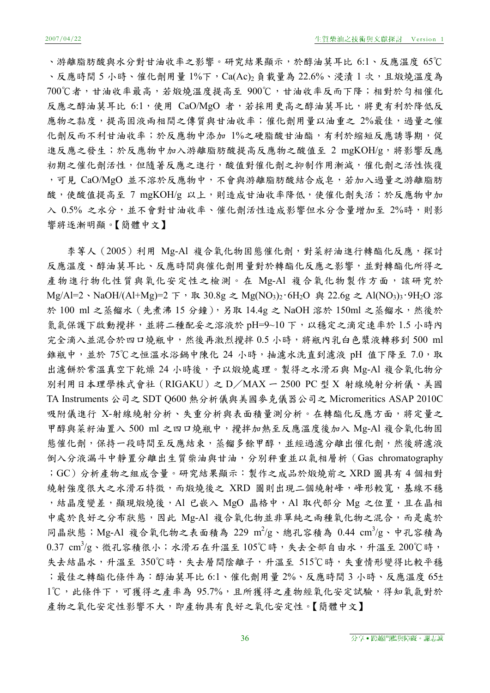、游離脂肪酸與水分對甘油收率之影響。研究結果顯示,於醇油莫耳比 6:1、反應溫度 65℃ 、反應時間 5 小時、催化劑用量 1%下, Ca(Ac)2 負載量為 22.6%、浸漬 1 次, 且煅燒溫度為 700℃者,甘油收率最高,若煅燒溫度提高至 900℃,甘油收率反而下降;相對於勻相催化 反應之醇油莫耳比 6:1,使用 CaO/MgO 者,若採用更高之醇油莫耳比,將更有利於降低反 應物之黏度,提高固液兩相間之傳質與甘油收率;催化劑用量以油重之 2%最佳,過量之催 化劑反而不利甘油收率;於反應物中添加 1%之硬脂酸甘油酯,有利於縮短反應誘導期,促 進反應之發生;於反應物中加入游離脂肪酸提高反應物之酸值至 2 mgKOH/g,將影響反應 初期之催化劑活性,但隨著反應之進行,酸值對催化劑之抑制作用漸減,催化劑之活性恢復 ,可見 CaO/MgO 並不溶於反應物中,不會與游離脂肪酸結合成皂,若加入過量之游離脂肪 酸,使酸值提高至 7 mgKOH/g 以上,則造成甘油收率降低,使催化劑失活;於反應物中加 入 0.5% 之水分,並不會對甘油收率、催化劑活性造成影響但水分含量增加至 2%時,則影 響將逐漸明顯。【簡體中文】

李等人(2005)利用 Mg-Al 複合氧化物固態催化劑,對菜籽油進行轉酯化反應,探討 反應溫度、醇油莫耳比、反應時間與催化劑用量對於轉酯化反應之影響,並對轉酯化所得之 產物進行物化性質與氧化安定性之檢測。在 Mg-Al 複合氧化物製作方面,該研究於 Mg/Al=2、NaOH/(Al+Mg)=2 下,取 30.8g 之 Mg(NO<sub>3</sub>)<sub>2</sub>·6H<sub>2</sub>O 與 22.6g 之 Al(NO<sub>3</sub>)<sub>3</sub>·9H<sub>2</sub>O 溶 於 100 ml 之蒸餾水 (先煮沸 15 分鐘),另取 14.4g 之 NaOH 溶於 150ml 之蒸餾水,然後於 氮氣保護下啟動攪拌,並將二種配妥之溶液於 pH=9~10 下,以穩定之滴定速率於 1.5 小時內 完全滴入並混合於四口燒瓶中,然後再激烈攪拌 0.5 小時,將瓶內乳白色漿液轉移到 500 ml 錐瓶中,並於 75℃之恒溫水浴鍋中陳化 24 小時,抽濾水洗直到濾液 pH 值下降至 7.0,取 出濾餅於常溫真空下乾燥 24 小時後,予以煅燒處理。製得之水滑石與 Mg-Al 複合氧化物分 別利用日本理學株式會社(RIGAKU)之 D/MAX 一 2500 PC 型 X 射線繞射分析儀、美國 TA Instruments 公司之 SDT Q600 熱分析儀與美國麥克儀器公司之 Micromeritics ASAP 2010C 吸附儀進行 X-射線繞射分析、失重分析與表面積量測分析。在轉酯化反應方面,將定量之 甲醇與菜籽油置入 500 ml 之四口燒瓶中,攪拌加熱至反應溫度後加入 Mg-Al 複合氧化物固 態催化劑,保持一段時間至反應結束,蒸餾多餘甲醇,並經過濾分離出催化劑,然後將濾液 倒入分液漏斗中靜置分離出生質柴油與甘油,分別秤重並以氣相層析(Gas chromatography ;GC)分析產物之組成含量。研究結果顯示:製作之成品於煅燒前之 XRD 圖具有 4 個相對 繞射強度很大之水滑石特徵,而煅燒後之 XRD 圖則出現二個繞射峰,峰形較寬,基線不穩 , 結晶度變差, 顯現煅燒後, Al 已嵌入 MgO 晶格中, Al 取代部分 Mg 之位置, 且在晶相 中處於良好之分布狀態,因此 Mg-Al 複合氧化物並非單純之兩種氧化物之混合,而是處於 同晶狀態; Mg-Al 複合氧化物之表面積為 229 m<sup>2</sup>/g、總孔容積為 0.44 cm<sup>3</sup>/g、中孔容積為  $0.37$   $\mathrm{cm}^3/\mathrm{g}$ 、微孔容積很小;水滑石在升溫至  $105^{\circ}\mathrm{C}$ 時,失去全部自由水,升溫至  $200^{\circ}\mathrm{C}$ 時, 失去結晶水,升溫至 350℃時,失去層間陰離子,升溫至 515℃時,失重情形變得比較平穩 ;最佳之轉酯化條件為:醇油莫耳比 6:1、催化劑用量 2%、反應時間 3 小時、反應溫度 65± 1℃,此條件下,可獲得之產率為 95.7%,且所獲得之產物經氧化安定試驗,得知氧氣對於 產物之氧化安定性影響不大,即產物具有良好之氧化安定性。【簡體中文】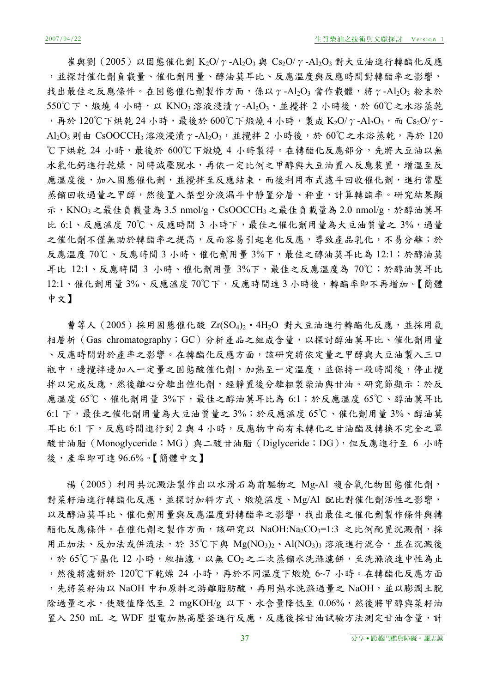崔與劉(2005)以固態催化劑 K2O/γ-Al2O3與 Cs2O/γ-Al2O3 對大豆油進行轉酯化反應 ,並探討催化劑負載量、催化劑用量、醇油莫耳比、反應溫度與反應時間對轉酯率之影響, 找出最佳之反應條件。在固態催化劑製作方面,係以γ-Al2O3 當作載體,將γ-Al2O3 粉末於 550℃下,煅燒 4 小時,以 KNO3 溶液浸漬 γ-Al2O3, 並攪拌 2 小時後,於 60℃之水浴蒸乾 ,再於 120℃下烘乾 24 小時,最後於 600℃下煅燒 4 小時,製成 K2O/ $\gamma$ -Al2O3,而 Cs2O/ $\gamma$ -Al<sub>2</sub>O<sub>3</sub>則由 CsOOCCH<sub>3</sub> 溶液浸漬 γ -Al<sub>2</sub>O<sub>3</sub>, 並攪拌 2 小時後,於 60℃之水浴蒸乾, 再於 120 ℃下烘乾 24 小時,最後於 600℃下煅燒 4 小時製得。在轉酯化反應部分,先將大豆油以無 水氯化鈣進行乾燥,同時減壓脫水,再依一定比例之甲醇與大豆油置入反應裝置,增溫至反 應溫度後,加入固態催化劑,並攪拌至反應結束,而後利用布式濾斗回收催化劑,進行常壓 蒸餾回收過量之甲醇,然後置入梨型分液漏斗中靜置分層、秤重,計算轉酯率。研究結果顯 示, KNO<sub>3</sub> 之最佳負載量為 3.5 nmol/g, CsOOCCH<sub>3</sub> 之最佳負載量為 2.0 nmol/g, 於醇油莫耳 比 6:1、反應溫度 70℃、反應時間 3 小時下,最佳之催化劑用量為大豆油質量之 3%,過量 之催化劑不僅無助於轉酯率之提高,反而容易引起皂化反應,導致產品乳化,不易分離;於 反應溫度 70℃、反應時間 3 小時、催化劑用量 3%下,最佳之醇油莫耳比為 12:1;於醇油莫 耳比 12:1、反應時間 3 小時、催化劑用量 3%下,最佳之反應溫度為 70℃;於醇油莫耳比 12:1、催化劑用量 3%、反應溫度 70℃下,反應時間達 3 小時後,轉酯率即不再增加。【簡體 中文】

曹等人(2005)採用固態催化酸 Zr(SO4)2·4H2O 對大豆油進行轉酯化反應,並採用氣 相層析(Gas chromatography;GC)分析產品之組成含量,以探討醇油莫耳比、催化劑用量 、反應時間對於產率之影響。在轉酯化反應方面,該研究將依定量之甲醇與大豆油製入三口 瓶中,邊攪拌邊加入一定量之固態酸催化劑,加熱至一定溫度,並保持一段時間後,停止攪 拌以完成反應,然後離心分離出催化劑,經靜置後分離粗製柴油與甘油。研究節顯示:於反 應溫度 65℃、催化劑用量 3%下,最佳之醇油莫耳比為 6:1;於反應溫度 65℃、醇油莫耳比 6:1 下,最佳之催化劑用量為大豆油質量之 3%;於反應溫度 65℃、催化劑用量 3%、醇油莫 耳比 6:1 下,反應時間進行到 2 與 4 小時,反應物中尚有未轉化之甘油酯及轉換不完全之單 酸甘油脂 (Monoglyceride; MG) 與二酸甘油脂 (Diglyceride; DG), 但反應進行至 6 小時 後,產率即可達 96.6%。【簡體中文】

楊(2005)利用共沉澱法製作出以水滑石為前驅物之 Mg-Al 複合氧化物固態催化劑, 對菜籽油進行轉酯化反應,並探討加料方式、煅燒溫度、Mg/Al 配比對催化劑活性之影響, 以及醇油莫耳比、催化劑用量與反應溫度對轉酯率之影響,找出最佳之催化劑製作條件與轉 酯化反應條件。在催化劑之製作方面,該研究以 NaOH:Na2CO3=1:3 之比例配置沉澱劑,採 用正加法、反加法或併流法,於 35℃下與 Mg(NO<sub>3</sub>)2、Al(NO<sub>3</sub>)3</sub> 溶液進行混合,並在沉澱後 ,於 65℃下晶化 12 小時,經抽濾,以無 CO2 之二次蒸餾水洗滌濾餅,至洗滌液達中性為止 ,然後將濾餅於 120℃下乾燥 24 小時,再於不同溫度下煅燒 6~7 小時。在轉酯化反應方面 ,先將菜籽油以 NaOH 中和原料之游離脂肪酸,再用熱水洗滌過量之 NaOH,並以膨潤土脫 除過量之水,使酸值降低至 2 mgKOH/g 以下、水含量降低至 0.06%,然後將甲醇與菜籽油 置入 250 mL 之 WDF 型電加熱高壓釜進行反應,反應後採甘油試驗方法測定甘油含量,計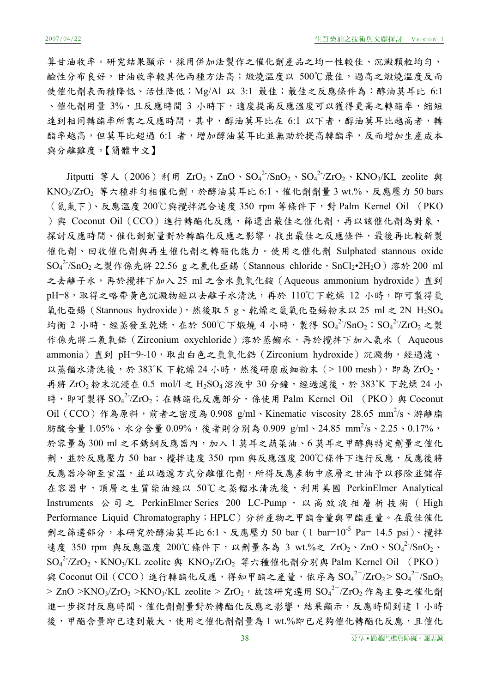算甘油收率。研究結果顯示,採用併加法製作之催化劑產品之均一性較佳、沉澱顆粒均勻、 鹼性分布良好,甘油收率較其他兩種方法高;煅燒溫度以 500℃最佳,過高之煅燒溫度反而 使催化劑表面積降低、活性降低;Mg/Al 以 3:1 最佳;最佳之反應條件為:醇油莫耳比 6:1 、催化劑用量 3%,且反應時間 3 小時下,適度提高反應溫度可以獲得更高之轉酯率,縮短 達到相同轉酯率所需之反應時間,其中,醇油莫耳比在 6:1 以下者,醇油莫耳比越高者,轉 酯率越高,但莫耳比超過 6:1 者,增加醇油莫耳比並無助於提高轉酯率,反而增加生產成本 與分離難度。【簡體中文】

Jitputti 等人(2006)利用 ZrO<sub>2</sub>、ZnO、SO<sub>4</sub><sup>2-</sup>/SnO<sub>2</sub>、SO<sub>4</sub><sup>2-</sup>/ZrO<sub>2</sub>、KNO<sub>3</sub>/KL zeolite 與 KNO3/ZrO<sub>2</sub> 等六種非勻相催化劑,於醇油莫耳比 6:1、催化劑劑量 3 wt.%、反應壓力 50 bars (氮氣下)、反應溫度 200℃與攪拌混合速度 350 rpm 等條件下,對 Palm Kernel Oil (PKO )與 Coconut Oil (CCO)進行轉酯化反應,篩選出最佳之催化劑,再以該催化劑為對象, 探討反應時間、催化劑劑量對於轉酯化反應之影響,找出最佳之反應條件,最後再比較新製 催化劑、回收催化劑與再生催化劑之轉酯化能力。使用之催化劑 Sulphated stannous oxide  $\mathrm{SO_4}^2$ /Sn $\mathrm{O_2}$ 之製作係先將 22.56 g 之氯化亞錫 (Stannous chloride,SnCl2•2H2O) 溶於 200 ml 之去離子水,再於攪拌下加入 25 ml 之含水氫氧化銨 (Aqueous ammonium hydroxide)直到 pH=8,取得之略帶黃色沉澱物經以去離子水清洗,再於 110℃下乾燥 12 小時,即可製得氫 氧化亞錫 (Stannous hydroxide),然後取 5 g、乾燥之氫氧化亞錫粉末以 25 ml 之 2N H<sub>2</sub>SO<sub>4</sub> 均衡 2 小時,經蒸發至乾燥,在於 500℃下煅燒 4 小時,製得  ${\rm SO_4}^2$ /SnO<sub>2</sub>; ${\rm SO_4}^2$ /ZrO<sub>2</sub> 之製 作係先將二氯氧鋯 (Zirconium oxychloride) 溶於蒸餾水,再於攪拌下加入氨水 ( Aqueous ammonia)直到 pH=9~10,取出白色之氫氧化鋯 (Zirconium hydroxide)沉澱物,經過濾、 以蒸餾水清洗後,於 383°K 下乾燥 24 小時,然後研磨成細粉末 $(> 100 \text{ mesh})$ , 即為  $\text{ZrO}_2$ , 再將 ZrO<sub>2</sub> 粉末沉浸在 0.5 mol/l 之 H<sub>2</sub>SO<sub>4</sub> 溶液中 30 分鐘,經過濾後,於 383°K 下乾燥 24 小 時,即可製得 SO4<sup>2-</sup>/ZrO<sub>2</sub>;在轉酯化反應部分,係使用 Palm Kernel Oil (PKO)與 Coconut Oil (CCO) 作為原料,前者之密度為 0.908 g/ml、Kinematic viscosity 28.65 mm<sup>2</sup>/s、游離脂 肪酸含量 1.05%、水分含量 0.09%,後者則分別為 0.909 g/ml、24.85 mm<sup>2</sup>/s、2.25、0.17%, 於容量為 300 ml 之不銹鋼反應器內,加入1莫耳之蔬菜油、6莫耳之甲醇與特定劑量之催化 劑,並於反應壓力 50 bar、攪拌速度 350 rpm 與反應溫度 200℃條件下進行反應,反應後將 反應器冷卻至室溫,並以過濾方式分離催化劑,所得反應產物中底層之甘油予以移除並儲存 在容器中,頂層之生質柴油經以 50℃之蒸餾水清洗後,利用美國 PerkinElmer Analytical Instruments 公司之 PerkinElmer Series 200 LC-Pump, 以高效液相層析技術 ( High Performance Liquid Chromatography;HPLC)分析產物之甲酯含量與甲酯產量。在最佳催化 劑之篩選部分,本研究於醇油莫耳比 6:1、反應壓力 50 bar (1 bar=10<sup>-5</sup> Pa= 14.5 psi)、攪拌 速度 350 rpm 與反應溫度 200℃條件下,以劑量各為 3 wt.%之 ZrO2、ZnO、SO4<sup>2-</sup>/SnO<sub>2</sub>、  $\mathrm{SO_4}^2$ -/ZrO<sub>2</sub>、KNO<sub>3</sub>/KL zeolite 與 KNO<sub>3</sub>/ZrO<sub>2</sub> 等六種催化劑分別與 Palm Kernel Oil (PKO) 與 Coconut Oil (CCO) 進行轉酯化反應,得知甲酯之產量,依序為  $\mathrm{SO_4}^{2-}/\mathrm{ZrO_2}$   $>$   $\mathrm{SO_4}^{2-}/\mathrm{SnO_2}$ > ZnO >KNO3/ZrO2 >KNO3/KL zeolite > ZrO2,故該研究選用 SO4<sup>2-</sup>/ZrO2 作為主要之催化劑 進一步探討反應時間、催化劑劑量對於轉酯化反應之影響,結果顯示,反應時間到達1小時 後,甲酯含量即已達到最大,使用之催化劑劑量為1 wt.%即已足夠催化轉酯化反應,且催化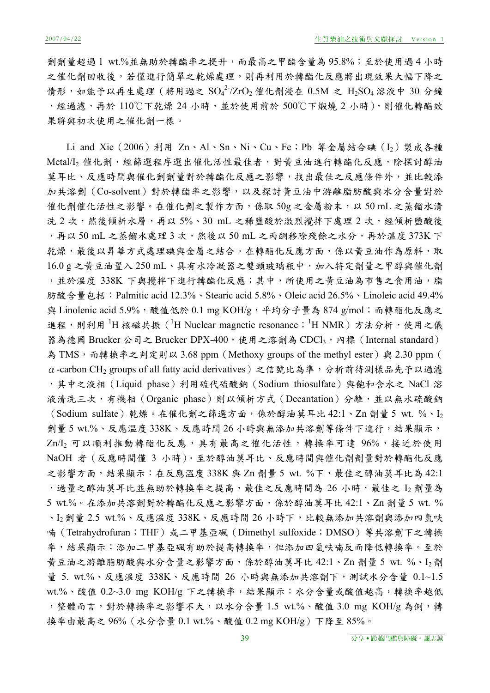劑劑量超過 1 wt.%並無助於轉酯率之提升,而最高之甲酯含量為 95.8%;至於使用過 4 小時 之催化劑回收後,若僅進行簡單之乾燥處理,則再利用於轉酯化反應將出現效果大幅下降之 情形,如能予以再生處理 (將用過之 ${\rm SO_4}^2$ /ZrO<sub>2</sub> 催化劑浸在 0.5M 之 H<sub>2</sub>SO<sub>4</sub> 溶液中 30 分鐘 , 經過濾, 再於 110℃下乾燥 24 小時, 並於使用前於 500℃下煅燒 2 小時), 則催化轉酯效 果將與初次使用之催化劑一樣。

Li and Xie(2006)利用 Zn、Al、Sn、Ni、Cu、Fe;Pb 等金屬結合碘(I2)製成各種 Metal/I<sub>2</sub> 催化劑,經篩選程序選出催化活性最佳者,對黃豆油進行轉酯化反應,除探討醇油 莫耳比、反應時間與催化劑劑量對於轉酯化反應之影響,找出最佳之反應條件外,並比較添 加共溶劑(Co-solvent)對於轉酯率之影響,以及探討黃豆油中游離脂肪酸與水分含量對於 催化劑催化活性之影響。在催化劑之製作方面,係取 50g 之金屬粉末,以 50 mL 之蒸餾水清 洗 2 次,然後傾析水層,再以 5%、30 mL 之稀鹽酸於激烈攪拌下處理 2 次,經傾析鹽酸後 ,再以 50 mL 之蒸餾水處理 3 次,然後以 50 mL 之丙酮移除殘餘之水分,再於溫度 373K 下 乾燥,最後以昇華方式處理碘與金屬之結合。在轉酯化反應方面,係以黃豆油作為原料,取 16.0 g 之黃豆油置入 250 mL、具有水冷凝器之雙頸玻璃瓶中,加入特定劑量之甲醇與催化劑 ,並於溫度 338K 下與攪拌下進行轉酯化反應;其中,所使用之黃豆油為市售之食用油,脂 肪酸含量包括:Palmitic acid 12.3%、Stearic acid 5.8%、Oleic acid 26.5%、Linoleic acid 49.4% 與 Linolenic acid 5.9%, 酸值低於 0.1 mg KOH/g, 平均分子量為 874 g/mol; 而轉酯化反應之 進程,則利用<sup>1</sup>H 核磁共振 (<sup>1</sup>H Nuclear magnetic resonance; <sup>1</sup>H NMR) 方法分析,使用之儀 器為德國 Brucker 公司之 Brucker DPX-400,使用之溶劑為 CDCl3,內標 (Internal standard) 為 TMS, 而轉換率之判定則以 3.68 ppm (Methoxy groups of the methyl ester) 與 2.30 ppm (  $\alpha$  -carbon CH<sub>2</sub> groups of all fatty acid derivatives)之信號比為準,分析前待測樣品先予以過濾 ,其中之液相(Liquid phase)利用硫代硫酸鈉(Sodium thiosulfate)與飽和含水之 NaCl 溶 液清洗三次,有機相 (Organic phase)則以傾析方式 (Decantation) 分離,並以無水硫酸鈉 (Sodium sulfate)乾燥。在催化劑之篩選方面,係於醇油莫耳比 42:1、Zn 劑量 5 wt. %、I2 劑量 5 wt.%、反應溫度 338K、反應時間 26 小時與無添加共溶劑等條件下進行,結果顯示, Zn/I<sub>2</sub> 可以順利推動轉酯化反應,具有最高之催化活性,轉換率可達 96%,接近於使用 NaOH 者(反應時間僅 3 小時)。至於醇油莫耳比、反應時間與催化劑劑量對於轉酯化反應 之影響方面,結果顯示:在反應溫度 338K與 Zn 劑量 5 wt. %下,最佳之醇油莫耳比為 42:1 , 過量之醇油莫耳比並無助於轉換率之提高,最佳之反應時間為 26 小時,最佳之 I2 劑量為 5 wt.%。在添加共溶劑對於轉酯化反應之影響方面,係於醇油莫耳比 42:1、Zn 劑量 5 wt. % 、I<sub>2</sub> 劑量 2.5 wt.%、反應溫度 338K、反應時間 26 小時下,比較無添加共溶劑與添加四氫呋 喃(Tetrahydrofuran;THF)或二甲基亞碸(Dimethyl sulfoxide;DMSO)等共溶劑下之轉換 率,結果顯示:添加二甲基亞碸有助於提高轉換率,但添加四氫呋喃反而降低轉換率。至於 黃豆油之游離脂肪酸與水分含量之影響方面,係於醇油莫耳比 42:1、Zn 劑量 5 wt. %、I2劑 量 5. wt.%、反應溫度 338K、反應時間 26 小時與無添加共溶劑下,測試水分含量 0.1~1.5 wt.%、酸值 0.2~3.0 mg KOH/g 下之轉換率,結果顯示:水分含量或酸值越高,轉換率越低 ,整體而言,對於轉換率之影響不大,以水分含量 1.5 wt.%、酸值 3.0 mg KOH/g 為例,轉 換率由最高之 96%(水分含量 0.1 wt.%、酸值 0.2 mg KOH/g)下降至 85%。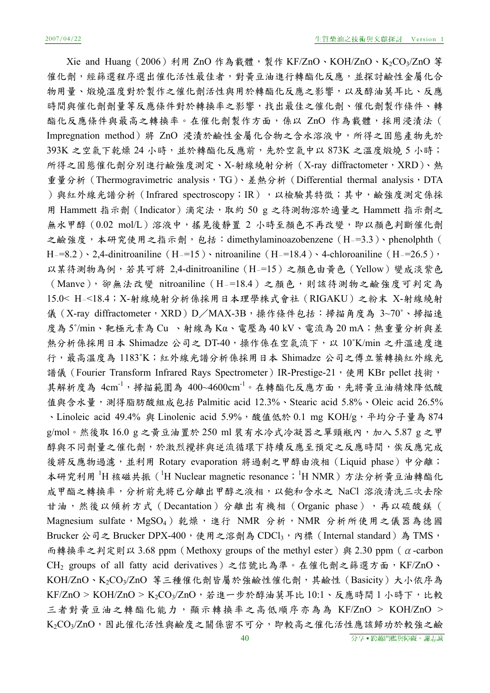Xie and Huang (2006) 利用 ZnO 作為載體,製作 KF/ZnO、KOH/ZnO、K2CO3/ZnO 等 催化劑,經篩選程序選出催化活性最佳者,對黃豆油進行轉酯化反應,並探討鹼性金屬化合 物用量、煅燒溫度對於製作之催化劑活性與用於轉酯化反應之影響,以及醇油莫耳比、反應 時間與催化劑劑量等反應條件對於轉換率之影響,找出最佳之催化劑、催化劑製作條件、轉 酯化反應條件與最高之轉換率。在催化劑製作方面,係以 ZnO 作為載體,採用浸漬法 ( Impregnation method)將 ZnO 浸漬於鹼性金屬化合物之含水溶液中,所得之固態產物先於 393K 之空氣下乾燥 24 小時,並於轉酯化反應前,先於空氣中以 873K 之溫度煅燒 5 小時; 所得之固態催化劑分別進行鹼強度測定、X-射線繞射分析 (X-ray diffractometer, XRD)、熱 重量分析 (Thermogravimetric analysis, TG)、差熱分析 (Differential thermal analysis, DTA )與紅外線光譜分析 (Infrared spectroscopy; IR), 以檢驗其特徵;其中,鹼強度測定係採 用 Hammett 指示劑(Indicator)滴定法,取約 50 g 之待測物溶於適量之 Hammett 指示劑之 無水甲醇(0.02 mol/L)溶液中,搖晃後靜置 2 小時至顏色不再改變,即以顏色判斷催化劑 之鹼強度,本研究使用之指示劑,包括:dimethylaminoazobenzene (H-=3.3)、phenolphth ( H-=8.2) \ 2,4-dinitroaniline (H-=15) \ nitroaniline (H-=18.4) \ 4-chloroaniline (H-=26.5) \ 以某待測物為例,若其可將 2,4-dinitroaniline(H-=15)之顏色由黃色(Yellow)變成淡紫色 (Manve),卻無法改變 nitroaniline(H-=18.4)之顏色,則該待測物之鹼強度可判定為 15.0< H-<18.4;X-射線繞射分析係採用日本理學株式會社(RIGAKU)之粉末 X-射線繞射 儀(X-ray diffractometer, XRD)D/MAX-3B,操作條件包括:掃描角度為 3~70°、掃描速 度為 5˚/min、靶極元素為 Cu 、射線為 Kα、電壓為 40 kV、電流為 20 mA;熱重量分析與差 熱分析係採用日本 Shimadze 公司之 DT-40,操作係在空氣流下,以 10°K/min 之升溫速度進 行,最高溫度為 1183˚K;紅外線光譜分析係採用日本 Shimadze 公司之傅立葉轉換紅外線光 譜儀 (Fourier Transform Infrared Rays Spectrometer) IR-Prestige-21,使用 KBr pellet 技術, 其解析度為  $4 \text{cm}^{-1}$ ,掃描範圍為  $400 \text{--} 4600 \text{cm}^{-1}$ 。在轉酯化反應方面,先將黃豆油精煉降低酸 值與含水量,測得脂肪酸組成包括 Palmitic acid 12.3%、Stearic acid 5.8%、Oleic acid 26.5% 、Linoleic acid 49.4% 與 Linolenic acid 5.9%, 酸值低於 0.1 mg KOH/g,平均分子量為 874 g/mol。然後取 16.0 g 之黃豆油置於 250 ml 裝有水冷式冷凝器之單頸瓶內,加入 5.87 g 之甲 醇與不同劑量之催化劑,於激烈攪拌與逆流循環下持續反應至預定之反應時間,俟反應完成 後將反應物過濾,並利用 Rotary evaporation 將過剩之甲醇由液相 (Liquid phase) 中分離; 本研究利用 <sup>1</sup>H 核磁共振 ( <sup>1</sup>H Nuclear magnetic resonance; <sup>1</sup>H NMR) 方法分析黃豆油轉酯化 成甲酯之轉換率,分析前先將已分離出甲醇之液相,以飽和含水之 NaCl 溶液清洗三次去除 甘油,然後以傾析方式 (Decantation)分離出有機相 (Organic phase),再以硫酸鎂 ( Magnesium sulfate, MgSO<sub>4</sub>) 乾燥, 進行 NMR 分析, NMR 分析所使用之儀器為德國 Brucker 公司之 Brucker DPX-400,使用之溶劑為 CDCl3,內標 (Internal standard)為 TMS, 而轉換率之判定則以 3.68 ppm (Methoxy groups of the methyl ester) 與 2.30 ppm ( $\alpha$ -carbon CH<sub>2</sub> groups of all fatty acid derivatives)之信號比為準。在催化劑之篩選方面, KF/ZnO、 KOH/ZnO、K2CO3/ZnO 等三種催化劑皆屬於強鹼性催化劑,其鹼性(Basicity)大小依序為 KF/ZnO > KOH/ZnO > K2CO3/ZnO,若進一步於醇油莫耳比 10:1、反應時間 1 小時下,比較 三者對黃豆油之轉酯化能力,顯示轉換率之高低順序亦為為 KF/ZnO > KOH/ZnO > K<sub>2</sub>CO<sub>3</sub>/ZnO,因此催化活性與鹼度之關係密不可分,即較高之催化活性應該歸功於較強之鹼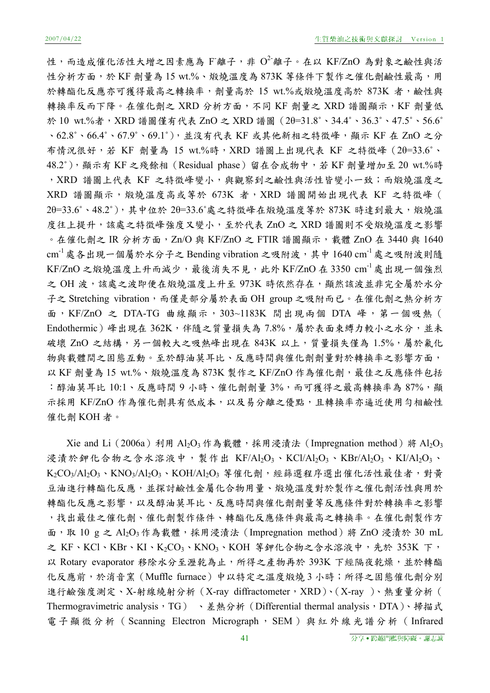性,而造成催化活性大增之因素應為 F離子,非  $O^2$ 離子。在以 KF/ZnO 為對象之鹼性與活 性分析方面,於 KF 劑量為 15 wt.%、煅燒溫度為 873K 等條件下製作之催化劑鹼性最高,用 於轉酯化反應亦可獲得最高之轉換率,劑量高於 15 wt.%或煅燒溫度高於 873K 者,鹼性與 轉換率反而下降。在催化劑之 XRD 分析方面,不同 KF 劑量之 XRD 譜圖顯示, KF 劑量低 於 10 wt.%者,XRD 譜圖僅有代表 ZnO 之 XRD 譜圖(2θ=31.8˚、34.4˚、36.3˚、47.5˚、56.6˚ 、62.8˚、66.4˚、67.9˚、69.1˚),並沒有代表 KF 或其他新相之特徵峰,顯示 KF 在 ZnO 之分 布情況很好,若 KF 劑量為 15 wt.%時,XRD 譜圖上出現代表 KF 之特徵峰(2θ=33.6˚、 48.2˚),顯示有 KF 之殘餘相(Residual phase)留在合成物中,若 KF 劑量增加至 20 wt.%時 , XRD 譜圖上代表 KF 之特徵峰變小,與觀察到之鹼性與活性皆變小一致;而煅燒溫度之 XRD 譜圖顯示,煅燒溫度高或等於 673K 者, XRD 譜圖開始出現代表 KF 之特徵峰 ( 2θ=33.6°、48.2°), 其中位於 2θ=33.6°處之特徵峰在煅燒溫度等於 873K 時達到最大,煅燒溫 度往上提升,該處之特徵峰強度又變小,至於代表 ZnO 之 XRD 譜圖則不受煅燒溫度之影響 。在催化劑之 IR 分析方面, Zn/O 與 KF/ZnO 之 FTIR 譜圖顯示,載體 ZnO 在 3440 與 1640  $cm^{-1}$ 處各出現一個屬於水分子之 Bending vibration 之吸附波,其中 1640  $cm^{-1}$ 處之吸附波則隨  $KF/ZnO$ 之煅燒溫度上升而減少,最後消失不見,此外  $KF/ZnO$ 在 3350  $cm^{-1}$ 處出現一個強烈 之 OH 波,該處之波即便在煅燒溫度上升至 973K 時依然存在,顯然該波並非完全屬於水分 子之 Stretching vibration,而僅是部分屬於表面 OH group 之吸附而已。在催化劑之熱分析方 面, KF/ZnO 之 DTA-TG 曲線顯示, 303~1183K 間出現兩個 DTA 峰, 第一個吸熱 ( Endothermic)峰出現在 362K,伴隨之質量損失為 7.8%,屬於表面束縛力較小之水分,並未 破壞 ZnO 之結構,另一個較大之吸熱峰出現在 843K 以上,質量損失僅為 1.5%,屬於氟化 物與載體間之固態互動。至於醇油莫耳比、反應時間與催化劑劑量對於轉換率之影響方面, 以 KF 劑量為 15 wt.%、煅燒溫度為 873K 製作之 KF/ZnO 作為催化劑,最佳之反應條件包括 :醇油莫耳比 10:1、反應時間 9 小時、催化劑劑量 3%,而可獲得之最高轉換率為 87%,顯 示採用 KF/ZnO 作為催化劑具有低成本,以及易分離之優點,且轉換率亦逼近使用勻相鹼性 催化劑 KOH 者。

Xie and Li (2006a) 利用 Al<sub>2</sub>O<sub>3</sub> 作為載體,採用浸漬法 (Impregnation method) 將 Al<sub>2</sub>O<sub>3</sub> 浸漬於鉀化合物之含水溶液中,製作出 KF/Al2O3、KCl/Al2O3、KBr/Al2O3、KI/Al2O3、  $K_2CO_3/Al_2O_3$ 、KNO<sub>3</sub>/Al<sub>2</sub>O<sub>3</sub>、KOH/Al<sub>2</sub>O<sub>3</sub> 等催化劑,經篩選程序選出催化活性最佳者,對黃 豆油進行轉酯化反應,並探討鹼性金屬化合物用量、煅燒溫度對於製作之催化劑活性與用於 轉酯化反應之影響,以及醇油莫耳比、反應時間與催化劑劑量等反應條件對於轉換率之影響 ,找出最佳之催化劑、催化劑製作條件、轉酯化反應條件與最高之轉換率。在催化劑製作方 面,取 10 g 之 Al2O3 作為載體,採用浸漬法 (Impregnation method) 將 ZnO 浸漬於 30 mL 之 KF、KCl、KBr、KI、K2CO3、KNO3、KOH 等鉀化合物之含水溶液中,先於 353K 下, 以 Rotary evaporator 移除水分至瀝乾為止,所得之產物再於 393K 下經隔夜乾燥,並於轉酯 化反應前,於消音窯(Muffle furnace)中以特定之溫度煅燒 3 小時;所得之固態催化劑分別 進行鹼強度測定、X-射線繞射分析 (X-ray diffractometer, XRD)、(X-ray )、熱重量分析 ( Thermogravimetric analysis, TG) 、差熱分析 (Differential thermal analysis, DTA)、掃描式 電子顯微分析 ( Scanning Electron Micrograph , SEM ) 與紅外線光譜分析 ( Infrared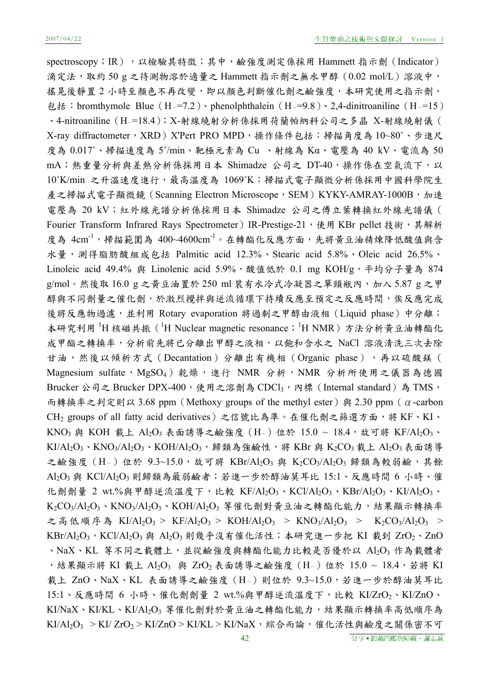spectroscopy; IR), 以檢驗其特徵;其中,鹼強度測定係採用 Hammett 指示劑 (Indicator) 滴定法,取約 50 g 之待測物溶於適量之 Hammett 指示劑之無水甲醇(0.02 mol/L)溶液中, 搖晃後靜置 2 小時至顏色不再改變,即以顏色判斷催化劑之鹼強度,本研究使用之指示劑, 包括: bromthymole Blue (H-=7.2)、phenolphthalein (H-=9.8)、2,4-dinitroaniline (H-=15) 、4-nitroaniline(H-=18.4);X-射線繞射分析係採用荷蘭帕納科公司之多晶 X-射線繞射儀( X-ray diffractometer, XRD) X'Pert PRO MPD, 操作條件包括:掃描角度為 10~80°、步進尺 度為 0.017˚、掃描速度為 5˚/min、靶極元素為 Cu 、射線為 Kα、電壓為 40 kV、電流為 50 mA;熱重量分析與差熱分析係採用日本 Shimadze 公司之 DT-40,操作係在空氣流下,以 10˚K/min 之升溫速度進行,最高溫度為 1069˚K;掃描式電子顯微分析係採用中國科學院生 產之掃描式電子顯微鏡 (Scanning Electron Microscope, SEM) KYKY-AMRAY-1000B,加速 電壓為 20 kV;紅外線光譜分析係採用日本 Shimadze 公司之傅立葉轉換紅外線光譜儀( Fourier Transform Infrared Rays Spectrometer) IR-Prestige-21,使用 KBr pellet 技術,其解析 度為 4cm<sup>-1,</sup>掃描範圍為 400~4600cm<sup>-1</sup>。在轉酯化反應方面,先將黃豆油精煉降低酸值與含 水量,測得脂肪酸組成包括 Palmitic acid 12.3%、Stearic acid 5.8%、Oleic acid 26.5%、 Linoleic acid 49.4% 與 Linolenic acid 5.9%, 酸值低於 0.1 mg KOH/g, 平均分子量為 874 g/mol。然後取 16.0 g 之黃豆油置於 250 ml 裝有水冷式冷凝器之單頸瓶內,加入 5.87 g 之甲 醇與不同劑量之催化劑,於激烈攪拌與逆流循環下持續反應至預定之反應時間,俟反應完成 後將反應物過濾,並利用 Rotary evaporation 將過剩之甲醇由液相 (Liquid phase) 中分離; 本研究利用 <sup>1</sup>H 核磁共振 ( <sup>1</sup>H Nuclear magnetic resonance; <sup>1</sup>H NMR) 方法分析黃豆油轉酯化 成甲酯之轉換率,分析前先將已分離出甲醇之液相,以飽和含水之 NaCl 溶液清洗三次去除 甘油,然後以傾析方式 (Decantation)分離出有機相 (Organic phase),再以硫酸鎂 ( Magnesium sulfate, MgSO<sub>4</sub>) 乾燥, 進行 NMR 分析, NMR 分析所使用之儀器為德國 Brucker 公司之 Brucker DPX-400,使用之溶劑為 CDCl3,內標 (Internal standard)為 TMS, 而轉換率之判定則以 3.68 ppm (Methoxy groups of the methyl ester) 與 2.30 ppm ( $\alpha$ -carbon CH<sub>2</sub> groups of all fatty acid derivatives)之信號比為準。在催化劑之篩選方面,將 KF、KI、 KNO<sub>3</sub> 與 KOH 載上 Al<sub>2</sub>O<sub>3</sub> 表面誘導之鹼強度 (H-) 位於 15.0 ~ 18.4,故可將 KF/Al<sub>2</sub>O<sub>3</sub>、 KI/Al<sub>2</sub>O<sub>3</sub>、KNO<sub>3</sub>/Al<sub>2</sub>O<sub>3</sub>、KOH/Al<sub>2</sub>O<sub>3</sub>,歸類為強鹼性,將 KBr 與 K<sub>2</sub>CO<sub>3</sub> 載上 Al<sub>2</sub>O<sub>3</sub>表面誘導 之鹼強度 (H-)位於 9.3~15.0,故可將 KBr/Al2O3 與 K2CO3/Al2O3 歸類為較弱鹼,其餘 Al<sub>2</sub>O<sub>3</sub> 與 KCl/Al<sub>2</sub>O<sub>3</sub> 則歸類為最弱鹼者;若進一步於醇油莫耳比 15:1、反應時間 6 小時、催 化劑劑量 2 wt.%與甲醇逆流溫度下,比較 KF/Al2O3、KCl/Al2O3、KBr/Al2O3、KI/Al2O3、  $K_2CO_3/Al_2O_3$ 、 $KNO_3/Al_2O_3$ 、 $KOH/Al_2O_3$  等催化劑對黃豆油之轉酯化能力,結果顯示轉換率 之高低順序為 KI/Al<sub>2</sub>O<sub>3</sub> > KF/Al<sub>2</sub>O<sub>3</sub> > KOH/Al<sub>2</sub>O<sub>3</sub> > KNO<sub>3</sub>/Al<sub>2</sub>O<sub>3</sub> > K<sub>2</sub>CO<sub>3</sub>/Al<sub>2</sub>O<sub>3</sub> > KBr/Al<sub>2</sub>O<sub>3</sub>, KCl/Al<sub>2</sub>O<sub>3</sub> 與 Al<sub>2</sub>O<sub>3</sub> 則幾乎沒有催化活性;本研究進一步把 KI 載到 ZrO<sub>2</sub>、ZnO 、NaX、KL 等不同之載體上,並從鹼強度與轉酯化能力比較是否優於以 Al2O3 作為載體者 ,結果顯示將 KI 載上 Al<sub>2</sub>O<sub>3</sub> 與 ZrO<sub>2</sub> 表面誘導之鹼強度 (H-) 位於 15.0 ~ 18.4,若將 KI 載上 ZnO、NaX、KL 表面誘導之鹼強度 (H-)則位於 9.3~15.0,若進一步於醇油莫耳比 15:1、反應時間 6 小時、催化劑劑量 2 wt.%與甲醇逆流溫度下,比較 KI/ZrO2、KI/ZnO、  $KI/NaX \cdot KI/KL \cdot KI/A!_2O$ 3 等催化劑對於黃豆油之轉酯化能力,結果顯示轉換率高低順序為 KI/Al<sub>2</sub>O<sub>3</sub> > KI/ ZrO<sub>2</sub> > KI/ZnO > KI/KL > KI/NaX, 綜合而論, 催化活性與鹼度之關係密不可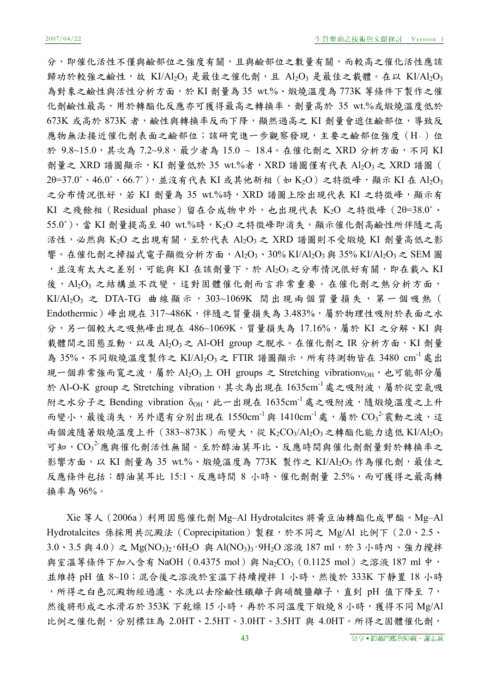分,即催化活性不僅與鹼部位之與鹼部位之數量有關,而較高之催化活性應該 歸功於較強之鹼性,故 KI/Al2O3 是最佳之催化劑,且 Al2O3 是最佳之載體。在以 KI/Al2O3 為對象之鹼性與活性分析方面,於 KI 劑量為 35 wt.%、煅燒溫度為 773K 等條件下製作之催 化劑鹼性最高,用於轉酯化反應亦可獲得最高之轉換率,劑量高於 35 wt.%或煅燒溫度低於 673K 或高於 873K 者,鹼性與轉換率反而下降,顯然過高之 KI 劑量會遮住鹼部位,導致反 應物無法接近催化劑表面之鹼部位;該研究進一步觀察發現,主要之鹼部位強度(H-)位 於 9.8~15.0,其次為 7.2~9.8,最少者為 15.0 ~ 18.4。在催化劑之 XRD 分析方面,不同 KI 劑量之 XRD 譜圖顯示, KI 劑量低於 35 wt.%者, XRD 譜圖僅有代表 Al2O3 之 XRD 譜圖 (  $2\theta$ =37.0°、46.0°、66.7°), 並沒有代表 KI 或其他新相 (如 K<sub>2</sub>O) 之特徵峰, 顯示 KI 在 Al<sub>2</sub>O<sub>3</sub> 之分布情況很好,若 KI 劑量為 35 wt.%時, XRD 譜圖上除出現代表 KI 之特徵峰,顯示有 KI 之殘餘相(Residual phase)留在合成物中外,也出現代表 K2O 之特徵峰(2θ=38.0˚、  $55.0^\circ$ ),當 KI 劑量提高至 40 wt.%時,K<sub>2</sub>O 之特徵峰即消失,顯示催化劑高鹼性所伴隨之高 活性,必然與  $K_2O$  之出現有關,至於代表  $Al_2O_3$ 之 XRD 譜圖則不受煅燒 KI 劑量高低之影 響。在催化劑之掃描式電子顯微分析方面,Al2O3、30% KI/Al2O3與 35% KI/Al2O3之 SEM 圖 ,並沒有太大之差別,可能與 KI 在該劑量下,於 Al2O3之分布情況很好有關,即在載入 KI 後, Al2O3 之結構並不改變,這對固體催化劑而言非常重要。在催化劑之熱分析方面, KI/Al<sub>2</sub>O<sub>3</sub> 之 DTA-TG 曲線顯示, 303~1069K 間出現兩個質量損失, 第一個吸熱( Endothermic)峰出現在 317~486K,伴隨之質量損失為 3.483%,屬於物理性吸附於表面之水 分,另一個較大之吸熱峰出現在 486~1069K,質量損失為 17.16%,屬於 KI 之分解、KI 與 載體間之固態互動,以及 Al2O3 之 Al-OH group 之脫水。在催化劑之 IR 分析方面, KI 劑量 為 35%、不同煅燒溫度製作之 KI/Al<sub>2</sub>O<sub>3</sub> 之 FTIR 譜圖顯示,所有待測物皆在 3480 cm<sup>-1</sup>處出 現一個非常強而寬之波,屬於 Al2O3 上 OH groups 之 Stretching vibrationvoH, 也可能部分屬 於 Al-O-K group 之 Stretching vibration, 其次為出現在 1635cm 成之吸附波,屬於從空氣吸 附之水分子之 Bending vibration  $\delta$ <sub>OH</sub>, 此一出現在  $1635$ cm<sup>-1</sup> 處之吸附波,隨煅燒溫度之上升 而變小,最後消失,另外還有分別出現在 1550cm-<sup>1</sup>與 1410cm-<sup>1</sup>處,屬於 CO<sub>3</sub><sup>2</sup>震動之波,這 兩個波隨著煅燒溫度上升 (383~873K) 而變大,從 K2CO3/Al2O3之轉酯化能力遠低 KI/Al2O3 可知, ${\rm CO_3}^2$ 應與催化劑活性無關。至於醇油莫耳比、反應時間與催化劑劑量對於轉換率之 影響方面,以 KI 劑量為 35 wt.%、煅燒溫度為 773K 製作之 KI/Al2O3 作為催化劑,最佳之 反應條件包括:醇油莫耳比 15:1、反應時間 8 小時、催化劑劑量 2.5%,而可獲得之最高轉 換率為 96%。

Xie 等人(2006a)利用固態催化劑 Mg–Al Hydrotalcites 將黃豆油轉酯化成甲酯。Mg–Al Hydrotalcites 係採用共沉澱法 (Coprecipitation) 製程,於不同之 Mg/Al 比例下 (2.0、2.5、 3.0、3.5 與 4.0)之 Mg(NO<sub>3</sub>)<sub>2</sub>·6H<sub>2</sub>O 與 Al(NO<sub>3</sub>)<sub>3</sub>·9H<sub>2</sub>O 溶液 187 ml,於 3 小時內、強力攪拌 與室溫等條件下加入含有 NaOH (0.4375 mol) 與 Na<sub>2</sub>CO<sub>3</sub> (0.1125 mol) 之溶液 187 ml 中, 並維持 pH 值 8~10;混合後之溶液於室溫下持續攪拌 1 小時,然後於 333K 下靜置 18 小時 ,所得之白色沉澱物經過濾、水洗以去除鹼性鐵離子與硝酸鹽離子,直到 pH 值下降至 7, 然後將形成之水滑石於 353K 下乾燥 15 小時,再於不同溫度下煅燒 8 小時,獲得不同 Mg/Al 比例之催化劑,分別標註為 2.0HT、2.5HT、3.0HT、3.5HT 與 4.0HT。所得之固體催化劑,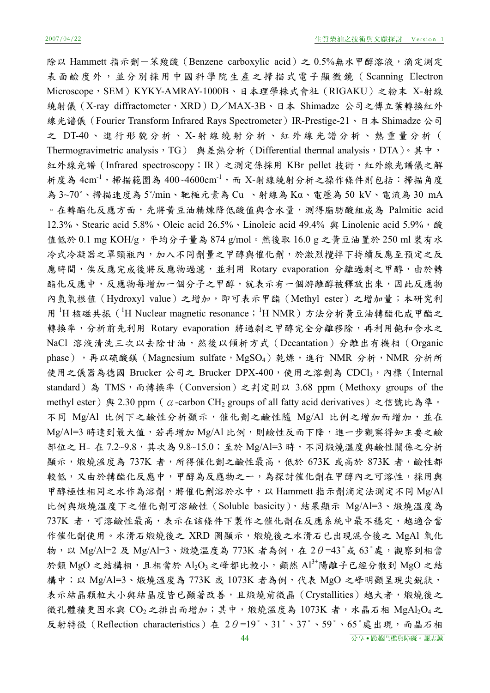除以 Hammett 指示劑-苯羧酸 (Benzene carboxylic acid) 之 0.5%無水甲醇溶液,滴定測定 表面鹼度外,並分別採用中國科學院生產之掃描式電子顯微鏡(Scanning Electron Microscope,SEM)KYKY-AMRAY-1000B、日本理學株式會社(RIGAKU)之粉末 X-射線 繞射儀(X-ray diffractometer,XRD)D/MAX-3B、日本 Shimadze 公司之傅立葉轉換紅外 線光譜儀 (Fourier Transform Infrared Rays Spectrometer) IR-Prestige-21、日本 Shimadze 公司 之 DT-40 、進行形貌分析、 X- 射線繞射分析、紅外線光譜分析、熱重量分析( Thermogravimetric analysis, TG) 與差熱分析 (Differential thermal analysis, DTA)。其中, 紅外線光譜 (Infrared spectroscopy; IR) 之測定係採用 KBr pellet 技術,紅外線光譜儀之解 析度為 4cm<sup>-1,</sup>掃描範圍為 400~4600cm<sup>-1,</sup>而 X-射線繞射分析之操作條件則包括:掃描角度 為 3~70˚、掃描速度為 5˚/min、靶極元素為 Cu 、射線為 Kα、電壓為 50 kV、電流為 30 mA 。在轉酯化反應方面,先將黃豆油精煉降低酸值與含水量,測得脂肪酸組成為 Palmitic acid 12.3% 、Stearic acid 5.8% 、Oleic acid 26.5% 、Linoleic acid 49.4% 與 Linolenic acid 5.9%,酸 值低於 0.1 mg KOH/g,平均分子量為 874 g/mol。然後取 16.0 g 之黃豆油置於 250 ml 裝有水 冷式冷凝器之單頸瓶內,加入不同劑量之甲醇與催化劑,於激烈攪拌下持續反應至預定之反 應時間,俟反應完成後將反應物過濾,並利用 Rotary evaporation 分離過剩之甲醇,由於轉 酯化反應中,反應物每增加一個分子之甲醇,就表示有一個游離醇被釋放出來,因此反應物 內氫氧根值(Hydroxyl value)之增加,即可表示甲酯(Methyl ester)之增加量;本研究利 用 <sup>1</sup>H 核磁共振 ( <sup>1</sup>H Nuclear magnetic resonance; <sup>1</sup>H NMR) 方法分析黃豆油轉酯化成甲酯之 轉換率,分析前先利用 Rotary evaporation 將過剩之甲醇完全分離移除,再利用飽和含水之 NaCl 溶液清洗三次以去除甘油,然後以傾析方式 (Decantation)分離出有機相 (Organic phase),再以硫酸鎂(Magnesium sulfate, MgSO<sub>4</sub>)乾燥,進行 NMR 分析,NMR 分析所 使用之儀器為德國 Brucker 公司之 Brucker DPX-400,使用之溶劑為 CDCl3,內標 (Internal standard)為 TMS, 而轉換率 (Conversion) 之判定則以 3.68 ppm (Methoxy groups of the methyl ester) 與 2.30 ppm (α-carbon CH<sub>2</sub> groups of all fatty acid derivatives) 之信號比為準。 不同 Mg/Al 比例下之鹼性分析顯示,催化劑之鹼性隨 Mg/Al 比例之增加而增加,並在 Mg/Al=3 時達到最大值,若再增加 Mg/Al 比例,則鹼性反而下降,進一步觀察得知主要之鹼 部位之 H- 在 7.2~9.8, 其次為 9.8~15.0;至於 Mg/Al=3 時,不同煅燒溫度與鹼性關係之分析 顯示,煅燒溫度為 737K 者,所得催化劑之鹼性最高,低於 673K 或高於 873K 者,鹼性都 較低,又由於轉酯化反應中,甲醇為反應物之一,為探討催化劑在甲醇內之可溶性,採用與 甲醇極性相同之水作為溶劑,將催化劑溶於水中,以 Hammett 指示劑滴定法測定不同 Mg/Al 比例與煅燒溫度下之催化劑可溶鹼性(Soluble basicity),結果顯示 Mg/Al=3、煅燒溫度為 737K 者,可溶鹼性最高,表示在該條件下製作之催化劑在反應系統中最不穩定,越適合當 作催化劑使用。水滑石煅燒後之 XRD 圖顯示,煅燒後之水滑石已出現混合後之 MgAl 氧化 物,以 Mg/Al=2 及 Mg/Al=3、煅燒溫度為 773K 者為例,在 2θ=43°或 63°處,觀察到相當 於類 MgO 之結構相,且相當於 Al<sub>2</sub>O<sub>3</sub> 之峰都比較小,顯然 Al<sup>3+</sup>陽離子已經分散到 MgO 之結 構中;以 Mg/Al=3、煅燒溫度為 773K 或 1073K 者為例,代表 MgO 之峰明顯呈現尖銳狀, 表示結晶顆粒大小與結晶度皆已顯著改善,且煅燒前微晶(Crystallities)越大者,煅燒後之 微孔體積更因水與 CO<sub>2</sub> 之排出而增加;其中,煅燒溫度為 1073K 者,水晶石相 MgAl2O4 之 反射特徵(Reflection characteristics)在 2θ=19°、31°、37°、59°、65°處出現,而晶石相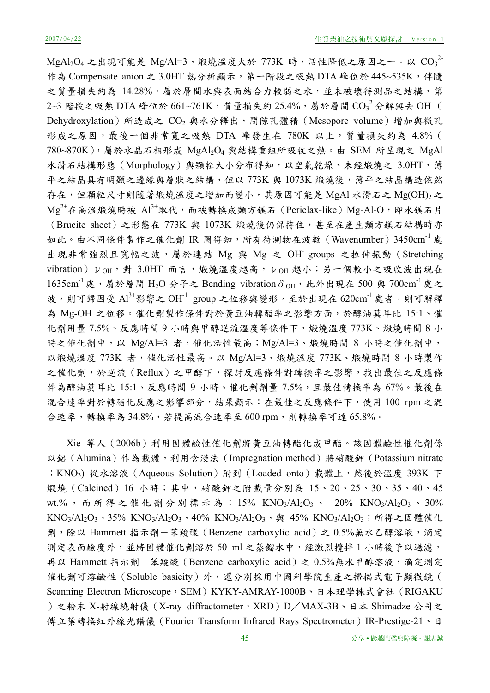$\text{MgAl}_2\text{O}_4$ 之出現可能是  $\text{Mg/A}$ l=3、煅燒溫度大於 773 $\text{K}$  時,活性降低之原因之一。以  $\text{CO}_3^{-2}$ 作為 Compensate anion 之 3.0HT 熱分析顯示, 第一階段之吸熱 DTA 峰位於 445~535K, 伴隨 之質量損失約為 14.28%,屬於層間水與表面結合力較弱之水,並未破壞待測品之結構,第  $2$ ~3 階段之吸熱 DTA 峰位於  $661$ ~7 $61$ K,質量損失約  $25.4\%$ ,屬於層間  $\overline{\text{CO}_{3}}^2$ 分解與去  $\overline{\text{OH}}$ ( Dehydroxylation)所造成之 CO<sub>2</sub> 與水分釋出,間隙孔體積 (Mesopore volume)增加與微孔 形成之原因,最後一個非常寬之吸熱 DTA 峰發生在 780K 以上,質量損失約為 4.8% ( 780~870K),屬於水晶石相形成 MgAl2O4 與結構重組所吸收之熱。由 SEM 所呈現之 MgAl 水滑石結構形態(Morphology)與顆粒大小分布得知,以空氣乾燥、未經煅燒之 3.0HT,薄 平之結晶具有明顯之邊緣與層狀之結構,但以 773K與 1073K 煅燒後,薄平之結晶構造依然 存在,但顆粒尺寸則隨著煅燒溫度之增加而變小,其原因可能是 MgAl 水滑石之 Mg(OH)2之  $Mg^{2+}$ 在高溫煅燒時被  $Al^{3+}$ 取代,而被轉換成類方鎂石 (Periclax-like) Mg-Al-O,即水鎂石片 (Brucite sheet)之形態在 773K 與 1073K 煅燒後仍保持住,甚至在產生類方鎂石結構時亦 如此。由不同條件製作之催化劑 IR 圖得知,所有待測物在波數 (Wavenumber) 3450cm<sup>-1</sup>處 出現非常強烈且寬幅之波,屬於連結 Mg 與 Mg 之 OH- groups 之拉伸振動(Stretching  $v$ ibration) ν ΩΗ, 對 3.0HT 而言,煅燒溫度越高,ν ΩΗ 越小;另一個較小之吸收波出現在  $1635$ cm<sup>-1</sup>處,屬於層間 H<sub>2</sub>O 分子之 Bending vibrationδ<sub>OH</sub>,此外出現在 500 與 700cm<sup>-1</sup>處之 波,則可歸因受  $Al^{3+}$ 影響之  $OH^{-1}$  group 之位移與變形,至於出現在  $620cm^{-1}$ 處者,則可解釋 為 Mg-OH 之位移。催化劑製作條件對於黃豆油轉酯率之影響方面,於醇油莫耳比 15:1、催 化劑用量 7.5%、反應時間 9 小時與甲醇逆流溫度等條件下,煅燒溫度 773K、煅燒時間 8 小 時之催化劑中,以 Mg/Al=3 者,催化活性最高;Mg/Al=3、煅燒時間 8 小時之催化劑中, 以煅燒溫度 773K 者,催化活性最高。以 Mg/Al=3、煅燒溫度 773K、煅燒時間 8 小時製作 之催化劑,於逆流(Reflux)之甲醇下,探討反應條件對轉換率之影響,找出最佳之反應條 件為醇油莫耳比 15:1、反應時間 9 小時、催化劑劑量 7.5%,且最佳轉換率為 67%。最後在 混合速率對於轉酯化反應之影響部分,結果顯示:在最佳之反應條件下,使用 100 rpm 之混 合速率,轉換率為 34.8%,若提高混合速率至 600 rpm,則轉換率可達 65.8%。

Xie 等人(2006b)利用固體鹼性催化劑將黃豆油轉酯化成甲酯。該固體鹼性催化劑係 以鋁(Alumina)作為載體,利用含浸法(Impregnation method)將硝酸鉀(Potassium nitrate ; KNO3) 從水溶液 (Aqueous Solution) 附到 (Loaded onto) 載體上, 然後於溫度 393K 下 煆燒(Calcined)16 小時;其中,硝酸鉀之附載量分別為 15、20、25、30、35、40、45 wt.%,而所得之催化劑分別標示為: 15% KNO<sub>3</sub>/Al<sub>2</sub>O<sub>3</sub> 、 20% KNO<sub>3</sub>/Al<sub>2</sub>O<sub>3</sub> 、 30% KNO<sub>3</sub>/Al<sub>2</sub>O<sub>3</sub>、35% KNO<sub>3</sub>/Al<sub>2</sub>O<sub>3</sub>、40% KNO<sub>3</sub>/Al<sub>2</sub>O<sub>3</sub>、與 45% KNO<sub>3</sub>/Al<sub>2</sub>O<sub>3</sub>;所得之固體催化 劑,除以 Hammett 指示劑一苯羧酸 (Benzene carboxylic acid) 之 0.5%無水乙醇溶液,滴定 測定表面鹼度外,並將固體催化劑溶於 50 ml 之蒸餾水中,經激烈攪拌 1 小時後予以過濾, 再以 Hammett 指示劑-苯羧酸 (Benzene carboxylic acid) 之 0.5%無水甲醇溶液,滴定測定 催化劑可溶鹼性(Soluble basicity)外,還分別採用中國科學院生產之掃描式電子顯微鏡( Scanning Electron Microscope, SEM) KYKY-AMRAY-1000B、日本理學株式會社(RIGAKU )之粉末 X-射線繞射儀(X-ray diffractometer,XRD)D/MAX-3B、日本 Shimadze 公司之 傅立葉轉換紅外線光譜儀 (Fourier Transform Infrared Rays Spectrometer) IR-Prestige-21、日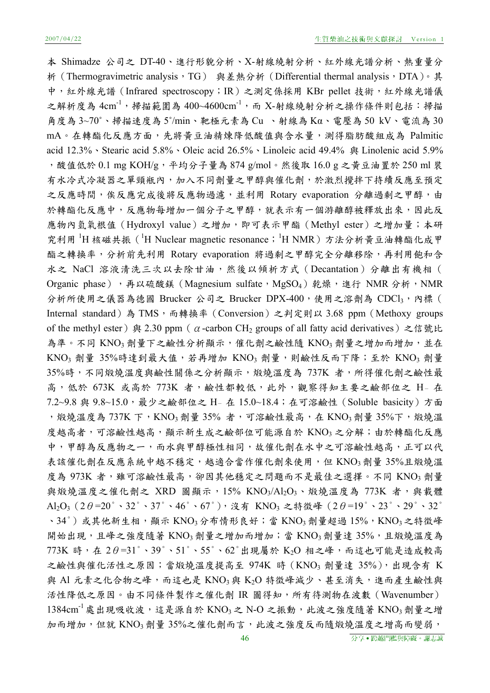本 Shimadze 公司之 DT-40、進行形貌分析、X-射線繞射分析、紅外線光譜分析、熱重量分 析 (Thermogravimetric analysis,TG) 與差熱分析 (Differential thermal analysis,DTA)。其 中,紅外線光譜 (Infrared spectroscopy; IR) 之測定係採用 KBr pellet 技術,紅外線光譜儀 之解析度為  $4 \text{cm}^{-1}$ ,掃描範圍為  $400 \text{--} 4600 \text{cm}^{-1}$ , 而  $\text{X-}$ 射線繞射分析之操作條件則包括:掃描 角度為 3~70˚、掃描速度為 5˚/min、靶極元素為 Cu 、射線為 Kα、電壓為 50 kV、電流為 30 mA。在轉酯化反應方面,先將黃豆油精煉降低酸值與含水量,測得脂肪酸組成為 Palmitic acid 12.3%、Stearic acid 5.8%、Oleic acid 26.5%、Linoleic acid 49.4% 與 Linolenic acid 5.9% ,酸值低於 0.1 mg KOH/g,平均分子量為 874 g/mol。然後取 16.0 g 之黃豆油置於 250 ml 裝 有水冷式冷凝器之單頸瓶內,加入不同劑量之甲醇與催化劑,於激烈攪拌下持續反應至預定 之反應時間,俟反應完成後將反應物過濾,並利用 Rotary evaporation 分離過剩之甲醇,由 於轉酯化反應中,反應物每增加一個分子之甲醇,就表示有一個游離醇被釋放出來,因此反 應物內氫氧根值(Hydroxyl value)之增加,即可表示甲酯(Methyl ester)之增加量;本研 究利用 H 核磁共振 (IH Nuclear magnetic resonance; H NMR) 方法分析黄豆油轉酯化成甲 酯之轉換率,分析前先利用 Rotary evaporation 將過剩之甲醇完全分離移除,再利用飽和含 水之 NaCl 溶液清洗三次以去除甘油,然後以傾析方式 (Decantation)分離出有機相 ( Organic phase),再以硫酸鎂(Magnesium sulfate,MgSO4)乾燥,進行 NMR 分析,NMR 分析所使用之儀器為德國 Brucker 公司之 Brucker DPX-400,使用之溶劑為 CDCl3,內標( Internal standard)為 TMS,而轉換率 (Conversion) 之判定則以 3.68 ppm (Methoxy groups of the methyl ester) 與 2.30 ppm ( $\alpha$ -carbon CH<sub>2</sub> groups of all fatty acid derivatives) 之信號比 為準。不同 KNO3 劑量下之鹼性分析顯示,催化劑之鹼性隨 KNO3 劑量之增加而增加,並在 KNO<sub>3</sub> 劑量 35%時達到最大值,若再增加 KNO<sub>3</sub> 劑量,則鹼性反而下降;至於 KNO<sub>3</sub> 劑量 35%時,不同煅燒溫度與鹼性關係之分析顯示,煅燒溫度為 737K 者,所得催化劑之鹼性最 高,低於 673K 或高於 773K 者,鹼性都較低,此外,觀察得知主要之鹼部位之 H- 在 7.2~9.8 與 9.8~15.0,最少之鹼部位之 H- 在 15.0~18.4;在可溶鹼性(Soluble basicity)方面 , 煅燒溫度為 737K 下, KNO<sub>3</sub> 劑量 35% 者, 可溶鹼性最高, 在 KNO<sub>3</sub> 劑量 35%下, 煅燒溫 度越高者,可溶鹼性越高,顯示新生成之鹼部位可能源自於 KNO3 之分解;由於轉酯化反應 中,甲醇為反應物之一,而水與甲醇極性相同,故催化劑在水中之可溶鹼性越高,正可以代 表該催化劑在反應系統中越不穩定,越適合當作催化劑來使用,但 KNO3 劑量 35%且煅燒溫 度為 973K 者,雖可溶鹼性最高,卻因其他穩定之問題而不是最佳之選擇。不同 KNO3 劑量 與煅燒溫度之催化劑之 XRD 圖顯示, 15% KNO3/Al2O3、煅燒溫度為 773K 者,與載體 Al<sub>2</sub>O<sub>3</sub> (2θ=20°、32°、37°、46°、67°), 沒有 KNO<sub>3</sub> 之特徵峰 (2θ=19°、23°、29°、32°  $\cdot$  34°)或其他新生相,顯示 KNO3 分布情形良好;當 KNO3 劑量超過 15%,KNO3 之特徵峰 開始出現,且峰之強度隨著 KNO3 劑量之增加而增加;當 KNO3 劑量達 35%,且煅燒溫度為  $773K$  時,在  $2\theta = 31^\circ \cdot 39^\circ \cdot 51^\circ \cdot 55^\circ \cdot 62^\circ$ 出現屬於  $K_2O$  相之峰,而這也可能是造成較高 之鹼性與催化活性之原因;當煅燒溫度提高至 974K 時 (KNO3 劑量達 35%),出現含有 K 與 Al 元素之化合物之峰,而這也是 KNO3與 K2O 特徵峰減少、甚至消失,進而產生鹼性與 活性降低之原因。由不同條件製作之催化劑 IR 圖得知,所有待測物在波數(Wavenumber)  $1384 \text{cm}^{-1}$ 處出現吸收波,這是源自於 KNO3之 N-O 之振動,此波之強度隨著 KNO3劑量之增 加而增加,但就 KNO3 劑量 35%之催化劑而言,此波之強度反而隨煅燒溫度之增高而變弱,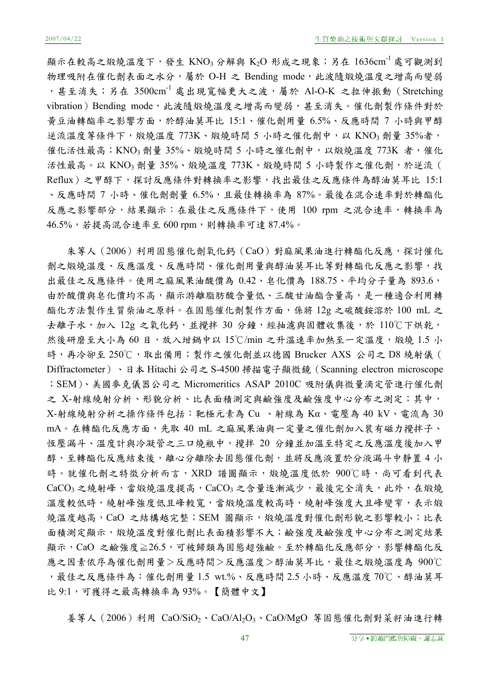顯示在較高之煅燒溫度下,發生 KNO3 分解與 K2O 形成之現象;另在 1636cm 成可觀測到 物理吸附在催化劑表面之水分,屬於 O-H 之 Bending mode,此波隨煅燒溫度之增高而變弱 ,甚至消失;另在 3500cm-1 處出現寬幅更大之波,屬於 Al-O-K 之拉伸振動(Stretching vibration) Bending mode, 此波隨煅燒溫度之增高而變弱,甚至消失。催化劑製作條件對於 黃豆油轉酯率之影響方面,於醇油莫耳比 15:1、催化劑用量 6.5%、反應時間 7 小時與甲醇 逆流溫度等條件下,煅燒溫度 773K、煅燒時間 5 小時之催化劑中,以 KNO3 劑量 35%者, 催化活性最高;KNO3 劑量 35%、煅燒時間 5 小時之催化劑中, 以煅燒溫度 773K 者,催化 活性最高。以 KNO3 劑量 35%、煅燒溫度 773K、煅燒時間 5 小時製作之催化劑,於逆流 ( Reflux)之甲醇下,探討反應條件對轉換率之影響,找出最佳之反應條件為醇油莫耳比 15:1 、反應時間 7 小時、催化劑劑量 6.5%,且最佳轉換率為 87%。最後在混合速率對於轉酯化 反應之影響部分,結果顯示:在最佳之反應條件下,使用 100 rpm 之混合速率,轉換率為 46.5%,若提高混合速率至 600 rpm,則轉換率可達 87.4%。

朱等人(2006)利用固態催化劑氧化鈣(CaO)對麻風果油進行轉酯化反應,探討催化 劑之煅燒溫度、反應溫度、反應時間、催化劑用量與醇油莫耳比等對轉酯化反應之影響,找 出最佳之反應條件。使用之麻風果油酸價為 0.42、皂化價為 188.75、平均分子量為 893.6, 由於酸價與皂化價均不高,顯示游離脂肪酸含量低、三酸甘油酯含量高,是一種適合利用轉 酯化方法製作生質柴油之原料。在固態催化劑製作方面,係將 12g 之碳酸銨溶於 100 mL 之 去離子水,加入 12g 之氧化鈣,並攪拌 30 分鐘,經抽濾與固體收集後,於 110℃下烘乾, 然後研磨至大小為 60 目,放入坩鍋中以 15℃/min 之升溫速率加熱至一定溫度,煅燒 1.5 小 時,再冷卻至 250℃,取出備用;製作之催化劑並以德國 Brucker AXS 公司之 D8 繞射儀( Diffractometer)、日本 Hitachi 公司之 S-4500 掃描電子顯微鏡(Scanning electron microscope ;SEM)、美國麥克儀器公司之 Micromeritics ASAP 2010C 吸附儀與微量滴定管進行催化劑 之 X-射線繞射分析、形貌分析、比表面積測定與鹼強度及鹼強度中心分布之測定;其中, X-射線繞射分析之操作條件包括:靶極元素為 Cu 、射線為 Kα、電壓為 40 kV、電流為 30 mA。在轉酯化反應方面,先取 40 mL 之麻風果油與一定量之催化劑加入裝有磁力攪拌子、 恆壓漏斗、溫度計與冷凝管之三口燒瓶中,攪拌 20 分鐘並加溫至特定之反應溫度後加入甲 醇,至轉酯化反應結束後,離心分離除去固態催化劑,並將反應液置於分液漏斗中靜置4小 時。就催化劑之特徵分析而言, XRD 譜圖顯示, 煅燒溫度低於 900℃時, 尚可看到代表  $CaCO<sub>3</sub>$ 之繞射峰,當煅燒溫度提高, $CaCO<sub>3</sub>$ 之含量逐漸減少,最後完全消失,此外,在煅燒 溫度較低時,繞射峰強度低且峰較寬,當煅燒溫度較高時,繞射峰強度大且峰變窄,表示煅 燒溫度越高, CaO 之結構越完整; SEM 圖顯示, 煅燒溫度對催化劑形貌之影響較小;比表 面積測定顯示,煅燒溫度對催化劑比表面積影響不大;鹼強度及鹼強度中心分布之測定結果 顯示, CaO 之鹼強度≧26.5,可被歸類為固態超強鹼。至於轉酯化反應部分,影響轉酯化反 應之因素依序為催化劑用量>反應時間>反應溫度>醇油莫耳比,最佳之煅燒溫度為 900℃ ,最佳之反應條件為:催化劑用量 1.5 wt.%、反應時間 2.5 小時、反應溫度 70℃、醇油莫耳 比 9:1,可獲得之最高轉換率為 93%。【簡體中文】

姜等人(2006)利用 CaO/SiO2、CaO/Al2O3、CaO/MgO 等固態催化劑對菜籽油進行轉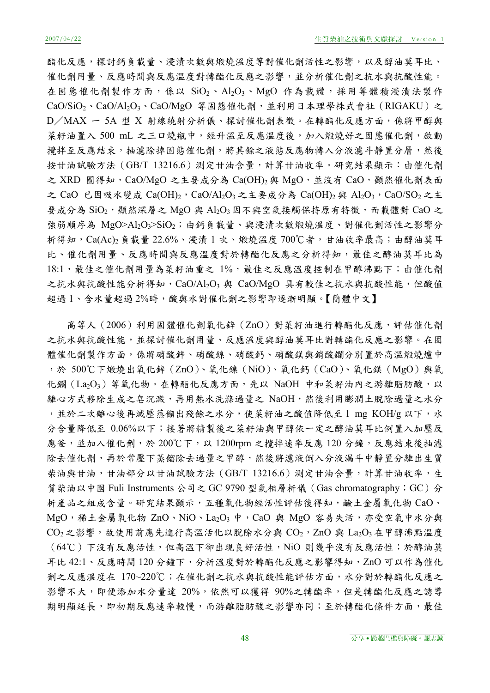酯化反應,探討鈣負載量、浸漬次數與煅燒溫度等對催化劑活性之影響,以及醇油莫耳比、 催化劑用量、反應時間與反應溫度對轉酯化反應之影響,並分析催化劑之抗水與抗酸性能。 在固態催化劑製作方面,係以 SiO2、Al2O3、MgO 作為載體,採用等體積浸漬法製作 CaO/SiO<sub>2</sub>、CaO/Al<sub>2</sub>O<sub>3</sub>、CaO/MgO 等固態催化劑,並利用日本理學株式會社 (RIGAKU) 之 D/MAX - 5A 型 X 射線繞射分析儀、探討催化劑表徵。在轉酯化反應方面,係將甲醇與 菜籽油置入 500 mL 之三口燒瓶中,經升溫至反應溫度後,加入煅燒好之固態催化劑,啟動 攪拌至反應結束,抽濾除掉固態催化劑,將其餘之液態反應物轉入分液濾斗靜置分層,然後 按甘油試驗方法 (GB/T 13216.6)測定甘油含量,計算甘油收率。研究結果顯示:由催化劑 之 XRD 圖得知, CaO/MgO 之主要成分為 Ca(OH)<sub>2</sub>與 MgO, 並沒有 CaO, 顯然催化劑表面 之 CaO 已因吸水變成 Ca(OH)<sub>2</sub>, CaO/Al<sub>2</sub>O<sub>3</sub> 之主要成分為 Ca(OH)<sub>2</sub> 與 Al<sub>2</sub>O<sub>3</sub>, CaO/SO<sub>2</sub> 之主 要成分為 SiO<sub>2</sub>, 顯然深層之 MgO 與 Al<sub>2</sub>O<sub>3</sub> 因不與空氣接觸保持原有特徵, 而載體對 CaO 之 強弱順序為 MgO>Al2O3>SiO2;由鈣負載量、與浸漬次數煅燒溫度、對催化劑活性之影響分 析得知, Ca(Ac)<sub>2</sub>負載量 22.6%、浸漬 1 次、煅燒溫度 700℃者, 甘油收率最高; 由醇油莫耳 比、催化劑用量、反應時間與反應溫度對於轉酯化反應之分析得知,最佳之醇油莫耳比為 18:1,最佳之催化劑用量為菜籽油重之 1%,最佳之反應溫度控制在甲醇沸點下;由催化劑 之抗水與抗酸性能分析得知, CaO/Al2O3 與 CaO/MgO 具有較佳之抗水與抗酸性能, 但酸值 超過1、含水量超過2%時,酸與水對催化劑之影響即逐漸明顯。【簡體中文】

高等人(2006)利用固體催化劑氧化鋅(ZnO)對菜籽油進行轉酯化反應,評估催化劑 之抗水與抗酸性能,並探討催化劑用量、反應溫度與醇油莫耳比對轉酯化反應之影響。在固 體催化劑製作方面,係將硝酸鋅、硝酸鎳、硝酸鈣、硝酸鎂與銷酸鑭分別置於高溫煅燒爐中 ,於 500℃下煅燒出氧化鋅(ZnO)、氧化鎳(NiO)、氧化鈣(CaO)、氧化鎂(MgO)與氧 化鑭(La2O3)等氧化物。在轉酯化反應方面,先以 NaOH 中和菜籽油內之游離脂肪酸,以 離心方式移除生成之皂沉澱,再用熱水洗滌過量之 NaOH,然後利用膨潤土脫除過量之水分 ,並於二次離心後再減壓蒸餾出殘餘之水分,使菜籽油之酸值降低至1 mg KOH/g 以下,水 分含量降低至 0.06%以下;接著將精製後之菜籽油與甲醇依一定之醇油莫耳比例置入加壓反 應釜,並加入催化劑,於 200℃下,以 1200rpm 之攪拌速率反應 120 分鐘,反應結束後抽濾 除去催化劑,再於常壓下蒸餾除去過量之甲醇,然後將濾液倒入分液漏斗中靜置分離出生質 柴油與甘油,甘油部分以甘油試驗方法(GB/T 13216.6)測定甘油含量,計算甘油收率,生 質柴油以中國 Fuli Instruments 公司之 GC 9790 型氣相層析儀(Gas chromatography;GC)分 析產品之組成含量。研究結果顯示,五種氧化物經活性評估後得知,鹼土金屬氧化物 CaO、 MgO, 稀土金屬氧化物 ZnO、NiO、La2O3 中, CaO 與 MgO 容易失活, 亦受空氣中水分與  $CO<sub>2</sub>$ 之影響,故使用前應先進行高溫活化以脫除水分與  $CO<sub>2</sub>$ ,ZnO 與 La<sub>2</sub>O<sub>3</sub> 在甲醇沸點溫度 (64℃)下沒有反應活性,但高溫下卻出現良好活性,NiO 則幾乎沒有反應活性;於醇油莫 耳比 42:1、反應時間 120 分鐘下,分析溫度對於轉酯化反應之影響得知,ZnO 可以作為催化 劑之反應溫度在 170~220℃;在催化劑之抗水與抗酸性能評估方面,水分對於轉酯化反應之 影響不大,即便添加水分量達 20%,依然可以獲得 90%之轉酯率,但是轉酯化反應之誘導 期明顯延長,即初期反應速率較慢,而游離脂肪酸之影響亦同;至於轉酯化條件方面,最佳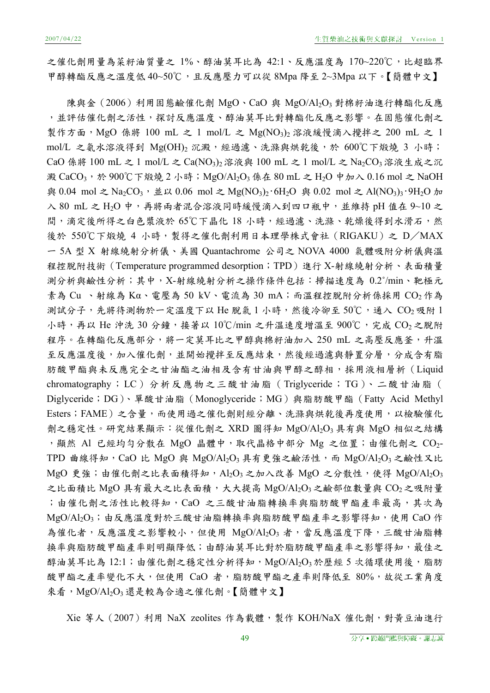之催化劑用量為菜籽油質量之 1%、醇油莫耳比為 42:1、反應溫度為 170~220℃,比超臨界 甲醇轉酯反應之溫度低 40~50℃,且反應壓力可以從 8Mpa 降至 2~3Mpa 以下。【簡體中文】

陳與金(2006)利用固態鹼催化劑 MgO、CaO 與 MgO/Al2O3 對棉籽油進行轉酯化反應 ,並評估催化劑之活性,探討反應溫度、醇油莫耳比對轉酯化反應之影響。在固態催化劑之 製作方面, MgO 係將 100 mL 之 1 mol/L 之 Mg(NO<sub>3</sub>)<sub>2</sub> 溶液緩慢滴入攪拌之 200 mL 之 1 mol/L 之氨水溶液得到 Mg(OH)2 沉澱,經過濾、洗滌與烘乾後,於 600℃下煅燒 3 小時; CaO 係將 100 mL 之 1 mol/L 之 Ca(NO<sub>3</sub>)<sub>2</sub> 溶液與 100 mL 之 1 mol/L 之 Na<sub>2</sub>CO<sub>3</sub> 溶液生成之沉 澱 CaCO<sub>3</sub>,於 900℃下煅燒 2 小時; MgO/Al<sub>2</sub>O<sub>3</sub> 係在 80 mL 之 H<sub>2</sub>O 中加入 0.16 mol 之 NaOH 典 0.04 mol 之 Na<sub>2</sub>CO<sub>3</sub>, 並以 0.06 mol 之 Mg(NO<sub>3</sub>)<sub>2</sub>·6H<sub>2</sub>O 與 0.02 mol 之 Al(NO<sub>3</sub>)<sub>3</sub>·9H<sub>2</sub>O 加 入 80 mL 之 H<sub>2</sub>O 中,再將兩者混合溶液同時緩慢滴入到四口瓶中,並維持 pH 值在 9~10 之 間,滴定後所得之白色漿液於 65℃下晶化 18 小時,經過濾、洗滌、乾燥後得到水滑石,然 後於 550℃下煅燒 4 小時,製得之催化劑利用日本理學株式會社 (RIGAKU) 之 D/MAX 一 5A 型 X 射線繞射分析儀、美國 Quantachrome 公司之 NOVA 4000 氣體吸附分析儀與溫 程控脫附技術(Temperature programmed desorption;TPD)進行 X-射線繞射分析、表面積量 測分析與鹼性分析;其中,X-射線繞射分析之操作條件包括:掃描速度為 0.2°/min、靶極元 素為 Cu 、射線為 Kα、電壓為 50 kV、電流為 30 mA;而溫程控脫附分析係採用 CO2作為 測試分子,先將待測物於一定溫度下以 He 脫氣 1 小時,然後冷卻至 50℃,通入 CO2 吸附 1 小時,再以 He 沖洗 30 分鐘,接著以 10℃/min 之升溫速度增溫至 900℃,完成 CO2 之脫附 程序。在轉酯化反應部分,將一定莫耳比之甲醇與棉籽油加入 250 mL 之高壓反應釜,升溫 至反應溫度後,加入催化劑,並開始攪拌至反應結束,然後經過濾與靜置分層,分成含有脂 肪酸甲酯與未反應完全之甘油酯之油相及含有甘油與甲醇之醇相,採用液相層析(Liquid chromatography; LC) 分析反應物之三酸甘油脂(Triglyceride; TG)、二酸甘油脂( Diglyceride;DG)、單酸甘油脂(Monoglyceride;MG)與脂肪酸甲酯(Fatty Acid Methyl Esters;FAME)之含量,而使用過之催化劑則經分離、洗滌與烘乾後再度使用,以檢驗催化 劑之穩定性。研究結果顯示:從催化劑之 XRD 圖得知 MgO/Al2O3 具有與 MgO 相似之結構 , 顯然 Al 已經均勻分散在 MgO 晶體中, 取代晶格中部分 Mg 之位置; 由催化劑之  $CO_2$ -TPD 曲線得知, CaO 比 MgO 與 MgO/Al2O3 具有更強之鹼活性,而 MgO/Al2O3 之鹼性又比  $M$ gO 更強;由催化劑之比表面積得知, Al2O3 之加入改善 MgO 之分散性, 使得 MgO/Al2O3 之比面積比 MgO 具有最大之比表面積,大大提高 MgO/Al2O3之鹼部位數量與 CO2之吸附量 ;由催化劑之活性比較得知, CaO 之三酸甘油脂轉換率與脂肪酸甲酯產率最高, 其次為 MgO/Al<sub>2</sub>O<sub>3</sub>;由反應溫度對於三酸甘油脂轉換率與脂肪酸甲酯產率之影響得知,使用 CaO 作 為催化者,反應溫度之影響較小,但使用 MgO/Al2O3 者,當反應溫度下降,三酸甘油脂轉 換率與脂肪酸甲酯產率則明顯降低;由醇油莫耳比對於脂肪酸甲酯產率之影響得知,最佳之 醇油莫耳比為 12:1;由催化劑之穩定性分析得知, MgO/Al2O3於歷經 5 次循環使用後, 脂肪 酸甲酯之產率變化不大,但使用 CaO 者,脂肪酸甲酯之產率則降低至 80%,故從工業角度 來看,MgO/Al2O3還是較為合適之催化劑。【簡體中文】

Xie 等人(2007)利用 NaX zeolites 作為載體,製作 KOH/NaX 催化劑,對黃豆油進行